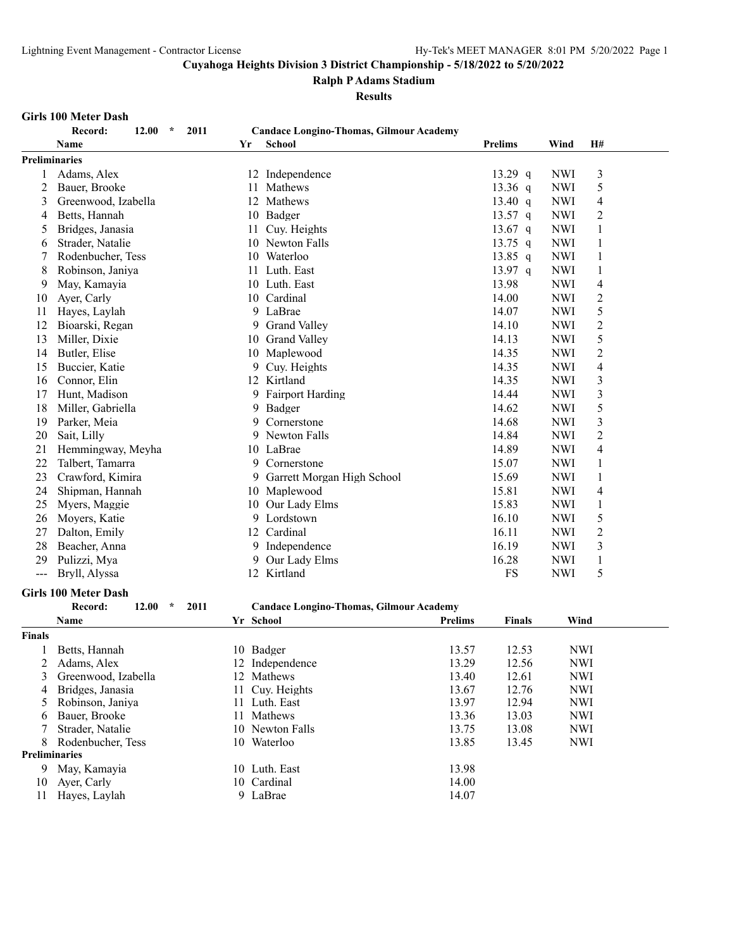#### **Ralph P Adams Stadium**

#### **Results**

#### **Girls 100 Meter Dash**

| Record:              |  |                 |                |            |    |
|----------------------|--|-----------------|----------------|------------|----|
| Name                 |  | School          | <b>Prelims</b> | Wind       | H# |
| <b>Preliminaries</b> |  |                 |                |            |    |
| Adams, Alex          |  | 12 Independence | 13.29 q        | <b>NWI</b> |    |

# **Record: 12.00 \* 2011 Candace Longino-Thomas, Gilmour Academy**

|                | <b>Preliminaries</b>                |    |                                                |           |            |                |
|----------------|-------------------------------------|----|------------------------------------------------|-----------|------------|----------------|
|                | Adams, Alex                         |    | 12 Independence                                | 13.29 q   | <b>NWI</b> | 3              |
| $\overline{c}$ | Bauer, Brooke                       | 11 | Mathews                                        | $13.36$ q | <b>NWI</b> | 5              |
| 3              | Greenwood, Izabella                 | 12 | Mathews                                        | 13.40 $q$ | <b>NWI</b> | 4              |
| 4              | Betts, Hannah                       | 10 | Badger                                         | 13.57 q   | <b>NWI</b> | $\overline{2}$ |
| 5              | Bridges, Janasia                    | 11 | Cuy. Heights                                   | 13.67 $q$ | <b>NWI</b> | 1              |
| 6              | Strader, Natalie                    | 10 | Newton Falls                                   | 13.75 $q$ | <b>NWI</b> | 1              |
| 7              | Rodenbucher, Tess                   | 10 | Waterloo                                       | $13.85$ q | <b>NWI</b> | 1              |
| 8              | Robinson, Janiya                    | 11 | Luth. East                                     | 13.97 q   | <b>NWI</b> | $\mathbf{1}$   |
| 9              | May, Kamayia                        |    | 10 Luth. East                                  | 13.98     | <b>NWI</b> | 4              |
| 10             | Ayer, Carly                         | 10 | Cardinal                                       | 14.00     | <b>NWI</b> | $\overline{2}$ |
| 11             | Hayes, Laylah                       | 9  | LaBrae                                         | 14.07     | <b>NWI</b> | 5              |
| 12             | Bioarski, Regan                     | 9  | <b>Grand Valley</b>                            | 14.10     | <b>NWI</b> | $\overline{c}$ |
| 13             | Miller, Dixie                       | 10 | <b>Grand Valley</b>                            | 14.13     | <b>NWI</b> | 5              |
| 14             | Butler, Elise                       | 10 | Maplewood                                      | 14.35     | <b>NWI</b> | $\overline{2}$ |
| 15             | Buccier, Katie                      | 9  | Cuy. Heights                                   | 14.35     | <b>NWI</b> | 4              |
| 16             | Connor, Elin                        |    | 12 Kirtland                                    | 14.35     | <b>NWI</b> | 3              |
| 17             | Hunt, Madison                       | 9  | <b>Fairport Harding</b>                        | 14.44     | <b>NWI</b> | 3              |
| 18             | Miller, Gabriella                   | 9. | Badger                                         | 14.62     | <b>NWI</b> | 5              |
| 19             | Parker, Meia                        | 9  | Cornerstone                                    | 14.68     | <b>NWI</b> | 3              |
| 20             | Sait, Lilly                         | 9  | Newton Falls                                   | 14.84     | <b>NWI</b> | $\overline{2}$ |
| 21             | Hemmingway, Meyha                   | 10 | LaBrae                                         | 14.89     | <b>NWI</b> | $\overline{4}$ |
| 22             | Talbert, Tamarra                    | 9  | Cornerstone                                    | 15.07     | <b>NWI</b> | 1              |
| 23             | Crawford, Kimira                    | 9  | Garrett Morgan High School                     | 15.69     | <b>NWI</b> | 1              |
| 24             | Shipman, Hannah                     | 10 | Maplewood                                      | 15.81     | <b>NWI</b> | 4              |
| 25             | Myers, Maggie                       | 10 | Our Lady Elms                                  | 15.83     | <b>NWI</b> | 1              |
| 26             | Moyers, Katie                       | 9  | Lordstown                                      | 16.10     | <b>NWI</b> | 5              |
| 27             | Dalton, Emily                       | 12 | Cardinal                                       | 16.11     | <b>NWI</b> | $\overline{c}$ |
| 28             | Beacher, Anna                       | 9. | Independence                                   | 16.19     | <b>NWI</b> | 3              |
| 29             | Pulizzi, Mya                        | 9  | Our Lady Elms                                  | 16.28     | <b>NWI</b> | 1              |
| ---            | Bryll, Alyssa                       | 12 | Kirtland                                       | <b>FS</b> | <b>NWI</b> | 5              |
|                | <b>Girls 100 Meter Dash</b>         |    |                                                |           |            |                |
|                | Record:<br>12.00<br>$\star$<br>2011 |    | <b>Candace Longino-Thomas, Gilmour Academy</b> |           |            |                |

#### **Name Yr School Prelims Finals Wind Finals** 1 Betts, Hannah 10 Badger 13.57 12.53 NWI<br>2 Adams, Alex 12 Independence 13.29 12.56 NWI Adams, Alex 12 Independence 13.29 12.56 NWI Greenwood, Izabella 12 Mathews 13.40 12.61 NWI Bridges, Janasia 11 Cuy. Heights 13.67 12.76 NWI Robinson, Janiya 11 Luth. East 13.97 12.94 NWI Bauer, Brooke 11 Mathews 13.36 13.03 NWI 7 Strader, Natalie 10 Newton Falls 13.75 13.08 NWI<br>8 Rodenbucher, Tess 10 Waterloo 13.85 13.45 NWI 8 Rodenbucher, Tess 10 Waterloo 13.85 13.45 NWI **Preliminaries** 9 May, Kamayia 10 Luth. East 13.98<br>10 Ayer, Carly 10 Cardinal 14.00 10 Ayer, Carly 10 Cardinal 14.00 11 Hayes, Laylah 9 LaBrae 14.07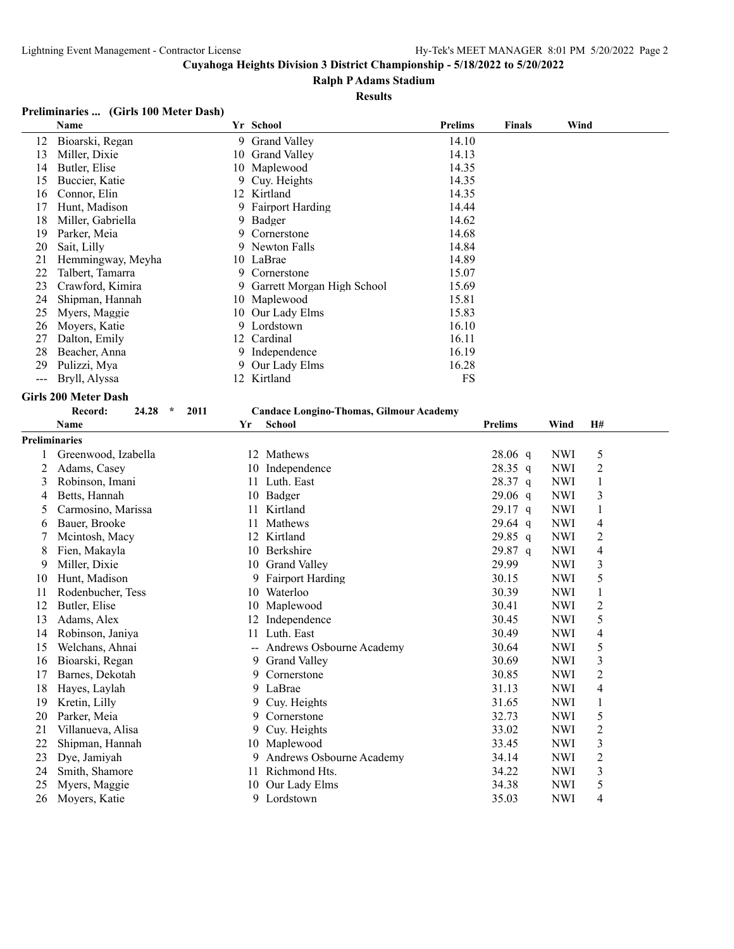#### **Ralph P Adams Stadium**

#### **Results**

#### **Preliminaries ... (Girls 100 Meter Dash)**

|    | Name              |    | Yr School                    | <b>Prelims</b> | <b>Finals</b> | Wind |
|----|-------------------|----|------------------------------|----------------|---------------|------|
| 12 | Bioarski, Regan   |    | 9 Grand Valley               | 14.10          |               |      |
| 13 | Miller, Dixie     | 10 | <b>Grand Valley</b>          | 14.13          |               |      |
| 14 | Butler, Elise     |    | 10 Maplewood                 | 14.35          |               |      |
| 15 | Buccier, Katie    | 9. | Cuy. Heights                 | 14.35          |               |      |
| 16 | Connor, Elin      |    | 12 Kirtland                  | 14.35          |               |      |
| 17 | Hunt, Madison     |    | 9 Fairport Harding           | 14.44          |               |      |
| 18 | Miller, Gabriella |    | 9 Badger                     | 14.62          |               |      |
| 19 | Parker, Meia      | 9. | Cornerstone                  | 14.68          |               |      |
| 20 | Sait, Lilly       |    | 9 Newton Falls               | 14.84          |               |      |
| 21 | Hemmingway, Meyha |    | 10 LaBrae                    | 14.89          |               |      |
| 22 | Talbert, Tamarra  | 9. | Cornerstone                  | 15.07          |               |      |
| 23 | Crawford, Kimira  |    | 9 Garrett Morgan High School | 15.69          |               |      |
| 24 | Shipman, Hannah   |    | 10 Maplewood                 | 15.81          |               |      |
| 25 | Myers, Maggie     |    | 10 Our Lady Elms             | 15.83          |               |      |
| 26 | Moyers, Katie     |    | 9 Lordstown                  | 16.10          |               |      |
| 27 | Dalton, Emily     |    | 12 Cardinal                  | 16.11          |               |      |
| 28 | Beacher, Anna     |    | 9 Independence               | 16.19          |               |      |
| 29 | Pulizzi, Mya      |    | 9 Our Lady Elms              | 16.28          |               |      |
|    | Bryll, Alyssa     | 12 | Kirtland                     | FS             |               |      |
|    |                   |    |                              |                |               |      |

# **Girls 200 Meter Dash**<br>Record: 24.28 \* 2011

#### **Record: 24.28 \* 2011 Candace Longino-Thomas, Gilmour Academy**

|                      | <b>Name</b>         | Yr | <b>School</b>            | <b>Prelims</b> | Wind       | <b>H#</b>      |  |
|----------------------|---------------------|----|--------------------------|----------------|------------|----------------|--|
| <b>Preliminaries</b> |                     |    |                          |                |            |                |  |
| 1                    | Greenwood, Izabella | 12 | Mathews                  | $28.06$ q      | <b>NWI</b> | 5              |  |
| 2                    | Adams, Casey        | 10 | Independence             | $28.35$ q      | <b>NWI</b> | 2              |  |
| 3                    | Robinson, Imani     | 11 | Luth. East               | 28.37 q        | <b>NWI</b> | 1              |  |
| 4                    | Betts, Hannah       | 10 | Badger                   | $29.06$ q      | <b>NWI</b> | 3              |  |
| 5                    | Carmosino, Marissa  | 11 | Kirtland                 | $29.17$ q      | <b>NWI</b> |                |  |
| 6                    | Bauer, Brooke       | 11 | Mathews                  | $29.64$ q      | <b>NWI</b> | 4              |  |
| 7                    | Mcintosh, Macy      | 12 | Kirtland                 | $29.85$ q      | <b>NWI</b> | 2              |  |
| 8                    | Fien, Makayla       | 10 | Berkshire                | $29.87$ q      | <b>NWI</b> | 4              |  |
| 9                    | Miller, Dixie       | 10 | <b>Grand Valley</b>      | 29.99          | <b>NWI</b> | 3              |  |
| 10                   | Hunt, Madison       | 9  | <b>Fairport Harding</b>  | 30.15          | <b>NWI</b> | 5              |  |
| 11                   | Rodenbucher, Tess   | 10 | Waterloo                 | 30.39          | <b>NWI</b> |                |  |
| 12                   | Butler, Elise       | 10 | Maplewood                | 30.41          | <b>NWI</b> | $\overline{2}$ |  |
| 13                   | Adams, Alex         | 12 | Independence             | 30.45          | <b>NWI</b> | 5              |  |
| 14                   | Robinson, Janiya    | 11 | Luth. East               | 30.49          | <b>NWI</b> | 4              |  |
| 15                   | Welchans, Ahnai     | —— | Andrews Osbourne Academy | 30.64          | <b>NWI</b> | 5              |  |
| 16                   | Bioarski, Regan     | 9  | <b>Grand Valley</b>      | 30.69          | <b>NWI</b> | 3              |  |
| 17                   | Barnes, Dekotah     | 9. | Cornerstone              | 30.85          | <b>NWI</b> | 2              |  |
| 18                   | Hayes, Laylah       | 9  | LaBrae                   | 31.13          | <b>NWI</b> | 4              |  |
| 19                   | Kretin, Lilly       | 9. | Cuy. Heights             | 31.65          | <b>NWI</b> |                |  |
| 20                   | Parker, Meia        | 9  | Cornerstone              | 32.73          | <b>NWI</b> | 5              |  |
| 21                   | Villanueva, Alisa   | 9  | Cuy. Heights             | 33.02          | <b>NWI</b> | 2              |  |
| 22                   | Shipman, Hannah     | 10 | Maplewood                | 33.45          | <b>NWI</b> | 3              |  |
| 23                   | Dye, Jamiyah        | 9  | Andrews Osbourne Academy | 34.14          | <b>NWI</b> | 2              |  |
| 24                   | Smith, Shamore      | 11 | Richmond Hts.            | 34.22          | <b>NWI</b> | 3              |  |
| 25                   | Myers, Maggie       | 10 | Our Lady Elms            | 34.38          | <b>NWI</b> | 5              |  |
| 26                   | Movers, Katie       | 9  | Lordstown                | 35.03          | <b>NWI</b> | 4              |  |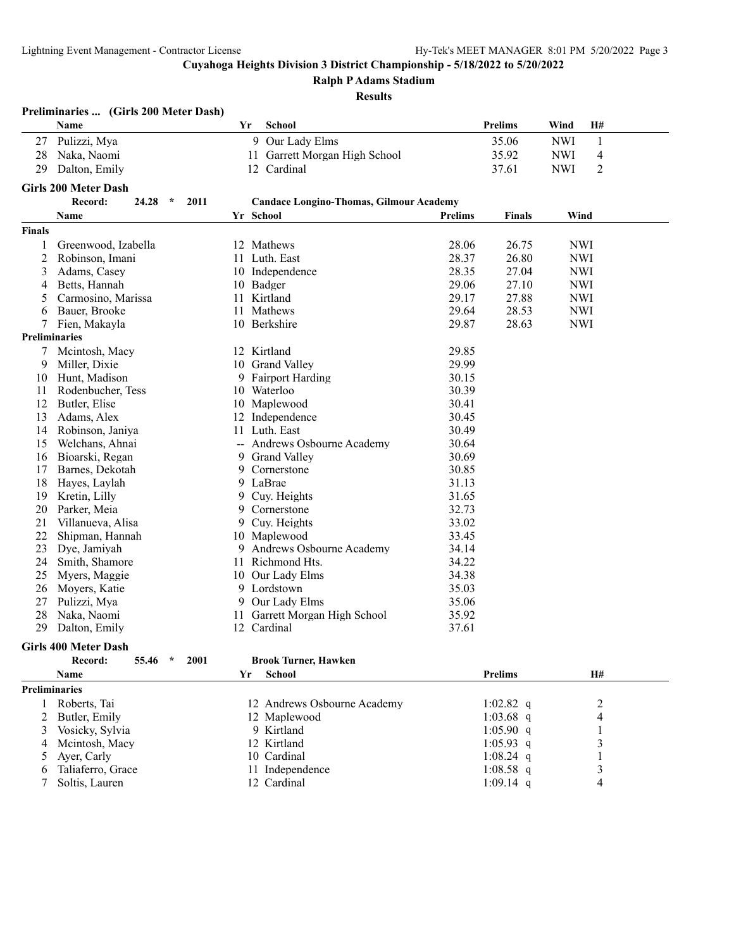7 Soltis, Lauren

**Cuyahoga Heights Division 3 District Championship - 5/18/2022 to 5/20/2022**

**Ralph P Adams Stadium**

#### **Results**

|               | Preliminaries  (Girls 200 Meter Dash) |    |                                                |                |                |            |                |  |
|---------------|---------------------------------------|----|------------------------------------------------|----------------|----------------|------------|----------------|--|
|               | Name                                  | Yr | School                                         |                | Prelims        | Wind       | H#             |  |
| 27            | Pulizzi, Mya                          |    | 9 Our Lady Elms                                |                | 35.06          | <b>NWI</b> | $\mathbf{1}$   |  |
| 28            | Naka, Naomi                           |    | 11 Garrett Morgan High School                  |                | 35.92          | <b>NWI</b> | $\overline{4}$ |  |
| 29            | Dalton, Emily                         |    | 12 Cardinal                                    |                | 37.61          | <b>NWI</b> | $\overline{c}$ |  |
|               |                                       |    |                                                |                |                |            |                |  |
|               | <b>Girls 200 Meter Dash</b>           |    |                                                |                |                |            |                |  |
|               | Record:<br>$\star$<br>2011<br>24.28   |    | <b>Candace Longino-Thomas, Gilmour Academy</b> |                |                |            |                |  |
|               | Name                                  |    | Yr School                                      | <b>Prelims</b> | <b>Finals</b>  | Wind       |                |  |
| <b>Finals</b> |                                       |    |                                                |                |                |            |                |  |
|               | Greenwood, Izabella                   |    | 12 Mathews                                     | 28.06          | 26.75          | <b>NWI</b> |                |  |
| 2             | Robinson, Imani                       | 11 | Luth. East                                     | 28.37          | 26.80          | <b>NWI</b> |                |  |
| 3             | Adams, Casey                          |    | 10 Independence                                | 28.35          | 27.04          | <b>NWI</b> |                |  |
| 4             | Betts, Hannah                         |    | 10 Badger                                      | 29.06          | 27.10          | <b>NWI</b> |                |  |
| 5             | Carmosino, Marissa                    | 11 | Kirtland                                       | 29.17          | 27.88          | <b>NWI</b> |                |  |
| 6             | Bauer, Brooke                         | 11 | Mathews                                        | 29.64          | 28.53          | <b>NWI</b> |                |  |
|               | Fien, Makayla                         |    | 10 Berkshire                                   | 29.87          | 28.63          | <b>NWI</b> |                |  |
|               | <b>Preliminaries</b>                  |    |                                                |                |                |            |                |  |
| 7             | Mcintosh, Macy                        |    | 12 Kirtland                                    | 29.85          |                |            |                |  |
| 9             | Miller, Dixie                         |    | 10 Grand Valley                                | 29.99          |                |            |                |  |
| 10            | Hunt, Madison                         |    | 9 Fairport Harding                             | 30.15          |                |            |                |  |
| 11            | Rodenbucher, Tess                     |    | 10 Waterloo                                    | 30.39          |                |            |                |  |
| 12            | Butler, Elise                         |    | 10 Maplewood                                   | 30.41          |                |            |                |  |
| 13            | Adams, Alex                           | 12 | Independence                                   | 30.45          |                |            |                |  |
| 14            | Robinson, Janiya                      | 11 | Luth. East                                     | 30.49          |                |            |                |  |
| 15            | Welchans, Ahnai                       |    | -- Andrews Osbourne Academy                    | 30.64          |                |            |                |  |
| 16            | Bioarski, Regan                       | 9  | <b>Grand Valley</b>                            | 30.69          |                |            |                |  |
| 17            | Barnes, Dekotah                       | 9. | Cornerstone                                    | 30.85          |                |            |                |  |
| 18            | Hayes, Laylah                         |    | 9 LaBrae                                       | 31.13          |                |            |                |  |
| 19            | Kretin, Lilly                         |    | 9 Cuy. Heights                                 | 31.65          |                |            |                |  |
| 20            | Parker, Meia                          | 9. | Cornerstone                                    | 32.73          |                |            |                |  |
| 21            | Villanueva, Alisa                     | 9  | Cuy. Heights                                   | 33.02          |                |            |                |  |
| 22            | Shipman, Hannah                       |    | 10 Maplewood                                   | 33.45          |                |            |                |  |
| 23            | Dye, Jamiyah                          | 9. | Andrews Osbourne Academy                       | 34.14          |                |            |                |  |
| 24            | Smith, Shamore                        | 11 | Richmond Hts.                                  | 34.22          |                |            |                |  |
| 25            | Myers, Maggie                         |    | 10 Our Lady Elms                               | 34.38          |                |            |                |  |
| 26            | Moyers, Katie                         |    | 9 Lordstown                                    | 35.03          |                |            |                |  |
| 27            | Pulizzi, Mya                          | 9  | Our Lady Elms                                  | 35.06          |                |            |                |  |
| 28            | Naka, Naomi                           | 11 | Garrett Morgan High School                     | 35.92          |                |            |                |  |
| 29            | Dalton, Emily                         |    | 12 Cardinal                                    | 37.61          |                |            |                |  |
|               |                                       |    |                                                |                |                |            |                |  |
|               | <b>Girls 400 Meter Dash</b>           |    |                                                |                |                |            |                |  |
|               | Record:<br>55.46<br>$\star$<br>2001   |    | <b>Brook Turner, Hawken</b>                    |                |                |            |                |  |
|               | Name                                  | Yr | <b>School</b>                                  |                | <b>Prelims</b> |            | H#             |  |
|               | <b>Preliminaries</b>                  |    |                                                |                |                |            |                |  |
| 1             | Roberts, Tai                          |    | 12 Andrews Osbourne Academy                    |                | 1:02.82 q      |            | $\overline{c}$ |  |
| 2             | Butler, Emily                         |    | 12 Maplewood                                   |                | $1:03.68$ q    |            | 4              |  |
| 3             | Vosicky, Sylvia                       |    | 9 Kirtland                                     |                | $1:05.90$ q    |            | 1              |  |
| 4             | Mcintosh, Macy                        |    | 12 Kirtland                                    |                | $1:05.93$ q    |            | 3              |  |
| 5             | Ayer, Carly                           |    | 10 Cardinal                                    |                | 1:08.24 $q$    |            | 1              |  |

6 Taliaferro, Grace 11 Independence 1:08.58 q 3<br>
7 Soltis, Lauren 12 Cardinal 1:09.14 q 4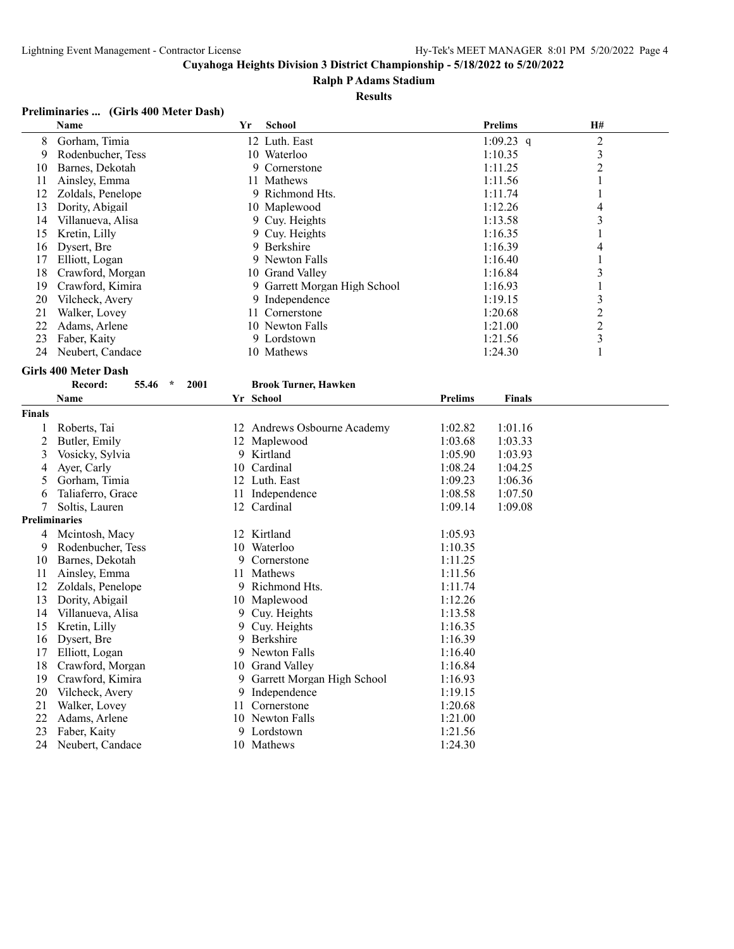#### **Ralph P Adams Stadium**

#### **Results**

## **Preliminaries ... (Girls 400 Meter Dash)**

|                      | Name                                | Yr  | <b>School</b>                |         | <b>Prelims</b> | H#                      |
|----------------------|-------------------------------------|-----|------------------------------|---------|----------------|-------------------------|
| 8                    | Gorham, Timia                       |     | 12 Luth. East                |         | 1:09.23 $q$    | $\overline{\mathbf{c}}$ |
| 9                    | Rodenbucher, Tess                   |     | 10 Waterloo                  |         | 1:10.35        | 3                       |
| 10                   | Barnes, Dekotah                     |     | Cornerstone<br>9             |         | 1:11.25        | $\overline{c}$          |
| 11                   | Ainsley, Emma                       |     | 11 Mathews                   |         | 1:11.56        | 1                       |
| 12                   | Zoldals, Penelope                   |     | 9 Richmond Hts.              |         | 1:11.74        | 1                       |
| 13                   | Dority, Abigail                     |     | 10 Maplewood                 |         | 1:12.26        | $\overline{4}$          |
| 14                   | Villanueva, Alisa                   |     | 9 Cuy. Heights               |         | 1:13.58        | 3                       |
| 15                   | Kretin, Lilly                       |     | 9 Cuy. Heights               |         | 1:16.35        |                         |
| 16                   | Dysert, Bre                         |     | 9 Berkshire                  |         | 1:16.39        | 4                       |
| 17                   | Elliott, Logan                      |     | 9 Newton Falls               |         | 1:16.40        | 1                       |
| 18                   | Crawford, Morgan                    |     | 10 Grand Valley              |         | 1:16.84        | 3                       |
| 19                   | Crawford, Kimira                    |     | 9 Garrett Morgan High School |         | 1:16.93        | 1                       |
| 20                   | Vilcheck, Avery                     |     | 9 Independence               |         | 1:19.15        | 3                       |
| 21                   | Walker, Lovey                       |     | 11 Cornerstone               |         | 1:20.68        | $\overline{c}$          |
| 22                   | Adams, Arlene                       |     | 10 Newton Falls              |         | 1:21.00        | 2                       |
| 23                   | Faber, Kaity                        |     | 9 Lordstown                  |         | 1:21.56        | 3                       |
| 24                   | Neubert, Candace                    |     | 10 Mathews                   |         | 1:24.30        | 1                       |
|                      | <b>Girls 400 Meter Dash</b>         |     |                              |         |                |                         |
|                      | Record:<br>55.46<br>$\star$<br>2001 |     | <b>Brook Turner, Hawken</b>  |         |                |                         |
|                      | Name                                |     | Yr School                    | Prelims | <b>Finals</b>  |                         |
|                      |                                     |     |                              |         |                |                         |
| <b>Finals</b>        |                                     |     |                              |         |                |                         |
| 1                    | Roberts, Tai                        |     | 12 Andrews Osbourne Academy  | 1:02.82 | 1:01.16        |                         |
| 2                    | Butler, Emily                       |     | 12 Maplewood                 | 1:03.68 | 1:03.33        |                         |
| 3                    | Vosicky, Sylvia                     |     | 9 Kirtland                   | 1:05.90 | 1:03.93        |                         |
| 4                    | Ayer, Carly                         |     | 10 Cardinal                  | 1:08.24 | 1:04.25        |                         |
| 5                    | Gorham, Timia                       |     | 12 Luth. East                | 1:09.23 | 1:06.36        |                         |
| 6                    | Taliaferro, Grace                   |     | 11 Independence              | 1:08.58 | 1:07.50        |                         |
| 7                    | Soltis, Lauren                      |     | 12 Cardinal                  | 1:09.14 | 1:09.08        |                         |
| <b>Preliminaries</b> |                                     |     |                              |         |                |                         |
| 4                    | Mcintosh, Macy                      |     | 12 Kirtland                  | 1:05.93 |                |                         |
| 9                    | Rodenbucher, Tess                   | 10  | Waterloo                     | 1:10.35 |                |                         |
| 10                   | Barnes, Dekotah                     | 9   | Cornerstone                  | 1:11.25 |                |                         |
| 11                   | Ainsley, Emma                       | 11  | Mathews                      | 1:11.56 |                |                         |
| 12                   | Zoldals, Penelope                   | 9   | Richmond Hts.                | 1:11.74 |                |                         |
| 13                   | Dority, Abigail                     | 10  | Maplewood                    | 1:12.26 |                |                         |
| 14                   | Villanueva, Alisa                   | 9.  | Cuy. Heights                 | 1:13.58 |                |                         |
| 15                   | Kretin, Lilly                       | 9   | Cuy. Heights                 | 1:16.35 |                |                         |
| 16                   | Dysert, Bre                         | 9   | Berkshire                    | 1:16.39 |                |                         |
| 17                   | Elliott, Logan                      | 9.  | Newton Falls                 | 1:16.40 |                |                         |
| 18                   | Crawford, Morgan                    |     | 10 Grand Valley              | 1:16.84 |                |                         |
| 19                   | Crawford, Kimira                    |     | 9 Garrett Morgan High School | 1:16.93 |                |                         |
| 20                   | Vilcheck, Avery                     | 9.  | Independence                 | 1:19.15 |                |                         |
| 21                   | Walker, Lovey                       | 11. | Cornerstone                  | 1:20.68 |                |                         |
| 22                   | Adams, Arlene                       |     | 10 Newton Falls              | 1:21.00 |                |                         |
| 23                   | Faber, Kaity                        |     | 9 Lordstown                  | 1:21.56 |                |                         |
|                      | 24 Neubert, Candace                 |     | 10 Mathews                   | 1:24.30 |                |                         |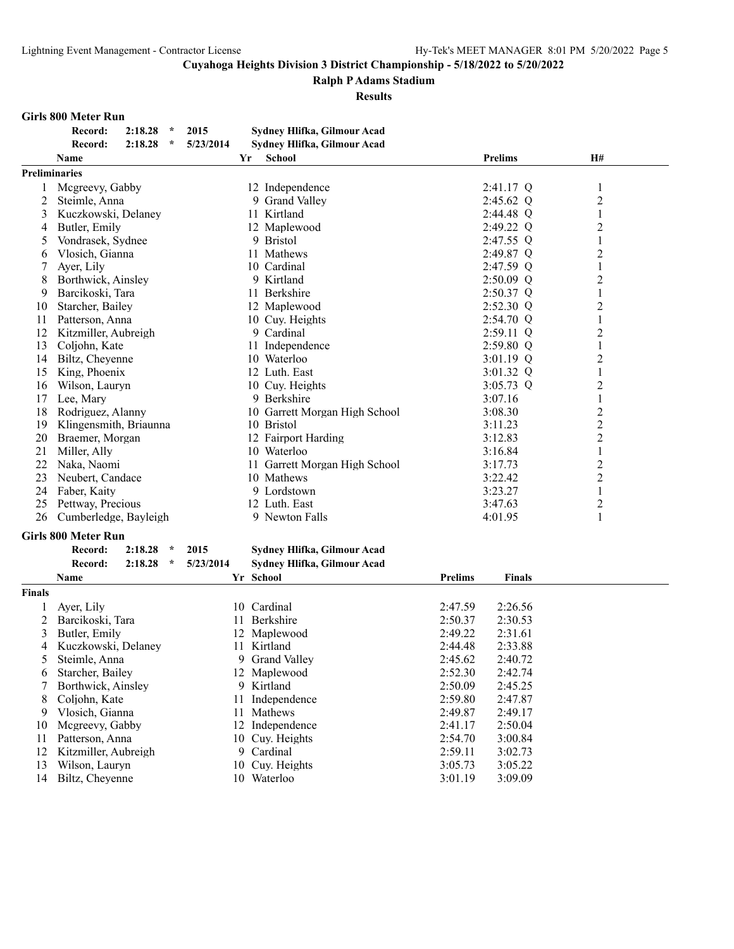#### **Ralph P Adams Stadium**

**Results**

#### **Girls 800 Meter Run**

|                                                                                                                                                 | <b>Prelims</b> | H# |
|-------------------------------------------------------------------------------------------------------------------------------------------------|----------------|----|
| 2015<br>2:18.28<br>Sydney Hlifka, Gilmour Acad<br>Record:<br>$\star$<br>5/23/2014<br>2:18.28<br>- Sydney Hlifka, Gilmour Acad<br>一次。<br>Record: |                |    |

| <b>Preliminaries</b> |                                              |                               |             |                  |
|----------------------|----------------------------------------------|-------------------------------|-------------|------------------|
|                      | Mcgreevy, Gabby                              | 12 Independence               | $2:41.17$ Q | 1                |
| 2                    | Steimle, Anna                                | 9 Grand Valley                | $2:45.62$ Q | $\overline{c}$   |
| 3                    | Kuczkowski, Delaney                          | 11 Kirtland                   | 2:44.48 Q   |                  |
| 4                    | Butler, Emily                                | 12 Maplewood                  | $2:49.22$ Q | $\overline{c}$   |
| 5                    | Vondrasek, Sydnee                            | 9 Bristol                     | $2:47.55$ Q |                  |
| 6                    | Vlosich, Gianna                              | 11 Mathews                    | 2:49.87 Q   | $\overline{2}$   |
|                      | Aver, Lily                                   | 10 Cardinal                   | 2:47.59 Q   |                  |
| 8                    | Borthwick, Ainsley                           | 9 Kirtland                    | $2:50.09$ Q | $\overline{2}$   |
| 9                    | Barcikoski, Tara                             | 11 Berkshire                  | $2:50.37$ Q |                  |
| 10                   | Starcher, Bailey                             | 12 Maplewood                  | $2:52.30$ Q | $\overline{c}$   |
| 11                   | Patterson, Anna                              | 10 Cuy. Heights               | $2:54.70$ Q | 1                |
| 12                   | Kitzmiller, Aubreigh                         | 9 Cardinal                    | $2:59.11$ Q | $\overline{c}$   |
| 13                   | Coljohn, Kate                                | 11 Independence               | $2:59.80$ Q | 1                |
| 14                   | Biltz, Cheyenne                              | 10 Waterloo                   | $3:01.19$ Q | $\overline{c}$   |
| 15                   | King, Phoenix                                | 12 Luth. East                 | $3:01.32$ Q | 1                |
| 16                   | Wilson, Lauryn                               | 10 Cuv. Heights               | $3:05.73$ Q | $\overline{c}$   |
| 17                   | Lee, Mary                                    | 9 Berkshire                   | 3:07.16     | 1                |
| 18                   | Rodriguez, Alanny                            | 10 Garrett Morgan High School | 3:08.30     | $\overline{c}$   |
| 19                   | Klingensmith, Briaunna                       | 10 Bristol                    | 3:11.23     | $\overline{2}$   |
| 20                   | Braemer, Morgan                              | 12 Fairport Harding           | 3:12.83     | $\overline{c}$   |
| 21                   | Miller, Ally                                 | 10 Waterloo                   | 3:16.84     |                  |
| 22                   | Naka, Naomi                                  | 11 Garrett Morgan High School | 3:17.73     | $\overline{c}$   |
| 23                   | Neubert, Candace                             | 10 Mathews                    | 3:22.42     | $\overline{2}$   |
| 24                   | Faber, Kaity                                 | 9 Lordstown                   | 3:23.27     | 1                |
| 25                   | Pettway, Precious                            | 12 Luth. East                 | 3:47.63     | $\boldsymbol{2}$ |
| 26                   | Cumberledge, Bayleigh                        | 9 Newton Falls                | 4:01.95     |                  |
|                      | <b>Girls 800 Meter Run</b>                   |                               |             |                  |
|                      | 2:18.28<br>Record:<br>$\star$<br>2015        | Sydney Hlifka, Gilmour Acad   |             |                  |
|                      | 2:18.28<br>5/23/2014<br>Record:<br>$^{\ast}$ | Sydney Hlifka, Gilmour Acad   |             |                  |

|               |                       |     | $\sim$ , where, animaling commons receive |                |               |  |
|---------------|-----------------------|-----|-------------------------------------------|----------------|---------------|--|
|               | <b>Name</b>           |     | Yr School                                 | <b>Prelims</b> | <b>Finals</b> |  |
| <b>Finals</b> |                       |     |                                           |                |               |  |
|               | Ayer, Lily            |     | 10 Cardinal                               | 2:47.59        | 2:26.56       |  |
|               | Barcikoski, Tara      | 11. | Berkshire                                 | 2:50.37        | 2:30.53       |  |
| 3             | Butler, Emily         |     | 12 Maplewood                              | 2:49.22        | 2:31.61       |  |
|               | 4 Kuczkowski, Delaney | 11. | Kirtland                                  | 2:44.48        | 2:33.88       |  |
| 5             | Steimle, Anna         |     | 9 Grand Valley                            | 2:45.62        | 2:40.72       |  |
| 6.            | Starcher, Bailey      |     | 12 Maplewood                              | 2:52.30        | 2:42.74       |  |
|               | Borthwick, Ainsley    |     | 9 Kirtland                                | 2:50.09        | 2:45.25       |  |
| 8             | Coljohn, Kate         |     | 11 Independence                           | 2:59.80        | 2:47.87       |  |
| 9.            | Vlosich, Gianna       | 11. | <b>Mathews</b>                            | 2:49.87        | 2:49.17       |  |
| 10            | Mcgreevy, Gabby       |     | 12 Independence                           | 2:41.17        | 2:50.04       |  |
| 11            | Patterson, Anna       |     | 10 Cuy. Heights                           | 2:54.70        | 3:00.84       |  |
| 12            | Kitzmiller, Aubreigh  | 9   | Cardinal                                  | 2:59.11        | 3:02.73       |  |
| 13            | Wilson, Lauryn        |     | 10 Cuy. Heights                           | 3:05.73        | 3:05.22       |  |
| 14            | Biltz, Cheyenne       | 10. | Waterloo                                  | 3:01.19        | 3:09.09       |  |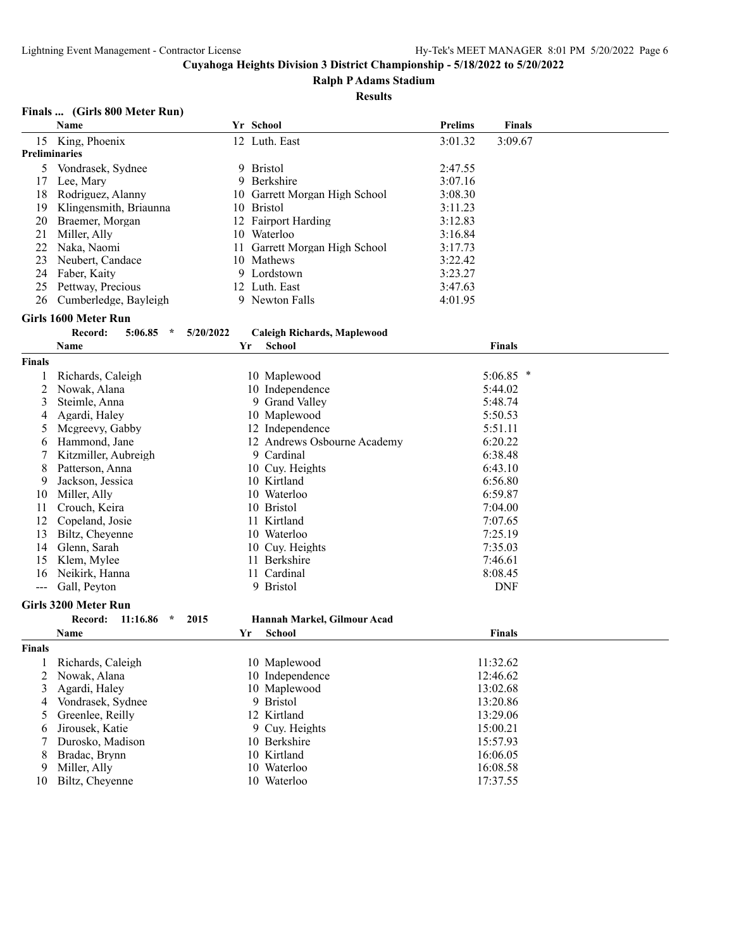#### **Ralph P Adams Stadium**

#### **Results**

#### **Finals ... (Girls 800 Meter Run)**

|                      | Name                           |           | Yr School                     | <b>Prelims</b> | <b>Finals</b> |  |
|----------------------|--------------------------------|-----------|-------------------------------|----------------|---------------|--|
| 15                   | King, Phoenix                  |           | 12 Luth. East                 | 3:01.32        | 3:09.67       |  |
| <b>Preliminaries</b> |                                |           |                               |                |               |  |
| 5                    | Vondrasek, Sydnee              |           | 9 Bristol                     | 2:47.55        |               |  |
| 17                   | Lee, Mary                      | 9.        | Berkshire                     | 3:07.16        |               |  |
| 18                   | Rodriguez, Alanny              |           | 10 Garrett Morgan High School | 3:08.30        |               |  |
| 19                   | Klingensmith, Briaunna         |           | 10 Bristol                    | 3:11.23        |               |  |
| 20                   | Braemer, Morgan                |           | 12 Fairport Harding           | 3:12.83        |               |  |
| 21                   | Miller, Ally                   |           | 10 Waterloo                   | 3:16.84        |               |  |
| 22                   | Naka, Naomi                    | 11        | Garrett Morgan High School    | 3:17.73        |               |  |
| 23                   | Neubert, Candace               |           | 10 Mathews                    | 3:22.42        |               |  |
| 24                   | Faber, Kaity                   |           | 9 Lordstown                   | 3:23.27        |               |  |
| 25                   | Pettway, Precious              |           | 12 Luth. East                 | 3:47.63        |               |  |
| 26                   | Cumberledge, Bayleigh          |           | 9 Newton Falls                | 4:01.95        |               |  |
|                      |                                |           |                               |                |               |  |
|                      | Girls 1600 Meter Run           |           |                               |                |               |  |
|                      | Record:<br>5:06.85<br>$\star$  | 5/20/2022 | Caleigh Richards, Maplewood   |                |               |  |
|                      | Name                           | Yr        | <b>School</b>                 |                | <b>Finals</b> |  |
| <b>Finals</b>        |                                |           |                               |                |               |  |
|                      | Richards, Caleigh              |           | 10 Maplewood                  |                | $5:06.85$ *   |  |
| 2                    | Nowak, Alana                   |           | 10 Independence               |                | 5:44.02       |  |
| 3                    | Steimle, Anna                  |           | 9 Grand Valley                |                | 5:48.74       |  |
| 4                    | Agardi, Haley                  |           | 10 Maplewood                  |                | 5:50.53       |  |
| 5                    | Mcgreevy, Gabby                |           | 12 Independence               |                | 5:51.11       |  |
| 6                    | Hammond, Jane                  |           | 12 Andrews Osbourne Academy   |                | 6:20.22       |  |
| 7                    | Kitzmiller, Aubreigh           |           | 9 Cardinal                    |                | 6:38.48       |  |
| 8                    | Patterson, Anna                |           | 10 Cuy. Heights               |                | 6:43.10       |  |
| 9                    | Jackson, Jessica               |           | 10 Kirtland                   |                | 6:56.80       |  |
| 10                   | Miller, Ally                   |           | 10 Waterloo                   |                | 6:59.87       |  |
| 11                   | Crouch, Keira                  |           | 10 Bristol                    |                | 7:04.00       |  |
| 12                   | Copeland, Josie                |           | 11 Kirtland                   |                | 7:07.65       |  |
| 13                   | Biltz, Cheyenne                |           | 10 Waterloo                   |                | 7:25.19       |  |
| 14                   | Glenn, Sarah                   |           | 10 Cuy. Heights               |                | 7:35.03       |  |
| 15                   | Klem, Mylee                    |           | 11 Berkshire                  |                | 7:46.61       |  |
| 16                   | Neikirk, Hanna                 |           | 11 Cardinal                   |                | 8:08.45       |  |
| $\sim$ $\sim$        | Gall, Peyton                   |           | 9 Bristol                     |                | <b>DNF</b>    |  |
|                      |                                |           |                               |                |               |  |
|                      | <b>Girls 3200 Meter Run</b>    |           |                               |                |               |  |
|                      | Record:<br>11:16.86<br>$\star$ | 2015      | Hannah Markel, Gilmour Acad   |                |               |  |
|                      | Name                           | Yr        | School                        |                | <b>Finals</b> |  |
| Finals               |                                |           |                               |                |               |  |
| $\mathbf{I}$         | Richards, Caleigh              |           | 10 Maplewood                  |                | 11:32.62      |  |
| 2                    | Nowak, Alana                   |           | 10 Independence               |                | 12:46.62      |  |
| 3                    | Agardi, Haley                  |           | 10 Maplewood                  |                | 13:02.68      |  |
| 4                    | Vondrasek, Sydnee              |           | 9 Bristol                     |                | 13:20.86      |  |
| 5                    | Greenlee, Reilly               |           | 12 Kirtland                   |                | 13:29.06      |  |
| 6                    | Jirousek, Katie                |           | 9 Cuy. Heights                |                | 15:00.21      |  |
| 7                    | Durosko, Madison               |           | 10 Berkshire                  |                | 15:57.93      |  |
| 8                    | Bradac, Brynn                  |           | 10 Kirtland                   |                | 16:06.05      |  |
| 9                    | Miller, Ally                   |           | 10 Waterloo                   |                | 16:08.58      |  |
| 10                   | Biltz, Cheyenne                |           | 10 Waterloo                   |                | 17:37.55      |  |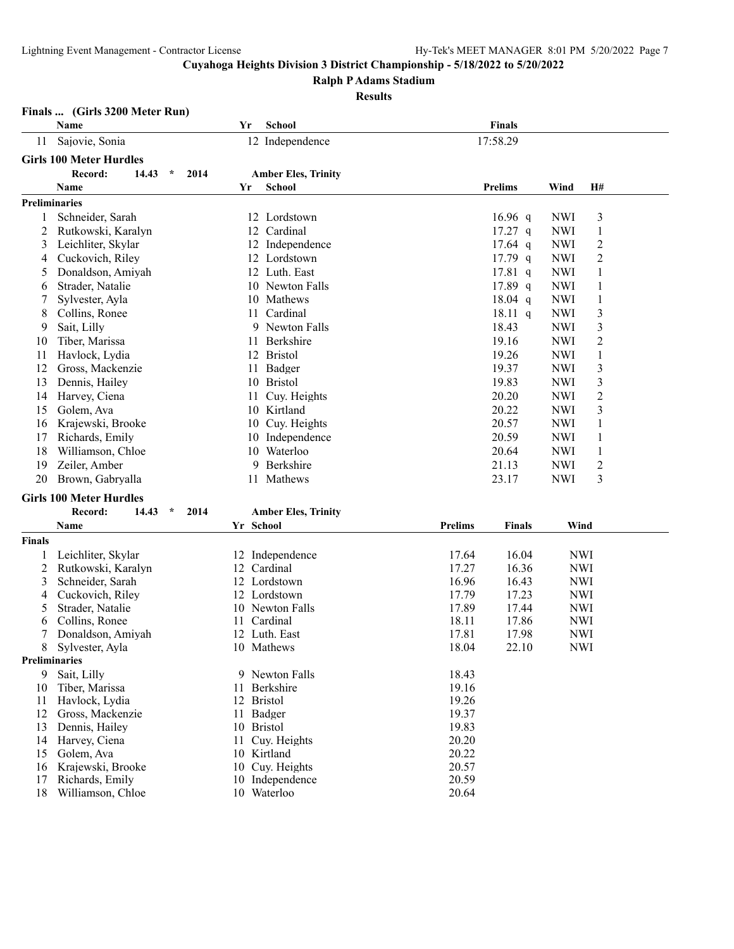**Ralph P Adams Stadium**

#### **Results**

#### **Finals ... (Girls 3200 Meter Run)**

|    | <b>Name</b>                         | Yr | <b>School</b>              | <b>Finals</b>  |            |           |
|----|-------------------------------------|----|----------------------------|----------------|------------|-----------|
| 11 | Sajovie, Sonia                      |    | 12 Independence            | 17:58.29       |            |           |
|    | <b>Girls 100 Meter Hurdles</b>      |    |                            |                |            |           |
|    | Record:<br>14.43<br>$\star$<br>2014 |    | <b>Amber Eles, Trinity</b> |                |            |           |
|    | <b>Name</b>                         | Yr | <b>School</b>              | <b>Prelims</b> | Wind       | <b>H#</b> |
|    | <b>Preliminaries</b>                |    |                            |                |            |           |
|    | Schneider, Sarah                    | 12 | Lordstown                  | $16.96$ q      | <b>NWI</b> | 3         |
| 2  | Rutkowski, Karalyn                  | 12 | Cardinal                   | $17.27$ q      | <b>NWI</b> |           |
| 3  | Leichliter, Skylar                  | 12 | Independence               | $17.64$ q      | <b>NWI</b> | 2         |
| 4  | Cuckovich, Riley                    | 12 | Lordstown                  | $17.79$ q      | <b>NWI</b> | 2         |
| 5  | Donaldson, Amiyah                   | 12 | Luth. East                 | $17.81$ q      | <b>NWI</b> |           |
| 6  | Strader, Natalie                    | 10 | Newton Falls               | $17.89$ q      | <b>NWI</b> |           |
| 7  | Sylvester, Ayla                     | 10 | Mathews                    | $18.04$ q      | <b>NWI</b> |           |
| 8  | Collins, Ronee                      | 11 | Cardinal                   | $18.11$ q      | <b>NWI</b> | 3         |
| 9  | Sait, Lilly                         | 9  | Newton Falls               | 18.43          | <b>NWI</b> | 3         |
| 10 | Tiber, Marissa                      | 11 | Berkshire                  | 19.16          | <b>NWI</b> | 2         |
| 11 | Havlock, Lydia                      | 12 | <b>Bristol</b>             | 19.26          | <b>NWI</b> | 1         |
| 12 | Gross, Mackenzie                    | 11 | Badger                     | 19.37          | <b>NWI</b> | 3         |
| 13 | Dennis, Hailey                      | 10 | <b>Bristol</b>             | 19.83          | <b>NWI</b> | 3         |
| 14 | Harvey, Ciena                       | 11 | Cuy. Heights               | 20.20          | <b>NWI</b> | 2         |
| 15 | Golem, Ava                          | 10 | Kirtland                   | 20.22          | <b>NWI</b> | 3         |
| 16 | Krajewski, Brooke                   | 10 | Cuv. Heights               | 20.57          | <b>NWI</b> |           |
| 17 | Richards, Emily                     | 10 | Independence               | 20.59          | <b>NWI</b> |           |
| 18 | Williamson, Chloe                   | 10 | Waterloo                   | 20.64          | <b>NWI</b> |           |
| 19 | Zeiler, Amber                       | 9  | Berkshire                  | 21.13          | <b>NWI</b> | 2         |
| 20 | Brown, Gabryalla                    | 11 | Mathews                    | 23.17          | <b>NWI</b> | 3         |
|    | <b>Girls 100 Meter Hurdles</b>      |    |                            |                |            |           |
|    | 14.43<br>$\star$<br>2014<br>Record: |    | <b>Amber Eles, Trinity</b> |                |            |           |

|               | Name               |    | Yr School       | <b>Prelims</b> | <b>Finals</b> | Wind       |
|---------------|--------------------|----|-----------------|----------------|---------------|------------|
| Finals        |                    |    |                 |                |               |            |
|               | Leichliter, Skylar |    | 12 Independence | 17.64          | 16.04         | <b>NWI</b> |
|               | Rutkowski, Karalyn | 12 | Cardinal        | 17.27          | 16.36         | <b>NWI</b> |
| 3             | Schneider, Sarah   | 12 | Lordstown       | 16.96          | 16.43         | <b>NWI</b> |
| 4             | Cuckovich, Riley   | 12 | Lordstown       | 17.79          | 17.23         | <b>NWI</b> |
| 5             | Strader, Natalie   |    | 10 Newton Falls | 17.89          | 17.44         | <b>NWI</b> |
| 6             | Collins, Ronee     |    | Cardinal        | 18.11          | 17.86         | <b>NWI</b> |
|               | Donaldson, Amiyah  | 12 | Luth. East      | 17.81          | 17.98         | <b>NWI</b> |
| 8             | Sylvester, Ayla    |    | 10 Mathews      | 18.04          | 22.10         | <b>NWI</b> |
| Preliminaries |                    |    |                 |                |               |            |
| 9             | Sait, Lilly        |    | 9 Newton Falls  | 18.43          |               |            |
| 10            | Tiber, Marissa     | 11 | Berkshire       | 19.16          |               |            |
| 11            | Havlock, Lydia     |    | 12 Bristol      | 19.26          |               |            |
| 12            | Gross, Mackenzie   |    | 11 Badger       | 19.37          |               |            |
| 13            | Dennis, Hailey     | 10 | <b>Bristol</b>  | 19.83          |               |            |
| 14            | Harvey, Ciena      |    | Cuy. Heights    | 20.20          |               |            |
| 15            | Golem, Ava         |    | 10 Kirtland     | 20.22          |               |            |
| 16            | Krajewski, Brooke  |    | 10 Cuy. Heights | 20.57          |               |            |
| 17            | Richards, Emily    | 10 | Independence    | 20.59          |               |            |
| 18            | Williamson, Chloe  | 10 | Waterloo        | 20.64          |               |            |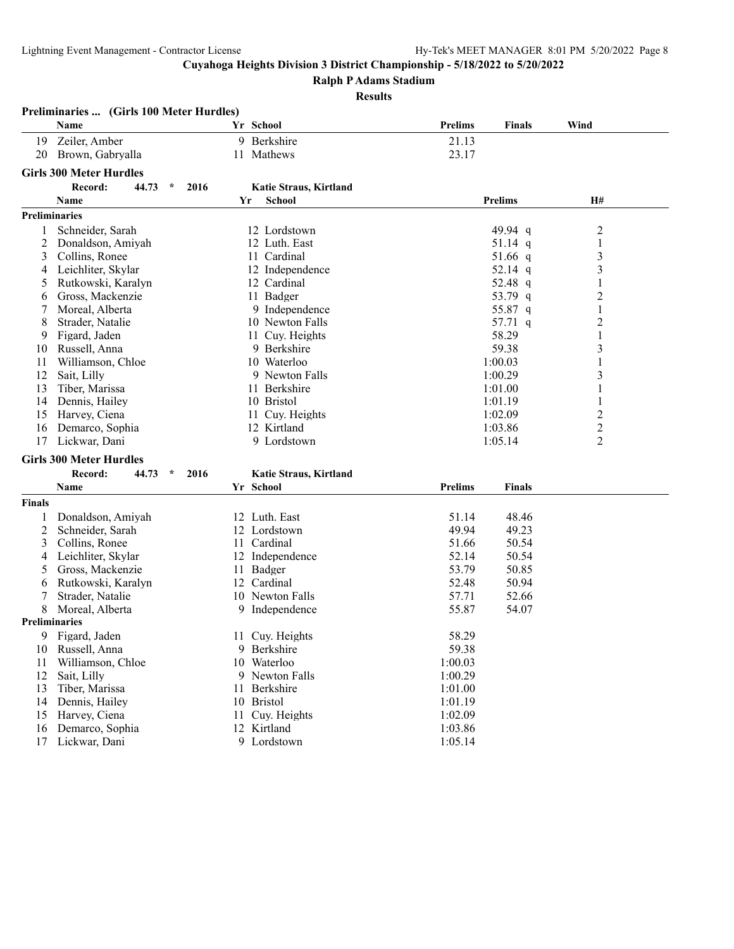**Preliminaries ... (Girls 100 Meter Hurdles)**

**Cuyahoga Heights Division 3 District Championship - 5/18/2022 to 5/20/2022**

**Ralph P Adams Stadium**

#### **Results**

|               | Name                           |      | Yr School              | <b>Prelims</b> | <b>Finals</b>  | Wind             |  |
|---------------|--------------------------------|------|------------------------|----------------|----------------|------------------|--|
| 19            | Zeiler, Amber                  | 9    | Berkshire              | 21.13          |                |                  |  |
| 20            | Brown, Gabryalla               |      | 11 Mathews             | 23.17          |                |                  |  |
|               | <b>Girls 300 Meter Hurdles</b> |      |                        |                |                |                  |  |
|               | $\star$                        |      |                        |                |                |                  |  |
|               | Record:<br>44.73               | 2016 | Katie Straus, Kirtland |                |                |                  |  |
|               | <b>Name</b>                    | Yr   | <b>School</b>          |                | <b>Prelims</b> | <b>H#</b>        |  |
|               | <b>Preliminaries</b>           |      |                        |                |                |                  |  |
| 1             | Schneider, Sarah               |      | 12 Lordstown           |                | 49.94 q        | $\boldsymbol{2}$ |  |
| 2             | Donaldson, Amiyah              |      | 12 Luth. East          |                | 51.14 q        | $\mathbf{1}$     |  |
| 3             | Collins, Ronee                 |      | 11 Cardinal            |                | 51.66 q        | 3                |  |
| 4             | Leichliter, Skylar             |      | 12 Independence        |                | 52.14 q        | 3                |  |
| 5             | Rutkowski, Karalyn             |      | 12 Cardinal            |                | 52.48 q        | $\mathbf{1}$     |  |
| 6             | Gross, Mackenzie               |      | 11 Badger              |                | 53.79 q        | $\overline{2}$   |  |
| 7             | Moreal, Alberta                |      | 9 Independence         |                | 55.87 q        | $\mathbf{1}$     |  |
| 8             | Strader, Natalie               |      | 10 Newton Falls        |                | 57.71 q        | $\overline{2}$   |  |
| 9             | Figard, Jaden                  |      | 11 Cuy. Heights        |                | 58.29          | 1                |  |
| 10            | Russell, Anna                  |      | 9 Berkshire            |                | 59.38          | 3                |  |
| 11            | Williamson, Chloe              |      | 10 Waterloo            |                | 1:00.03        | $\mathbf{1}$     |  |
| 12            | Sait, Lilly                    |      | 9 Newton Falls         |                | 1:00.29        | 3                |  |
| 13            | Tiber, Marissa                 |      | 11 Berkshire           |                | 1:01.00        | 1                |  |
| 14            | Dennis, Hailey                 |      | 10 Bristol             |                | 1:01.19        | 1                |  |
| 15            | Harvey, Ciena                  |      | 11 Cuy. Heights        |                | 1:02.09        | $\overline{c}$   |  |
| 16            | Demarco, Sophia                |      | 12 Kirtland            |                | 1:03.86        | $\overline{c}$   |  |
| 17            | Lickwar, Dani                  |      | 9 Lordstown            |                | 1:05.14        | 2                |  |
|               | <b>Girls 300 Meter Hurdles</b> |      |                        |                |                |                  |  |
|               | Record:<br>44.73<br>$\star$    | 2016 | Katie Straus, Kirtland |                |                |                  |  |
|               | Name                           |      | Yr School              | <b>Prelims</b> | <b>Finals</b>  |                  |  |
|               |                                |      |                        |                |                |                  |  |
| <b>Finals</b> |                                |      |                        |                |                |                  |  |
| 1             | Donaldson, Amiyah              |      | 12 Luth. East          | 51.14          | 48.46          |                  |  |
| 2             | Schneider, Sarah               |      | 12 Lordstown           | 49.94          | 49.23          |                  |  |
| 3             | Collins, Ronee                 |      | 11 Cardinal            | 51.66          | 50.54          |                  |  |
| 4             | Leichliter, Skylar             |      | 12 Independence        | 52.14          | 50.54          |                  |  |
| 5             | Gross, Mackenzie               | 11   | Badger                 | 53.79          | 50.85          |                  |  |
| 6             | Rutkowski, Karalyn             |      | 12 Cardinal            | 52.48          | 50.94          |                  |  |
| 7             | Strader, Natalie               |      | 10 Newton Falls        | 57.71          | 52.66          |                  |  |
| 8             | Moreal, Alberta                |      | 9 Independence         | 55.87          | 54.07          |                  |  |
|               | <b>Preliminaries</b>           |      |                        |                |                |                  |  |
| 9             | Figard, Jaden                  |      | 11 Cuy. Heights        | 58.29          |                |                  |  |
| 10            | Russell, Anna                  |      | 9 Berkshire            | 59.38          |                |                  |  |
| 11            | Williamson, Chloe              |      | 10 Waterloo            | 1:00.03        |                |                  |  |
| 12            | Sait, Lilly                    |      | 9 Newton Falls         | 1:00.29        |                |                  |  |
| 13            | Tiber, Marissa                 |      | 11 Berkshire           | 1:01.00        |                |                  |  |
| 14            | Dennis, Hailey                 |      | 10 Bristol             | 1:01.19        |                |                  |  |
| 15            | Harvey, Ciena                  | 11   | Cuy. Heights           | 1:02.09        |                |                  |  |
| 16            | Demarco, Sophia                |      | 12 Kirtland            | 1:03.86        |                |                  |  |
| 17            | Lickwar, Dani                  | 9    | Lordstown              | 1:05.14        |                |                  |  |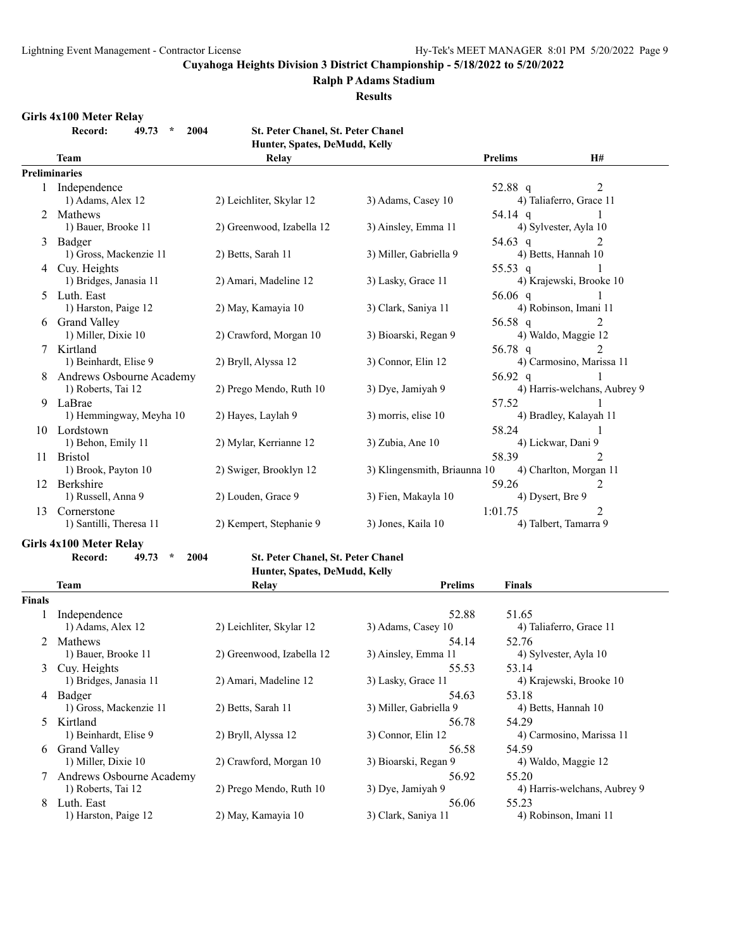#### **Ralph P Adams Stadium**

**Results**

#### **Girls 4x100 Meter Relay**

**Record: 49.73 \* 2004 St. Peter Chanel, St. Peter Chanel Hunter, Spates, DeMudd, Kelly**

| Humer, Spates, Demitique, Keny |                          |                           |                              |                |                              |  |  |
|--------------------------------|--------------------------|---------------------------|------------------------------|----------------|------------------------------|--|--|
|                                | Team                     | <b>Relay</b>              |                              | <b>Prelims</b> | <b>H#</b>                    |  |  |
|                                | <b>Preliminaries</b>     |                           |                              |                |                              |  |  |
|                                | 1 Independence           |                           |                              | 52.88 q        | 2                            |  |  |
|                                | 1) Adams, Alex 12        | 2) Leichliter, Skylar 12  | 3) Adams, Casey 10           |                | 4) Taliaferro, Grace 11      |  |  |
| $2^{\circ}$                    | Mathews                  |                           |                              | 54.14 q        |                              |  |  |
|                                | 1) Bauer, Brooke 11      | 2) Greenwood, Izabella 12 | 3) Ainsley, Emma 11          |                | 4) Sylvester, Ayla 10        |  |  |
| 3                              | Badger                   |                           |                              | 54.63 q        |                              |  |  |
|                                | 1) Gross, Mackenzie 11   | 2) Betts, Sarah 11        | 3) Miller, Gabriella 9       |                | 4) Betts, Hannah 10          |  |  |
|                                | 4 Cuy. Heights           |                           |                              | 55.53 q        |                              |  |  |
|                                | 1) Bridges, Janasia 11   | 2) Amari, Madeline 12     | 3) Lasky, Grace 11           |                | 4) Krajewski, Brooke 10      |  |  |
| 5.                             | Luth. East               |                           |                              | 56.06 $q$      |                              |  |  |
|                                | 1) Harston, Paige 12     | 2) May, Kamayia 10        | 3) Clark, Saniya 11          |                | 4) Robinson, Imani 11        |  |  |
|                                | 6 Grand Valley           |                           |                              | 56.58 q        | 2                            |  |  |
|                                | 1) Miller, Dixie 10      | 2) Crawford, Morgan 10    | 3) Bioarski, Regan 9         |                | 4) Waldo, Maggie 12          |  |  |
|                                | Kirtland                 |                           |                              | 56.78 q        | $\mathfrak{D}$               |  |  |
|                                | 1) Beinhardt, Elise 9    | 2) Bryll, Alyssa 12       | 3) Connor, Elin 12           |                | 4) Carmosino, Marissa 11     |  |  |
|                                | Andrews Osbourne Academy |                           |                              | 56.92 q        |                              |  |  |
|                                | 1) Roberts, Tai 12       | 2) Prego Mendo, Ruth 10   | 3) Dye, Jamiyah 9            |                | 4) Harris-welchans, Aubrey 9 |  |  |
| 9                              | LaBrae                   |                           |                              | 57.52          |                              |  |  |
|                                | 1) Hemmingway, Meyha 10  | 2) Hayes, Laylah 9        | 3) morris, elise 10          |                | 4) Bradley, Kalayah 11       |  |  |
| 10                             | Lordstown                |                           |                              | 58.24          |                              |  |  |
|                                | 1) Behon, Emily 11       | 2) Mylar, Kerrianne 12    | 3) Zubia, Ane 10             |                | 4) Lickwar, Dani 9           |  |  |
| 11                             | <b>Bristol</b>           |                           |                              | 58.39          | $\mathfrak{D}$               |  |  |
|                                | 1) Brook, Payton 10      | 2) Swiger, Brooklyn 12    | 3) Klingensmith, Briaunna 10 |                | 4) Charlton, Morgan 11       |  |  |
| 12                             | Berkshire                |                           |                              | 59.26          | 2                            |  |  |
|                                | 1) Russell, Anna 9       | 2) Louden, Grace 9        | 3) Fien, Makayla 10          |                | 4) Dysert, Bre 9             |  |  |
| 13                             | Cornerstone              |                           |                              | 1:01.75        | 2                            |  |  |
|                                | 1) Santilli, Theresa 11  | 2) Kempert, Stephanie 9   | 3) Jones, Kaila 10           |                | 4) Talbert, Tamarra 9        |  |  |

# **Hunter, Spates, DeMudd, Kelly**

|               | Team                     | Relay                     | <b>Prelims</b>         | <b>Finals</b>                |
|---------------|--------------------------|---------------------------|------------------------|------------------------------|
| <b>Finals</b> |                          |                           |                        |                              |
|               | Independence             |                           | 52.88                  | 51.65                        |
|               | 1) Adams, Alex 12        | 2) Leichliter, Skylar 12  | 3) Adams, Casey 10     | 4) Taliaferro, Grace 11      |
| $2^{\circ}$   | <b>Mathews</b>           |                           | 54.14                  | 52.76                        |
|               | 1) Bauer, Brooke 11      | 2) Greenwood, Izabella 12 | 3) Ainsley, Emma 11    | 4) Sylvester, Ayla 10        |
| 3             | Cuy. Heights             |                           | 55.53                  | 53.14                        |
|               | 1) Bridges, Janasia 11   | 2) Amari, Madeline 12     | 3) Lasky, Grace 11     | 4) Krajewski, Brooke 10      |
| 4             | Badger                   |                           | 54.63                  | 53.18                        |
|               | 1) Gross, Mackenzie 11   | 2) Betts, Sarah 11        | 3) Miller, Gabriella 9 | 4) Betts, Hannah 10          |
| $5 -$         | Kirtland                 |                           | 56.78                  | 54.29                        |
|               | 1) Beinhardt, Elise 9    | 2) Bryll, Alyssa 12       | 3) Connor, Elin 12     | 4) Carmosino, Marissa 11     |
| 6             | <b>Grand Valley</b>      |                           | 56.58                  | 54.59                        |
|               | 1) Miller, Dixie 10      | 2) Crawford, Morgan 10    | 3) Bioarski, Regan 9   | 4) Waldo, Maggie 12          |
|               | Andrews Osbourne Academy |                           | 56.92                  | 55.20                        |
|               | 1) Roberts, Tai 12       | 2) Prego Mendo, Ruth 10   | 3) Dye, Jamiyah 9      | 4) Harris-welchans, Aubrey 9 |
| 8             | Luth. East               |                           | 56.06                  | 55.23                        |
|               | 1) Harston, Paige 12     | 2) May, Kamayia 10        | 3) Clark, Saniya 11    | 4) Robinson, Imani 11        |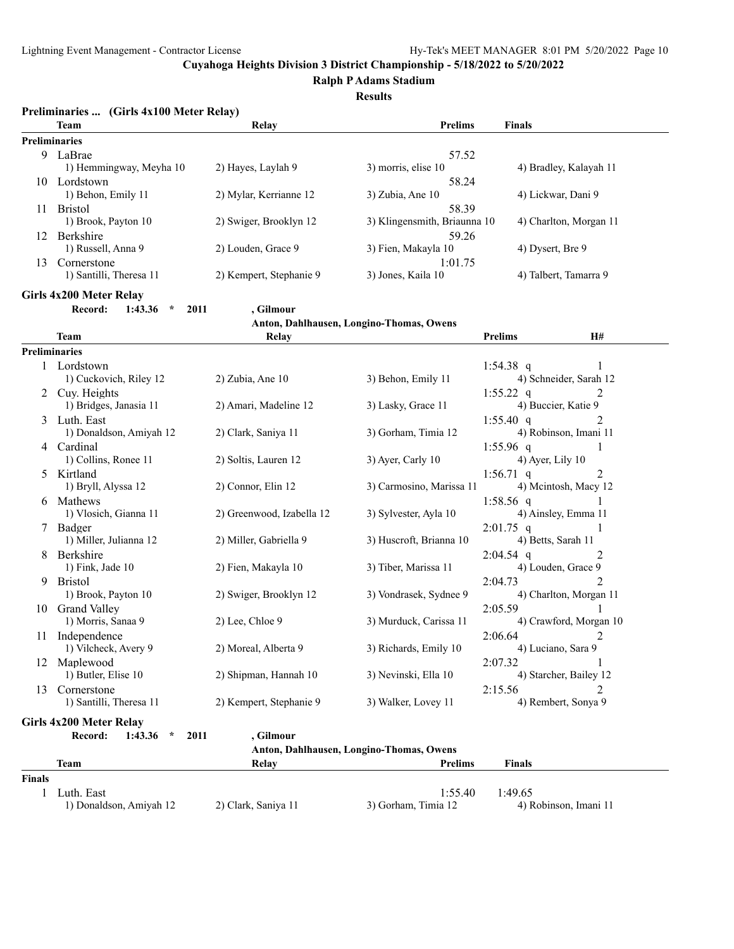**Ralph P Adams Stadium**

**Results**

|               | Preliminaries  (Girls 4x100 Meter Relay) |                           |                                          |                                        |
|---------------|------------------------------------------|---------------------------|------------------------------------------|----------------------------------------|
|               | Team                                     | Relay                     | <b>Prelims</b>                           | Finals                                 |
|               | <b>Preliminaries</b>                     |                           |                                          |                                        |
|               | 9 LaBrae                                 |                           | 57.52                                    |                                        |
|               | 1) Hemmingway, Meyha 10                  | 2) Hayes, Laylah 9        | 3) morris, elise 10                      | 4) Bradley, Kalayah 11                 |
|               | 10 Lordstown                             |                           | 58.24                                    |                                        |
|               | 1) Behon, Emily 11                       | 2) Mylar, Kerrianne 12    | 3) Zubia, Ane 10                         | 4) Lickwar, Dani 9                     |
|               | 11 Bristol                               |                           | 58.39                                    |                                        |
|               | 1) Brook, Payton 10                      | 2) Swiger, Brooklyn 12    | 3) Klingensmith, Briaunna 10             | 4) Charlton, Morgan 11                 |
|               | 12 Berkshire                             |                           | 59.26                                    |                                        |
|               | 1) Russell, Anna 9                       | 2) Louden, Grace 9        | 3) Fien, Makayla 10                      | 4) Dysert, Bre 9                       |
|               | 13 Cornerstone                           |                           | 1:01.75                                  |                                        |
|               | 1) Santilli, Theresa 11                  | 2) Kempert, Stephanie 9   | 3) Jones, Kaila 10                       | 4) Talbert, Tamarra 9                  |
|               | Girls 4x200 Meter Relay                  |                           |                                          |                                        |
|               | Record:<br>1:43.36<br>2011<br>$\star$    | , Gilmour                 |                                          |                                        |
|               |                                          |                           | Anton, Dahlhausen, Longino-Thomas, Owens |                                        |
|               | Team                                     | <b>Relay</b>              |                                          | H#<br><b>Prelims</b>                   |
|               | <b>Preliminaries</b>                     |                           |                                          |                                        |
|               | 1 Lordstown                              |                           |                                          | 1:54.38 $q$<br>1                       |
|               | 1) Cuckovich, Riley 12                   | 2) Zubia, Ane 10          | 3) Behon, Emily 11                       | 4) Schneider, Sarah 12                 |
|               | 2 Cuy. Heights                           |                           |                                          | 2<br>1:55.22 $q$                       |
|               | 1) Bridges, Janasia 11                   | 2) Amari, Madeline 12     | 3) Lasky, Grace 11                       | 4) Buccier, Katie 9                    |
|               | 3 Luth. East                             |                           |                                          | $1:55.40$ q<br>2                       |
|               | 1) Donaldson, Amiyah 12                  | 2) Clark, Saniya 11       | 3) Gorham, Timia 12                      | 4) Robinson, Imani 11                  |
| 4             | Cardinal                                 |                           |                                          | $1:55.96$ q<br>1                       |
|               | 1) Collins, Ronee 11                     | 2) Soltis, Lauren 12      | 3) Ayer, Carly 10                        | 4) Ayer, Lily 10                       |
| 5             | Kirtland                                 |                           |                                          | $1:56.71$ q<br>2                       |
|               | 1) Bryll, Alyssa 12                      | 2) Connor, Elin 12        | 3) Carmosino, Marissa 11                 | 4) Mcintosh, Macy 12                   |
|               | 6 Mathews                                |                           |                                          | $1:58.56$ q                            |
|               | 1) Vlosich, Gianna 11                    | 2) Greenwood, Izabella 12 | 3) Sylvester, Ayla 10                    | 4) Ainsley, Emma 11                    |
|               | Badger                                   |                           |                                          | $2:01.75$ q<br>4) Betts, Sarah 11      |
|               | 1) Miller, Julianna 12<br>Berkshire      | 2) Miller, Gabriella 9    | 3) Huscroft, Brianna 10                  |                                        |
| 8             | 1) Fink, Jade 10                         | 2) Fien, Makayla 10       | 3) Tiber, Marissa 11                     | $2:04.54$ q<br>2<br>4) Louden, Grace 9 |
|               | <b>Bristol</b>                           |                           |                                          | $\overline{2}$<br>2:04.73              |
| 9.            | 1) Brook, Payton 10                      | 2) Swiger, Brooklyn 12    | 3) Vondrasek, Sydnee 9                   | 4) Charlton, Morgan 11                 |
|               | 10 Grand Valley                          |                           |                                          | 2:05.59                                |
|               | 1) Morris, Sanaa 9                       | 2) Lee, Chloe 9           | 3) Murduck, Carissa 11                   | 4) Crawford, Morgan 10                 |
|               | 11 Independence                          |                           |                                          | 2:06.64                                |
|               | 1) Vilcheck, Avery 9                     | 2) Moreal, Alberta 9      | 3) Richards, Emily 10                    | 4) Luciano, Sara 9                     |
| 12            | Maplewood                                |                           |                                          | 2:07.32                                |
|               | 1) Butler, Elise 10                      | 2) Shipman, Hannah 10     | 3) Nevinski, Ella 10                     | 4) Starcher, Bailey 12                 |
| 13            | Cornerstone                              |                           |                                          | 2:15.56<br>2                           |
|               | 1) Santilli, Theresa 11                  | 2) Kempert, Stephanie 9   | 3) Walker, Lovey 11                      | 4) Rembert, Sonya 9                    |
|               | Girls 4x200 Meter Relay                  |                           |                                          |                                        |
|               | Record:<br>2011<br>1:43.36<br>$\star$    | , Gilmour                 |                                          |                                        |
|               |                                          |                           | Anton, Dahlhausen, Longino-Thomas, Owens |                                        |
|               | <b>Team</b>                              | Relay                     | <b>Prelims</b>                           | <b>Finals</b>                          |
| <b>Finals</b> |                                          |                           |                                          |                                        |
| 1             | Luth. East                               |                           | 1:55.40                                  | 1:49.65                                |
|               | 1) Donaldson, Amiyah 12                  | 2) Clark, Saniya 11       | 3) Gorham, Timia 12                      | 4) Robinson, Imani 11                  |
|               |                                          |                           |                                          |                                        |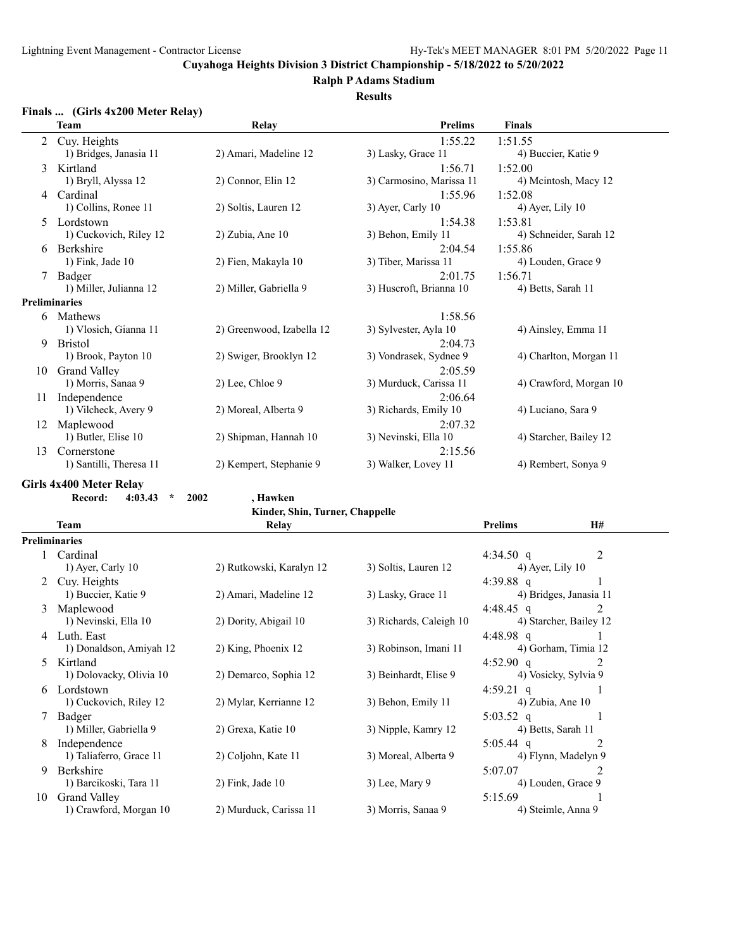**Ralph P Adams Stadium**

#### **Results**

#### **Finals ... (Girls 4x200 Meter Relay)**

|    | Team                    | Relay                     | <b>Prelims</b>           | <b>Finals</b>          |
|----|-------------------------|---------------------------|--------------------------|------------------------|
| 2  | Cuy. Heights            |                           | 1:55.22                  | 1:51.55                |
|    | 1) Bridges, Janasia 11  | 2) Amari, Madeline 12     | 3) Lasky, Grace 11       | 4) Buccier, Katie 9    |
| 3  | Kirtland                |                           | 1:56.71                  | 1:52.00                |
|    | 1) Bryll, Alyssa 12     | 2) Connor, Elin 12        | 3) Carmosino, Marissa 11 | 4) Meintosh, Macy 12   |
| 4  | Cardinal                |                           | 1:55.96                  | 1:52.08                |
|    | 1) Collins, Ronee 11    | 2) Soltis, Lauren 12      | 3) Ayer, Carly 10        | $(4)$ Ayer, Lily 10    |
|    | 5 Lordstown             |                           | 1:54.38                  | 1:53.81                |
|    | 1) Cuckovich, Riley 12  | $2)$ Zubia, Ane $10$      | 3) Behon, Emily 11       | 4) Schneider, Sarah 12 |
| 6  | Berkshire               |                           | 2:04.54                  | 1:55.86                |
|    | $1)$ Fink, Jade $10$    | 2) Fien, Makayla 10       | 3) Tiber, Marissa 11     | 4) Louden, Grace 9     |
| 7  | Badger                  |                           | 2:01.75                  | 1:56.71                |
|    | 1) Miller, Julianna 12  | 2) Miller, Gabriella 9    | 3) Huscroft, Brianna 10  | 4) Betts, Sarah 11     |
|    | <b>Preliminaries</b>    |                           |                          |                        |
|    | 6 Mathews               |                           | 1:58.56                  |                        |
|    | 1) Vlosich, Gianna 11   | 2) Greenwood, Izabella 12 | 3) Sylvester, Ayla 10    | 4) Ainsley, Emma 11    |
| 9  | <b>Bristol</b>          |                           | 2:04.73                  |                        |
|    | 1) Brook, Payton 10     | 2) Swiger, Brooklyn 12    | 3) Vondrasek, Sydnee 9   | 4) Charlton, Morgan 11 |
| 10 | <b>Grand Valley</b>     |                           | 2:05.59                  |                        |
|    | 1) Morris, Sanaa 9      | $2)$ Lee, Chloe 9         | 3) Murduck, Carissa 11   | 4) Crawford, Morgan 10 |
| 11 | Independence            |                           | 2:06.64                  |                        |
|    | 1) Vilcheck, Avery 9    | 2) Moreal, Alberta 9      | 3) Richards, Emily 10    | 4) Luciano, Sara 9     |
| 12 | Maplewood               |                           | 2:07.32                  |                        |
|    | 1) Butler, Elise 10     | 2) Shipman, Hannah 10     | 3) Nevinski, Ella 10     | 4) Starcher, Bailey 12 |
| 13 | Cornerstone             |                           | 2:15.56                  |                        |
|    | 1) Santilli, Theresa 11 | 2) Kempert, Stephanie 9   | 3) Walker, Lovey 11      | 4) Rembert, Sonya 9    |
|    |                         |                           |                          |                        |

# **Girls 4x400 Meter Relay**

**Record: 4:03.43 \* 2002 , Hawken**

|  |  | Kinder, Shin, Turner, Chappelle |  |  |
|--|--|---------------------------------|--|--|
|--|--|---------------------------------|--|--|

|    | Team                    | Relay                    |                         | Prelims             | H#                     |  |
|----|-------------------------|--------------------------|-------------------------|---------------------|------------------------|--|
|    | <b>Preliminaries</b>    |                          |                         |                     |                        |  |
|    | Cardinal                |                          |                         | 4:34.50 q           | 2                      |  |
|    | 1) Ayer, Carly 10       | 2) Rutkowski, Karalyn 12 | 3) Soltis, Lauren 12    | $(4)$ Ayer, Lily 10 |                        |  |
|    | Cuy. Heights            |                          |                         | 4:39.88 q           |                        |  |
|    | 1) Buccier, Katie 9     | 2) Amari, Madeline 12    | 3) Lasky, Grace 11      |                     | 4) Bridges, Janasia 11 |  |
| 3  | Maplewood               |                          |                         | 4:48.45 q           | 2                      |  |
|    | 1) Nevinski, Ella 10    | 2) Dority, Abigail 10    | 3) Richards, Caleigh 10 |                     | 4) Starcher, Bailey 12 |  |
| 4  | Luth. East              |                          |                         | 4:48.98 q           |                        |  |
|    | 1) Donaldson, Amiyah 12 | 2) King, Phoenix 12      | 3) Robinson, Imani 11   |                     | 4) Gorham, Timia 12    |  |
| 5. | Kirtland                |                          |                         | $4:52.90$ q         | 2                      |  |
|    | 1) Dolovacky, Olivia 10 | 2) Demarco, Sophia 12    | 3) Beinhardt, Elise 9   |                     | 4) Vosicky, Sylvia 9   |  |
|    | 6 Lordstown             |                          |                         | 4:59.21 $q$         |                        |  |
|    | 1) Cuckovich, Riley 12  | 2) Mylar, Kerrianne 12   | 3) Behon, Emily 11      | 4) Zubia, Ane 10    |                        |  |
|    | Badger                  |                          |                         | $5:03.52$ q         |                        |  |
|    | 1) Miller, Gabriella 9  | 2) Grexa, Katie 10       | 3) Nipple, Kamry 12     | 4) Betts, Sarah 11  |                        |  |
| 8  | Independence            |                          |                         | $5:05.44$ q         | 2                      |  |
|    | 1) Taliaferro, Grace 11 | 2) Coljohn, Kate 11      | 3) Moreal, Alberta 9    |                     | 4) Flynn, Madelyn 9    |  |
| 9  | Berkshire               |                          |                         | 5:07.07             |                        |  |
|    | 1) Barcikoski, Tara 11  | $2)$ Fink, Jade 10       | $3)$ Lee, Mary 9        |                     | 4) Louden, Grace 9     |  |
| 10 | <b>Grand Valley</b>     |                          |                         | 5:15.69             |                        |  |
|    | 1) Crawford, Morgan 10  | 2) Murduck, Carissa 11   | 3) Morris, Sanaa 9      |                     | 4) Steimle, Anna 9     |  |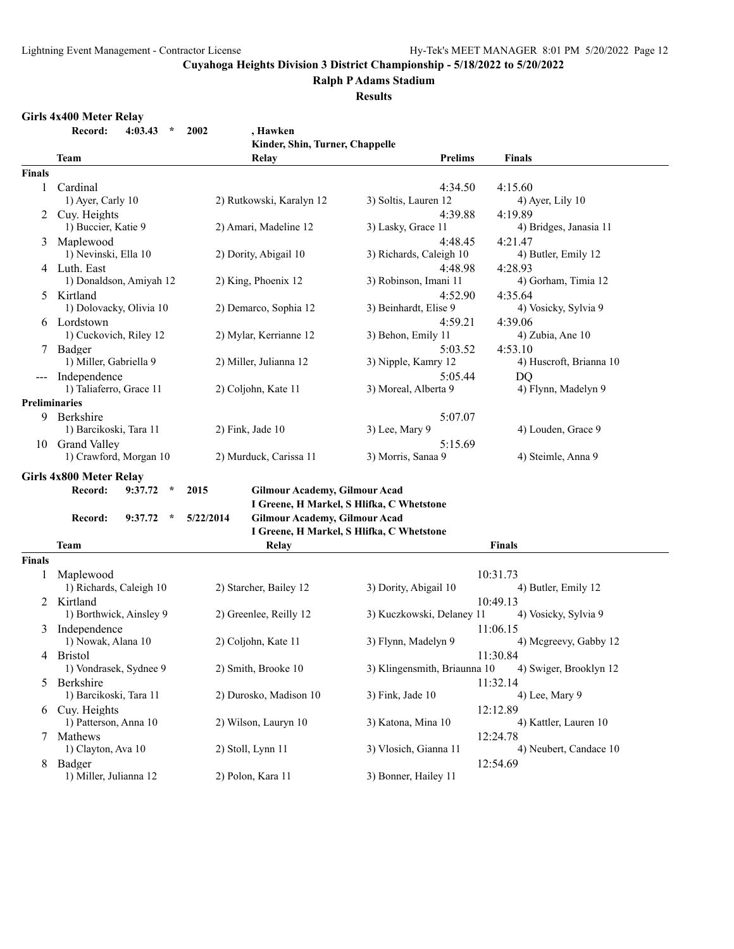#### **Ralph P Adams Stadium**

**Results**

#### **Girls 4x400 Meter Relay**

| Record: | 4:03.43 | $*$ 2002 |  |
|---------|---------|----------|--|

|                      | $\star$<br>Record:<br>4:03.43 | 2002<br>, Hawken                                  |                                           |                         |
|----------------------|-------------------------------|---------------------------------------------------|-------------------------------------------|-------------------------|
|                      |                               | Kinder, Shin, Turner, Chappelle                   |                                           |                         |
|                      | <b>Team</b>                   | Relay                                             | <b>Prelims</b>                            | Finals                  |
| <b>Finals</b>        |                               |                                                   |                                           |                         |
| $\mathbf{1}$         | Cardinal                      |                                                   | 4:34.50                                   | 4:15.60                 |
|                      | 1) Ayer, Carly 10             | 2) Rutkowski, Karalyn 12                          | 3) Soltis, Lauren 12                      | $4)$ Ayer, Lily 10      |
| 2                    | Cuy. Heights                  |                                                   | 4:39.88                                   | 4:19.89                 |
|                      | 1) Buccier, Katie 9           | 2) Amari, Madeline 12                             | 3) Lasky, Grace 11                        | 4) Bridges, Janasia 11  |
| 3                    | Maplewood                     |                                                   | 4:48.45                                   | 4:21.47                 |
|                      | 1) Nevinski, Ella 10          | 2) Dority, Abigail 10                             | 3) Richards, Caleigh 10                   | 4) Butler, Emily 12     |
|                      | 4 Luth. East                  |                                                   | 4:48.98                                   | 4:28.93                 |
|                      | 1) Donaldson, Amiyah 12       | 2) King, Phoenix 12                               | 3) Robinson, Imani 11                     | 4) Gorham, Timia 12     |
| 5.                   | Kirtland                      |                                                   | 4:52.90                                   | 4:35.64                 |
|                      | 1) Dolovacky, Olivia 10       | 2) Demarco, Sophia 12                             | 3) Beinhardt, Elise 9                     | 4) Vosicky, Sylvia 9    |
| 6                    | Lordstown                     |                                                   | 4:59.21                                   | 4:39.06                 |
|                      | 1) Cuckovich, Riley 12        | 2) Mylar, Kerrianne 12                            | 3) Behon, Emily 11                        | 4) Zubia, Ane 10        |
|                      | Badger                        |                                                   | 5:03.52                                   | 4:53.10                 |
|                      | 1) Miller, Gabriella 9        | 2) Miller, Julianna 12                            | 3) Nipple, Kamry 12                       | 4) Huscroft, Brianna 10 |
|                      | Independence                  |                                                   | 5:05.44                                   | <b>DQ</b>               |
|                      | 1) Taliaferro, Grace 11       | 2) Coljohn, Kate 11                               | 3) Moreal, Alberta 9                      | 4) Flynn, Madelyn 9     |
| <b>Preliminaries</b> |                               |                                                   |                                           |                         |
|                      | 9 Berkshire                   |                                                   | 5:07.07                                   |                         |
|                      | 1) Barcikoski, Tara 11        | 2) Fink, Jade 10                                  | 3) Lee, Mary 9                            | 4) Louden, Grace 9      |
|                      | 10 Grand Valley               |                                                   | 5:15.69                                   |                         |
|                      | 1) Crawford, Morgan 10        | 2) Murduck, Carissa 11                            | 3) Morris, Sanaa 9                        | 4) Steimle, Anna 9      |
|                      | Girls 4x800 Meter Relay       |                                                   |                                           |                         |
|                      | Record:<br>9:37.72<br>$\star$ | 2015<br><b>Gilmour Academy, Gilmour Acad</b>      |                                           |                         |
|                      |                               |                                                   | I Greene, H Markel, S Hlifka, C Whetstone |                         |
|                      | Record:<br>9:37.72<br>$\star$ | <b>Gilmour Academy, Gilmour Acad</b><br>5/22/2014 |                                           |                         |
|                      |                               |                                                   | I Greene, H Markel, S Hlifka, C Whetstone |                         |
|                      | <b>Team</b>                   | Relay                                             |                                           | <b>Finals</b>           |
| <b>Finals</b>        |                               |                                                   |                                           |                         |
| 1                    | Maplewood                     |                                                   |                                           | 10:31.73                |
|                      | 1) Richards, Caleigh 10       | 2) Starcher, Bailey 12                            | 3) Dority, Abigail 10                     | 4) Butler, Emily 12     |
|                      | 2 Kirtland                    |                                                   |                                           | 10:49.13                |
|                      | 1) Borthwick, Ainsley 9       | 2) Greenlee, Reilly 12                            | 3) Kuczkowski, Delaney 11                 | 4) Vosicky, Sylvia 9    |
|                      | 3 Independence                |                                                   |                                           | 11:06.15                |
|                      | 1) Nowak, Alana 10            | 2) Coljohn, Kate 11                               | 3) Flynn, Madelyn 9                       | 4) Mcgreevy, Gabby 12   |
|                      | 4 Bristol                     |                                                   |                                           | 11:30.84                |
|                      | 1) Vondrasek, Sydnee 9        | 2) Smith, Brooke 10                               | 3) Klingensmith, Briaunna 10              | 4) Swiger, Brooklyn 12  |
| 5                    | Berkshire                     |                                                   |                                           | 11:32.14                |
|                      | 1) Barcikoski, Tara 11        | 2) Durosko, Madison 10                            | 3) Fink, Jade 10                          | 4) Lee, Mary 9          |
|                      | 6 Cuy. Heights                |                                                   |                                           | 12:12.89                |
|                      | 1) Patterson, Anna 10         | 2) Wilson, Lauryn 10                              | 3) Katona, Mina 10                        | 4) Kattler, Lauren 10   |
|                      | 7 Mathews                     |                                                   |                                           | 12:24.78                |
|                      | 1) Clayton, Ava 10            | 2) Stoll, Lynn 11                                 | 3) Vlosich, Gianna 11                     | 4) Neubert, Candace 10  |
|                      | Badger                        |                                                   |                                           | 12:54.69                |
| 8                    | 1) Miller, Julianna 12        | 2) Polon, Kara 11                                 | 3) Bonner, Hailey 11                      |                         |
|                      |                               |                                                   |                                           |                         |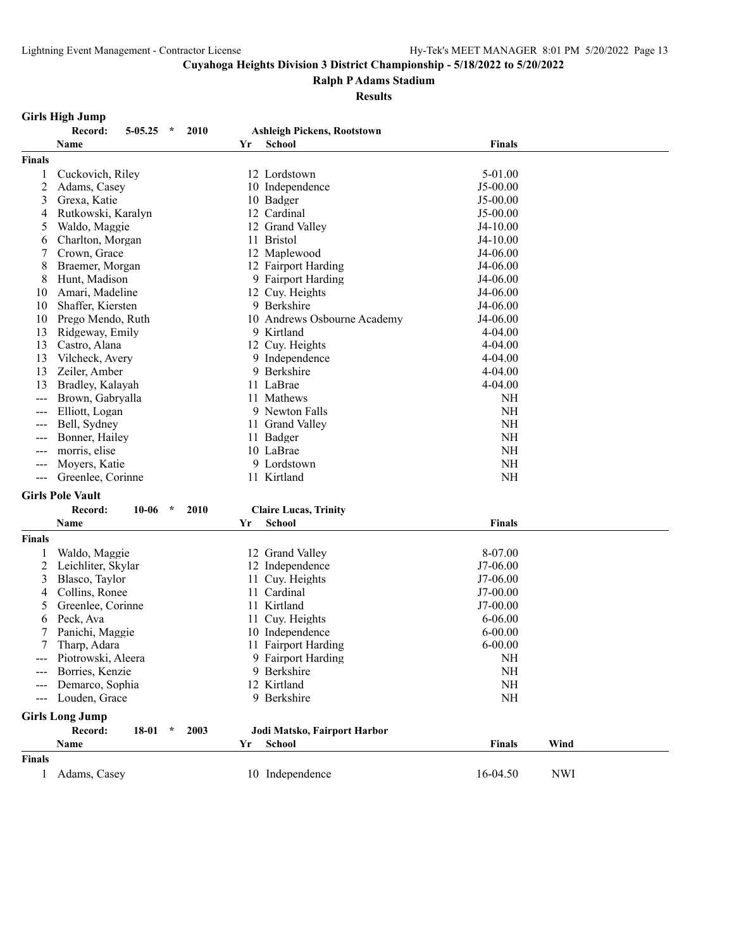#### **Ralph P Adams Stadium**

#### **Results**

| Girls High Jump |                   |      |                                    |
|-----------------|-------------------|------|------------------------------------|
|                 | Record: 5-05.25 * | 2010 | <b>Ashleigh Pickens, Rootstown</b> |

|               | Name                                    | Yr | <b>School</b>                | <b>Finals</b> |      |
|---------------|-----------------------------------------|----|------------------------------|---------------|------|
| <b>Finals</b> |                                         |    |                              |               |      |
| 1             | Cuckovich, Riley                        |    | 12 Lordstown                 | 5-01.00       |      |
| 2             | Adams, Casey                            |    | 10 Independence              | J5-00.00      |      |
| 3             | Grexa, Katie                            |    | 10 Badger                    | $J5-00.00$    |      |
| 4             | Rutkowski, Karalyn                      |    | 12 Cardinal                  | $J5-00.00$    |      |
| 5             | Waldo, Maggie                           |    | 12 Grand Valley              | $J4-10.00$    |      |
| 6             | Charlton, Morgan                        |    | 11 Bristol                   | $J4-10.00$    |      |
| 7             | Crown, Grace                            |    | 12 Maplewood                 | $J4-06.00$    |      |
| 8             | Braemer, Morgan                         |    | 12 Fairport Harding          | $J4-06.00$    |      |
| 8             | Hunt, Madison                           |    | 9 Fairport Harding           | J4-06.00      |      |
| 10            | Amari, Madeline                         |    | 12 Cuy. Heights              | $J4-06.00$    |      |
| 10            | Shaffer, Kiersten                       |    | 9 Berkshire                  | $J4-06.00$    |      |
| 10            | Prego Mendo, Ruth                       |    | 10 Andrews Osbourne Academy  | $J4-06.00$    |      |
| 13            | Ridgeway, Emily                         |    | 9 Kirtland                   | 4-04.00       |      |
| 13            | Castro, Alana                           |    | 12 Cuy. Heights              | 4-04.00       |      |
| 13            | Vilcheck, Avery                         |    | 9 Independence               | $4 - 04.00$   |      |
| 13            | Zeiler, Amber                           |    | 9 Berkshire                  | $4 - 04.00$   |      |
| 13            | Bradley, Kalayah                        |    | 11 LaBrae                    | 4-04.00       |      |
|               | Brown, Gabryalla                        |    | 11 Mathews                   | NH            |      |
|               | Elliott, Logan                          |    | 9 Newton Falls               | <b>NH</b>     |      |
|               | Bell, Sydney                            |    | 11 Grand Valley              | NH            |      |
| ---           | Bonner, Hailey                          |    | 11 Badger                    | NH            |      |
| ---           | morris, elise                           |    | 10 LaBrae                    | <b>NH</b>     |      |
| $---$         | Moyers, Katie                           |    | 9 Lordstown                  | NH            |      |
| $---$         | Greenlee, Corinne                       |    | 11 Kirtland                  | NH            |      |
|               | <b>Girls Pole Vault</b>                 |    |                              |               |      |
|               | $10 - 06$<br>$\star$<br>Record:<br>2010 |    | <b>Claire Lucas, Trinity</b> |               |      |
|               | Name                                    | Yr | <b>School</b>                | <b>Finals</b> |      |
| <b>Finals</b> |                                         |    |                              |               |      |
| 1             | Waldo, Maggie                           |    | 12 Grand Valley              | 8-07.00       |      |
| 2             | Leichliter, Skylar                      |    | 12 Independence              | J7-06.00      |      |
| 3             | Blasco, Taylor                          |    | 11 Cuy. Heights              | J7-06.00      |      |
| 4             | Collins, Ronee                          |    | 11 Cardinal                  | $J7-00.00$    |      |
| 5             | Greenlee, Corinne                       |    | 11 Kirtland                  | $J7-00.00$    |      |
| 6             | Peck, Ava                               |    | 11 Cuy. Heights              | $6 - 06.00$   |      |
| 7             | Panichi, Maggie                         |    | 10 Independence              | $6 - 00.00$   |      |
| 7             | Tharp, Adara                            |    | 11 Fairport Harding          | $6 - 00.00$   |      |
|               | Piotrowski, Aleera                      |    | 9 Fairport Harding           | NH            |      |
|               | Borries, Kenzie                         |    | 9 Berkshire                  | NH            |      |
|               | Demarco, Sophia                         |    | 12 Kirtland                  | NH            |      |
| $\frac{1}{2}$ | Louden, Grace                           |    | 9 Berkshire                  | NH            |      |
|               |                                         |    |                              |               |      |
|               | <b>Girls Long Jump</b><br>$\star$       |    |                              |               |      |
|               | Record:<br>18-01<br>2003                |    | Jodi Matsko, Fairport Harbor |               |      |
|               | Name                                    | Yr | <b>School</b>                | <b>Finals</b> | Wind |
| <b>Finals</b> |                                         |    |                              |               |      |

1 Adams, Casey 10 Independence 16-04.50 NWI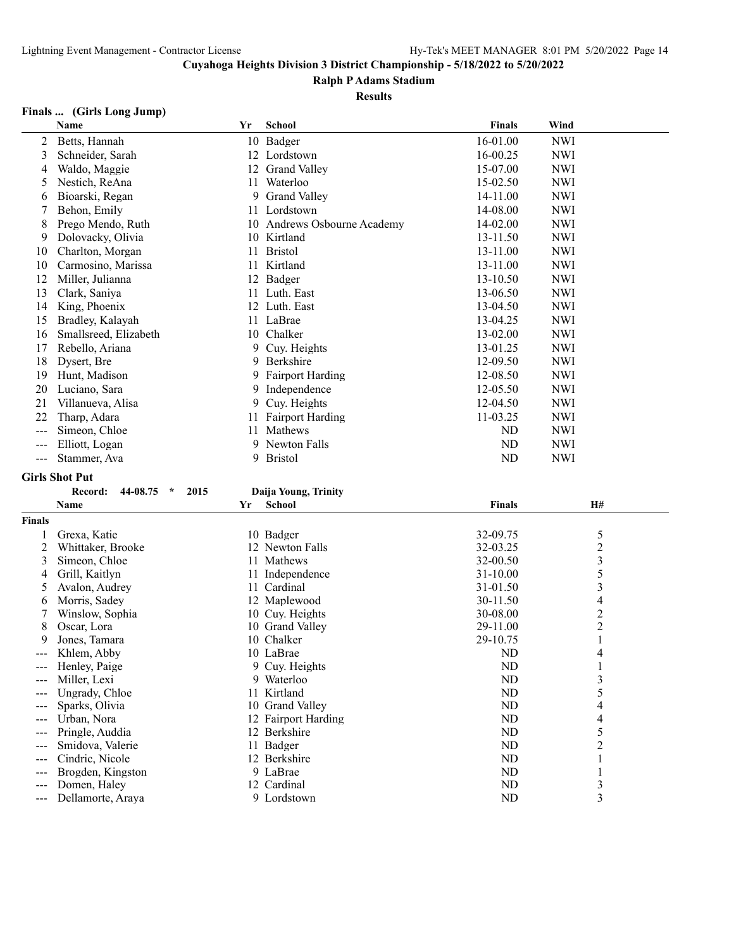#### **Ralph P Adams Stadium**

#### **Results**

#### **Finals ... (Girls Long Jump)**

|       | <b>Name</b>           | Yr | <b>School</b>            | <b>Finals</b> | Wind       |
|-------|-----------------------|----|--------------------------|---------------|------------|
| 2     | Betts, Hannah         |    | 10 Badger                | 16-01.00      | <b>NWI</b> |
| 3     | Schneider, Sarah      |    | 12 Lordstown             | 16-00.25      | <b>NWI</b> |
| 4     | Waldo, Maggie         | 12 | <b>Grand Valley</b>      | 15-07.00      | <b>NWI</b> |
| 5     | Nestich, ReAna        | 11 | Waterloo                 | 15-02.50      | NWI        |
| 6     | Bioarski, Regan       | 9. | <b>Grand Valley</b>      | 14-11.00      | <b>NWI</b> |
|       | Behon, Emily          |    | 11 Lordstown             | 14-08.00      | <b>NWI</b> |
| 8     | Prego Mendo, Ruth     | 10 | Andrews Osbourne Academy | 14-02.00      | <b>NWI</b> |
| 9     | Dolovacky, Olivia     |    | 10 Kirtland              | 13-11.50      | <b>NWI</b> |
| 10    | Charlton, Morgan      | 11 | <b>Bristol</b>           | 13-11.00      | <b>NWI</b> |
| 10    | Carmosino, Marissa    | 11 | Kirtland                 | 13-11.00      | <b>NWI</b> |
| 12    | Miller, Julianna      | 12 | Badger                   | 13-10.50      | <b>NWI</b> |
| 13    | Clark, Saniya         | 11 | Luth. East               | 13-06.50      | <b>NWI</b> |
| 14    | King, Phoenix         | 12 | Luth. East               | 13-04.50      | <b>NWI</b> |
| 15    | Bradley, Kalayah      |    | 11 LaBrae                | 13-04.25      | <b>NWI</b> |
| 16    | Smallsreed, Elizabeth | 10 | Chalker                  | 13-02.00      | <b>NWI</b> |
| 17    | Rebello, Ariana       | 9  | Cuy. Heights             | 13-01.25      | <b>NWI</b> |
| 18    | Dysert, Bre           | 9  | Berkshire                | 12-09.50      | <b>NWI</b> |
| 19    | Hunt, Madison         | 9. | <b>Fairport Harding</b>  | 12-08.50      | <b>NWI</b> |
| 20    | Luciano, Sara         | 9. | Independence             | 12-05.50      | <b>NWI</b> |
| 21    | Villanueva, Alisa     | 9  | Cuy. Heights             | 12-04.50      | <b>NWI</b> |
| 22    | Tharp, Adara          | 11 | <b>Fairport Harding</b>  | 11-03.25      | <b>NWI</b> |
| $---$ | Simeon, Chloe         | 11 | Mathews                  | ND            | <b>NWI</b> |
| $---$ | Elliott, Logan        | 9  | Newton Falls             | ND            | <b>NWI</b> |
| ---   | Stammer, Ava          | 9  | <b>Bristol</b>           | ND            | <b>NWI</b> |

#### **Girls Shot Put**

|                   | 44-08.75<br>2015<br>Record:<br>$\star$ |    | Daija Young, Trinity |               |                |  |
|-------------------|----------------------------------------|----|----------------------|---------------|----------------|--|
|                   | Name                                   | Yr | <b>School</b>        | <b>Finals</b> | H#             |  |
| <b>Finals</b>     |                                        |    |                      |               |                |  |
|                   | Grexa, Katie                           |    | 10 Badger            | 32-09.75      | 5              |  |
|                   | Whittaker, Brooke                      |    | 12 Newton Falls      | 32-03.25      | $\overline{c}$ |  |
| 3                 | Simeon, Chloe                          |    | 11 Mathews           | 32-00.50      | 3              |  |
| 4                 | Grill, Kaitlyn                         |    | 11 Independence      | 31-10.00      | 5              |  |
| 5.                | Avalon, Audrey                         | 11 | Cardinal             | 31-01.50      | 3              |  |
| 6                 | Morris, Sadey                          |    | 12 Maplewood         | 30-11.50      | 4              |  |
|                   | Winslow, Sophia                        |    | 10 Cuy. Heights      | 30-08.00      | 2              |  |
| 8                 | Oscar, Lora                            |    | 10 Grand Valley      | 29-11.00      | 2              |  |
| 9                 | Jones, Tamara                          |    | 10 Chalker           | 29-10.75      |                |  |
| $---$             | Khlem, Abby                            |    | 10 LaBrae            | ND            | 4              |  |
| ---               | Henley, Paige                          |    | 9 Cuy. Heights       | ND            |                |  |
| $\qquad \qquad -$ | Miller, Lexi                           |    | 9 Waterloo           | ND            | 3              |  |
| $---$             | Ungrady, Chloe                         |    | 11 Kirtland          | ND            | 5              |  |
| $---$             | Sparks, Olivia                         |    | 10 Grand Valley      | ND            | 4              |  |
| $---$             | Urban, Nora                            |    | 12 Fairport Harding  | ND            | 4              |  |
|                   | Pringle, Auddia                        |    | 12 Berkshire         | ND            | 5              |  |
|                   | Smidova, Valerie                       |    | 11 Badger            | ND            | 2              |  |
| ---               | Cindric, Nicole                        |    | 12 Berkshire         | ND            |                |  |
|                   | Brogden, Kingston                      |    | 9 LaBrae             | ND            |                |  |
| $---$             | Domen, Haley                           |    | 12 Cardinal          | ND            | 3              |  |
| $\qquad \qquad -$ | Dellamorte, Araya                      |    | 9 Lordstown          | ND            | 3              |  |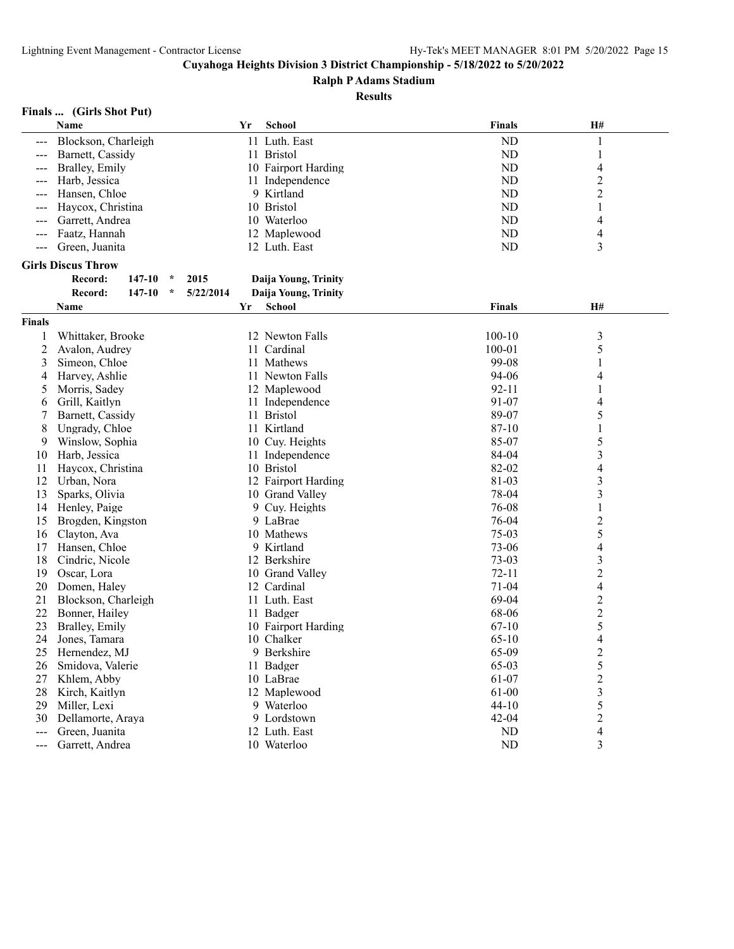**Ralph P Adams Stadium**

#### **Results**

## **Finals ... (Girls Shot Put)**

|                      | Name                      |                      | Yr | <b>School</b>        | <b>Finals</b> | H#                       |  |
|----------------------|---------------------------|----------------------|----|----------------------|---------------|--------------------------|--|
|                      | Blockson, Charleigh       |                      |    | 11 Luth. East        | ND            | 1                        |  |
| $\sim$ $\sim$ $\sim$ | Barnett, Cassidy          |                      |    | 11 Bristol           | ND            | 1                        |  |
|                      | Bralley, Emily            |                      |    | 10 Fairport Harding  | ND            | 4                        |  |
| $--$                 | Harb, Jessica             |                      |    | 11 Independence      | ND            | $\overline{c}$           |  |
| $---$                | Hansen, Chloe             |                      |    | 9 Kirtland           | ND            | $\overline{c}$           |  |
| $---$                | Haycox, Christina         |                      |    | 10 Bristol           | ND            | 1                        |  |
|                      | Garrett, Andrea           |                      |    | 10 Waterloo          | ND            | 4                        |  |
| $\sim$ $\sim$ $\sim$ | Faatz, Hannah             |                      |    | 12 Maplewood         | ND            | $\overline{\mathcal{L}}$ |  |
| $---$                | Green, Juanita            |                      |    | 12 Luth. East        | ND            | 3                        |  |
|                      | <b>Girls Discus Throw</b> |                      |    |                      |               |                          |  |
|                      | Record:<br>147-10         | 2015<br>$\star$      |    | Daija Young, Trinity |               |                          |  |
|                      | Record:<br>147-10         | 5/22/2014<br>$\star$ |    | Daija Young, Trinity |               |                          |  |
|                      | Name                      |                      | Yr | <b>School</b>        | <b>Finals</b> | H#                       |  |
|                      |                           |                      |    |                      |               |                          |  |
| <b>Finals</b>        |                           |                      |    |                      |               |                          |  |
| 1                    | Whittaker, Brooke         |                      |    | 12 Newton Falls      | $100 - 10$    | 3                        |  |
| 2                    | Avalon, Audrey            |                      |    | 11 Cardinal          | $100 - 01$    | 5                        |  |
| 3                    | Simeon, Chloe             |                      |    | 11 Mathews           | 99-08         | 1                        |  |
| 4                    | Harvey, Ashlie            |                      |    | 11 Newton Falls      | 94-06         | 4                        |  |
| 5                    | Morris, Sadey             |                      |    | 12 Maplewood         | $92 - 11$     |                          |  |
| 6                    | Grill, Kaitlyn            |                      |    | 11 Independence      | 91-07         | 4                        |  |
| 7                    | Barnett, Cassidy          |                      |    | 11 Bristol           | 89-07         | 5                        |  |
| 8                    | Ungrady, Chloe            |                      |    | 11 Kirtland          | 87-10         | $\mathbf{1}$             |  |
| 9                    | Winslow, Sophia           |                      |    | 10 Cuy. Heights      | 85-07         | 5                        |  |
| 10                   | Harb, Jessica             |                      |    | 11 Independence      | 84-04         | 3                        |  |
| 11                   | Haycox, Christina         |                      |    | 10 Bristol           | 82-02         | 4                        |  |
| 12                   | Urban, Nora               |                      |    | 12 Fairport Harding  | 81-03         | 3                        |  |
| 13                   | Sparks, Olivia            |                      |    | 10 Grand Valley      | 78-04         | 3                        |  |
| 14                   | Henley, Paige             |                      |    | 9 Cuy. Heights       | 76-08         | $\mathbf{1}$             |  |
| 15                   | Brogden, Kingston         |                      |    | 9 LaBrae             | 76-04         | $\overline{\mathbf{c}}$  |  |
| 16                   | Clayton, Ava              |                      |    | 10 Mathews           | 75-03         | 5                        |  |
| 17                   | Hansen, Chloe             |                      |    | 9 Kirtland           | $73 - 06$     | $\overline{\mathcal{L}}$ |  |
| 18                   | Cindric, Nicole           |                      |    | 12 Berkshire         | $73-03$       | 3                        |  |
| 19                   | Oscar, Lora               |                      |    | 10 Grand Valley      | $72 - 11$     | $\overline{c}$           |  |
| 20                   | Domen, Haley              |                      |    | 12 Cardinal          | $71 - 04$     | $\overline{\mathcal{L}}$ |  |
| 21                   | Blockson, Charleigh       |                      |    | 11 Luth. East        | 69-04         | $\overline{\mathbf{c}}$  |  |
| 22                   | Bonner, Hailey            |                      |    | 11 Badger            | 68-06         | $\overline{c}$           |  |
| 23                   | Bralley, Emily            |                      |    | 10 Fairport Harding  | $67-10$       | 5                        |  |
| 24                   | Jones, Tamara             |                      |    | 10 Chalker           | $65-10$       | $\overline{\mathcal{L}}$ |  |
| 25                   | Hernendez, MJ             |                      |    | 9 Berkshire          | 65-09         | $\overline{2}$           |  |
| 26                   | Smidova, Valerie          |                      |    | 11 Badger            | 65-03         | 5                        |  |
| 27                   | Khlem, Abby               |                      |    | 10 LaBrae            | 61-07         | $\overline{\mathbf{c}}$  |  |
| 28                   | Kirch, Kaitlyn            |                      |    | 12 Maplewood         | 61-00         | $\overline{\mathbf{3}}$  |  |
| 29                   | Miller, Lexi              |                      |    | 9 Waterloo           | $44 - 10$     | 5                        |  |
| 30                   | Dellamorte, Araya         |                      |    | 9 Lordstown          | $42 - 04$     | $\overline{\mathbf{c}}$  |  |
| $---$                | Green, Juanita            |                      |    | 12 Luth. East        | ND            | 4                        |  |
| ---                  | Garrett, Andrea           |                      |    | 10 Waterloo          | ${\rm ND}$    | 3                        |  |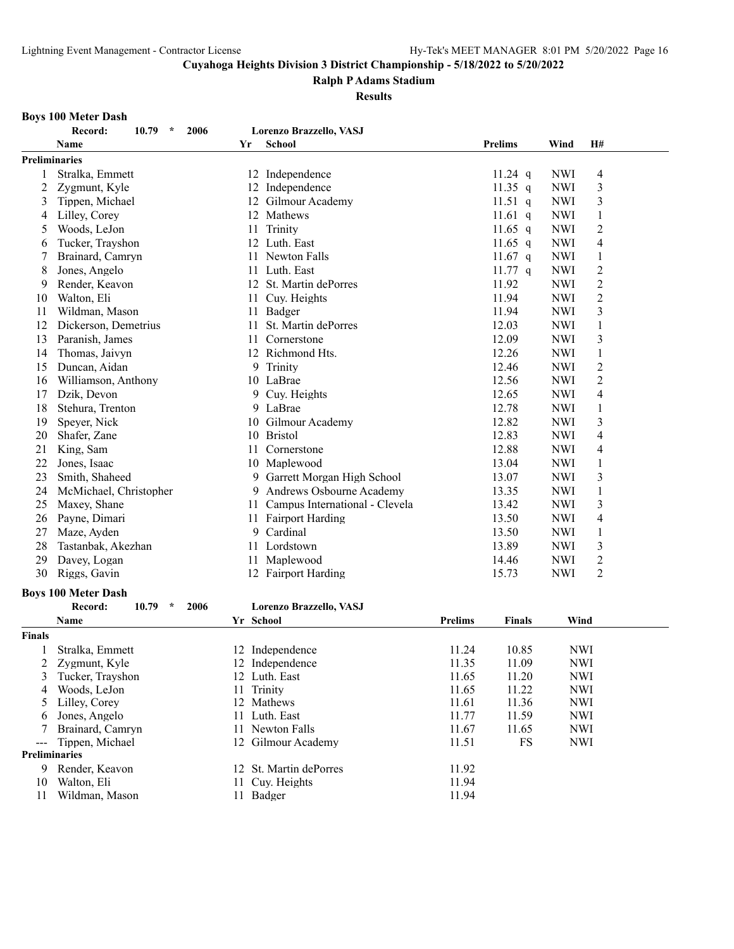#### **Ralph P Adams Stadium**

**Results**

#### **Boys 100 Meter Dash**

|               | 10.79<br>2006<br>$\star$<br>Record: |    | Lorenzo Brazzello, VASJ           |                |            |                |
|---------------|-------------------------------------|----|-----------------------------------|----------------|------------|----------------|
|               | <b>Name</b>                         | Yr | <b>School</b>                     | <b>Prelims</b> | Wind       | H#             |
| Preliminaries |                                     |    |                                   |                |            |                |
|               | Stralka, Emmett                     |    | 12 Independence                   | 11.24 $q$      | <b>NWI</b> | 4              |
| 2             | Zygmunt, Kyle                       | 12 | Independence                      | 11.35 $q$      | <b>NWI</b> | 3              |
| 3             | Tippen, Michael                     | 12 | Gilmour Academy                   | 11.51 $q$      | <b>NWI</b> | 3              |
| 4             | Lilley, Corey                       | 12 | Mathews                           | 11.61 q        | <b>NWI</b> | 1              |
| 5             | Woods, LeJon                        | 11 | Trinity                           | 11.65 $q$      | <b>NWI</b> | $\overline{c}$ |
| 6             | Tucker, Trayshon                    | 12 | Luth. East                        | 11.65 q        | <b>NWI</b> | 4              |
|               | Brainard, Camryn                    | 11 | Newton Falls                      | 11.67 q        | <b>NWI</b> | 1              |
| 8             | Jones, Angelo                       | 11 | Luth. East                        | $11.77$ q      | <b>NWI</b> | 2              |
| 9             | Render, Keavon                      |    | 12 St. Martin dePorres            | 11.92          | <b>NWI</b> | 2              |
| 10            | Walton, Eli                         |    | 11 Cuy. Heights                   | 11.94          | <b>NWI</b> | $\overline{c}$ |
| 11            | Wildman, Mason                      |    | 11 Badger                         | 11.94          | <b>NWI</b> | 3              |
| 12            | Dickerson, Demetrius                | 11 | St. Martin dePorres               | 12.03          | <b>NWI</b> | $\mathbf{1}$   |
| 13            | Paranish, James                     | 11 | Cornerstone                       | 12.09          | <b>NWI</b> | 3              |
| 14            | Thomas, Jaivyn                      | 12 | Richmond Hts.                     | 12.26          | <b>NWI</b> | $\mathbf{1}$   |
| 15            | Duncan, Aidan                       | 9  | Trinity                           | 12.46          | <b>NWI</b> | $\overline{c}$ |
| 16            | Williamson, Anthony                 |    | 10 LaBrae                         | 12.56          | <b>NWI</b> | $\overline{c}$ |
| 17            | Dzik, Devon                         | 9  | Cuy. Heights                      | 12.65          | <b>NWI</b> | 4              |
| 18            | Stehura, Trenton                    | 9. | LaBrae                            | 12.78          | <b>NWI</b> | 1              |
| 19            | Speyer, Nick                        | 10 | Gilmour Academy                   | 12.82          | <b>NWI</b> | 3              |
| 20            | Shafer, Zane                        |    | 10 Bristol                        | 12.83          | <b>NWI</b> | 4              |
| 21            | King, Sam                           | 11 | Cornerstone                       | 12.88          | <b>NWI</b> | 4              |
| 22            | Jones, Isaac                        |    | 10 Maplewood                      | 13.04          | <b>NWI</b> | 1              |
| 23            | Smith, Shaheed                      |    | 9 Garrett Morgan High School      | 13.07          | <b>NWI</b> | 3              |
| 24            | McMichael, Christopher              | 9  | Andrews Osbourne Academy          | 13.35          | <b>NWI</b> | 1              |
| 25            | Maxey, Shane                        |    | 11 Campus International - Clevela | 13.42          | <b>NWI</b> | 3              |
| 26            | Payne, Dimari                       |    | 11 Fairport Harding               | 13.50          | <b>NWI</b> | 4              |
| 27            | Maze, Ayden                         | 9  | Cardinal                          | 13.50          | <b>NWI</b> | $\mathbf{1}$   |
| 28            | Tastanbak, Akezhan                  | 11 | Lordstown                         | 13.89          | <b>NWI</b> | 3              |
| 29            | Davey, Logan                        | 11 | Maplewood                         | 14.46          | <b>NWI</b> | $\overline{c}$ |
| 30            | Riggs, Gavin                        |    | 12 Fairport Harding               | 15.73          | <b>NWI</b> | $\overline{2}$ |
|               | <b>Boys 100 Meter Dash</b>          |    |                                   |                |            |                |
|               | Record:<br>10.79<br>$\star$<br>2006 |    | Lorenzo Brazzello, VASJ           |                |            |                |

| Name             |                                                                        | <b>Prelims</b>                                                                                                                                                                                             | <b>Finals</b> | Wind       |
|------------------|------------------------------------------------------------------------|------------------------------------------------------------------------------------------------------------------------------------------------------------------------------------------------------------|---------------|------------|
|                  |                                                                        |                                                                                                                                                                                                            |               |            |
| Stralka, Emmett  |                                                                        | 11.24                                                                                                                                                                                                      | 10.85         | <b>NWI</b> |
|                  |                                                                        | 11.35                                                                                                                                                                                                      | 11.09         | <b>NWI</b> |
| Tucker, Trayshon |                                                                        | 11.65                                                                                                                                                                                                      | 11.20         | <b>NWI</b> |
| Woods, LeJon     |                                                                        | 11.65                                                                                                                                                                                                      | 11.22         | <b>NWI</b> |
|                  |                                                                        | 11.61                                                                                                                                                                                                      | 11.36         | <b>NWI</b> |
| Jones, Angelo    | 11                                                                     | 11.77                                                                                                                                                                                                      | 11.59         | <b>NWI</b> |
| Brainard, Camryn |                                                                        | 11.67                                                                                                                                                                                                      | 11.65         | <b>NWI</b> |
|                  |                                                                        | 11.51                                                                                                                                                                                                      | FS            | NWI        |
|                  |                                                                        |                                                                                                                                                                                                            |               |            |
| Render, Keavon   |                                                                        | 11.92                                                                                                                                                                                                      |               |            |
| Walton, Eli      |                                                                        | 11.94                                                                                                                                                                                                      |               |            |
| Wildman, Mason   |                                                                        | 11.94                                                                                                                                                                                                      |               |            |
|                  | Zygmunt, Kyle<br>Lilley, Corey<br>--- Tippen, Michael<br>Preliminaries | Yr School<br>12 Independence<br>12 Independence<br>12 Luth. East<br>11 Trinity<br>12 Mathews<br>Luth. East<br>11 Newton Falls<br>12 Gilmour Academy<br>12 St. Martin dePorres<br>11 Cuy. Heights<br>Badger |               |            |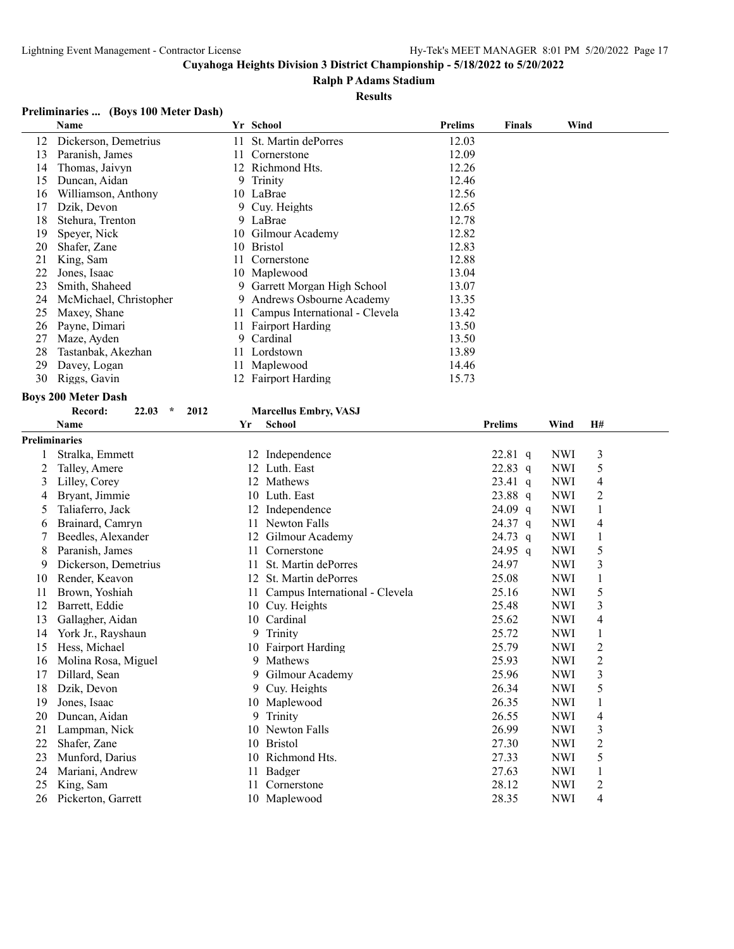#### **Ralph P Adams Stadium**

#### **Results**

#### **Preliminaries ... (Boys 100 Meter Dash)**

|    | Name                   |     | Yr School                      | <b>Prelims</b> | <b>Finals</b> | Wind |
|----|------------------------|-----|--------------------------------|----------------|---------------|------|
| 12 | Dickerson, Demetrius   | 11. | St. Martin dePorres            | 12.03          |               |      |
| 13 | Paranish, James        | 11  | Cornerstone                    | 12.09          |               |      |
| 14 | Thomas, Jaivyn         |     | 12 Richmond Hts.               | 12.26          |               |      |
| 15 | Duncan, Aidan          |     | 9 Trinity                      | 12.46          |               |      |
| 16 | Williamson, Anthony    |     | 10 LaBrae                      | 12.56          |               |      |
| 17 | Dzik, Devon            |     | 9 Cuy. Heights                 | 12.65          |               |      |
| 18 | Stehura, Trenton       |     | 9 LaBrae                       | 12.78          |               |      |
| 19 | Speyer, Nick           |     | 10 Gilmour Academy             | 12.82          |               |      |
| 20 | Shafer, Zane           |     | 10 Bristol                     | 12.83          |               |      |
| 21 | King, Sam              |     | Cornerstone                    | 12.88          |               |      |
| 22 | Jones, Isaac           |     | 10 Maplewood                   | 13.04          |               |      |
| 23 | Smith, Shaheed         |     | 9 Garrett Morgan High School   | 13.07          |               |      |
| 24 | McMichael, Christopher | 9.  | Andrews Osbourne Academy       | 13.35          |               |      |
| 25 | Maxey, Shane           |     | Campus International - Clevela | 13.42          |               |      |
| 26 | Payne, Dimari          |     | <b>Fairport Harding</b>        | 13.50          |               |      |
| 27 | Maze, Ayden            | 9.  | Cardinal                       | 13.50          |               |      |
| 28 | Tastanbak, Akezhan     |     | 11 Lordstown                   | 13.89          |               |      |
| 29 | Davey, Logan           |     | 11 Maplewood                   | 14.46          |               |      |
| 30 | Riggs, Gavin           |     | 12 Fairport Harding            | 15.73          |               |      |

#### **Boys 200 Meter Dash**

#### **Record: 22.03 \* 2012 Marcellus Embry, VASJ**

| <b>Name</b>          | Yr            | <b>School</b>                  | <b>Prelims</b>       | Wind           | H#             |
|----------------------|---------------|--------------------------------|----------------------|----------------|----------------|
| <b>Preliminaries</b> |               |                                |                      |                |                |
| Stralka, Emmett      | 12            | Independence                   | $22.81$ q            | <b>NWI</b>     | 3              |
| Talley, Amere        | 12            | Luth. East                     | $22.83$ q            | <b>NWI</b>     | 5              |
| Lilley, Corey        | 12            | Mathews                        | $23.41 \text{ q}$    | <b>NWI</b>     | 4              |
| Brvant, Jimmie       | 10            | Luth. East                     | $23.88$ q            | <b>NWI</b>     | $\overline{c}$ |
| Taliaferro, Jack     | 12            | Independence                   | $24.09$ q            | <b>NWI</b>     | 1              |
| Brainard, Camryn     | 11            | Newton Falls                   | $24.37$ q            | <b>NWI</b>     | 4              |
| Beedles, Alexander   | 12            | Gilmour Academy                | $24.73$ q            | <b>NWI</b>     | 1              |
| Paranish, James      |               | Cornerstone                    | $24.95$ q            | <b>NWI</b>     | 5              |
| Dickerson, Demetrius | 11            | St. Martin dePorres            | 24.97                | <b>NWI</b>     | 3              |
| Render, Keavon       | 12            | St. Martin dePorres            | 25.08                | <b>NWI</b>     | 1              |
| Brown, Yoshiah       |               | Campus International - Clevela | 25.16                | <b>NWI</b>     | 5              |
| Barrett, Eddie       | 10            | Cuy. Heights                   | 25.48                | <b>NWI</b>     | 3              |
| Gallagher, Aidan     | 10            | Cardinal                       | 25.62                | <b>NWI</b>     | 4              |
| York Jr., Rayshaun   | 9             | Trinity                        | 25.72                | <b>NWI</b>     | 1              |
| Hess, Michael        |               | Fairport Harding               |                      | <b>NWI</b>     | $\overline{2}$ |
| Molina Rosa, Miguel  | 9             | Mathews                        | 25.93                | <b>NWI</b>     | $\overline{c}$ |
|                      | 9             | Gilmour Academy                | 25.96                | <b>NWI</b>     | 3              |
| Dzik, Devon          | 9             | Cuy. Heights                   | 26.34                | <b>NWI</b>     | 5              |
| Jones, Isaac         | 10            | Maplewood                      | 26.35                | <b>NWI</b>     | 1              |
| Duncan, Aidan        | 9             | Trinity                        | 26.55                | <b>NWI</b>     | 4              |
| Lampman, Nick        | 10            | Newton Falls                   |                      | <b>NWI</b>     | 3              |
| Shafer, Zane         | 10            | <b>Bristol</b>                 | 27.30                | <b>NWI</b>     | 2              |
| Munford, Darius      | 10            | Richmond Hts.                  | 27.33                | <b>NWI</b>     | 5              |
| Mariani, Andrew      | 11            | Badger                         | 27.63                | <b>NWI</b>     | 1              |
| King, Sam            | 11            | Cornerstone                    | 28.12                | <b>NWI</b>     | 2              |
| Pickerton, Garrett   |               | Maplewood                      | 28.35                | <b>NWI</b>     | 4              |
|                      | Dillard, Sean |                                | 11<br>11<br>10<br>10 | 25.79<br>26.99 |                |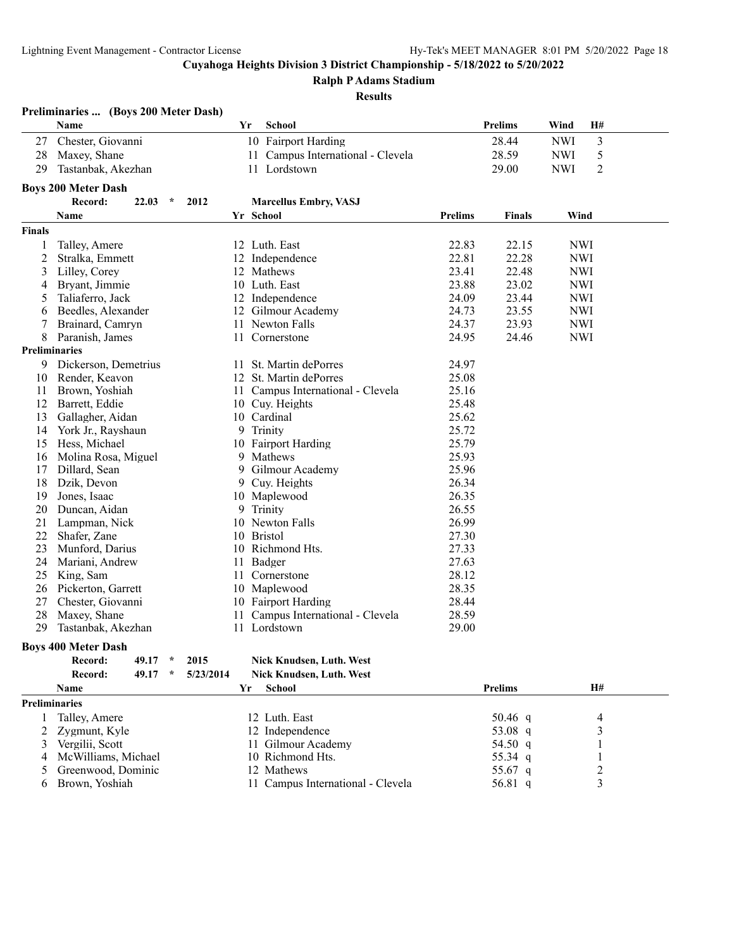**Ralph P Adams Stadium**

#### **Results**

|               | Preliminaries  (Boys 200 Meter Dash) |           |                                   |                |                |            |           |  |
|---------------|--------------------------------------|-----------|-----------------------------------|----------------|----------------|------------|-----------|--|
|               | Name                                 | Yr        | School                            |                | <b>Prelims</b> | Wind       | <b>H#</b> |  |
| 27            | Chester, Giovanni                    |           | 10 Fairport Harding               |                | 28.44          | <b>NWI</b> | 3         |  |
| 28            | Maxey, Shane                         |           | 11 Campus International - Clevela |                | 28.59          | <b>NWI</b> | 5         |  |
| 29            | Tastanbak, Akezhan                   |           | 11 Lordstown                      |                | 29.00          | <b>NWI</b> | 2         |  |
|               | <b>Boys 200 Meter Dash</b>           |           |                                   |                |                |            |           |  |
|               | Record:<br>22.03<br>$\star$          | 2012      | <b>Marcellus Embry, VASJ</b>      |                |                |            |           |  |
|               | Name                                 |           | Yr School                         | <b>Prelims</b> | <b>Finals</b>  | Wind       |           |  |
| <b>Finals</b> |                                      |           |                                   |                |                |            |           |  |
|               | Talley, Amere                        |           | 12 Luth. East                     | 22.83          | 22.15          | <b>NWI</b> |           |  |
| 2             | Stralka, Emmett                      |           | 12 Independence                   | 22.81          | 22.28          | <b>NWI</b> |           |  |
| 3             | Lilley, Corey                        |           | 12 Mathews                        | 23.41          | 22.48          | <b>NWI</b> |           |  |
| 4             | Bryant, Jimmie                       |           | 10 Luth. East                     | 23.88          | 23.02          | <b>NWI</b> |           |  |
| 5             | Taliaferro, Jack                     |           | 12 Independence                   | 24.09          | 23.44          | <b>NWI</b> |           |  |
|               | Beedles, Alexander                   |           |                                   | 24.73          | 23.55          | <b>NWI</b> |           |  |
| 6             |                                      |           | 12 Gilmour Academy                |                | 23.93          | <b>NWI</b> |           |  |
| 7             | Brainard, Camryn                     |           | 11 Newton Falls                   | 24.37          |                |            |           |  |
| 8             | Paranish, James                      | 11        | Cornerstone                       | 24.95          | 24.46          | <b>NWI</b> |           |  |
|               | <b>Preliminaries</b>                 |           |                                   |                |                |            |           |  |
| 9             | Dickerson, Demetrius                 | 11        | St. Martin dePorres               | 24.97          |                |            |           |  |
| 10            | Render, Keavon                       |           | 12 St. Martin dePorres            | 25.08          |                |            |           |  |
| 11            | Brown, Yoshiah                       |           | 11 Campus International - Clevela | 25.16          |                |            |           |  |
| 12            | Barrett, Eddie                       |           | 10 Cuy. Heights                   | 25.48          |                |            |           |  |
| 13            | Gallagher, Aidan                     |           | 10 Cardinal                       | 25.62          |                |            |           |  |
| 14            | York Jr., Rayshaun                   | 9         | Trinity                           | 25.72          |                |            |           |  |
| 15            | Hess, Michael                        |           | 10 Fairport Harding               | 25.79          |                |            |           |  |
| 16            | Molina Rosa, Miguel                  | 9         | Mathews                           | 25.93          |                |            |           |  |
| 17            | Dillard, Sean                        | 9         | Gilmour Academy                   | 25.96          |                |            |           |  |
| 18            | Dzik, Devon                          | 9         | Cuy. Heights                      | 26.34          |                |            |           |  |
| 19            | Jones, Isaac                         |           | 10 Maplewood                      | 26.35          |                |            |           |  |
| 20            | Duncan, Aidan                        | 9         | Trinity                           | 26.55          |                |            |           |  |
| 21            | Lampman, Nick                        |           | 10 Newton Falls                   | 26.99          |                |            |           |  |
| 22            | Shafer, Zane                         | 10        | <b>Bristol</b>                    | 27.30          |                |            |           |  |
| 23            | Munford, Darius                      |           | 10 Richmond Hts.                  | 27.33          |                |            |           |  |
| 24            | Mariani, Andrew                      | 11        | Badger                            | 27.63          |                |            |           |  |
| 25            | King, Sam                            | 11        | Cornerstone                       | 28.12          |                |            |           |  |
| 26            | Pickerton, Garrett                   |           | 10 Maplewood                      | 28.35          |                |            |           |  |
| 27            | Chester, Giovanni                    |           | 10 Fairport Harding               | 28.44          |                |            |           |  |
| 28            | Maxey, Shane                         | 11        | Campus International - Clevela    | 28.59          |                |            |           |  |
| 29            | Tastanbak, Akezhan                   |           | 11 Lordstown                      | 29.00          |                |            |           |  |
|               | <b>Boys 400 Meter Dash</b>           |           |                                   |                |                |            |           |  |
|               | Record:<br>49.17<br>$\mathcal{N}$    | 2015      | Nick Knudsen, Luth. West          |                |                |            |           |  |
|               | Record:<br>49.17<br>$\star$          | 5/23/2014 | Nick Knudsen, Luth. West          |                |                |            |           |  |
|               | Name                                 | Yr        | <b>School</b>                     |                | <b>Prelims</b> |            | H#        |  |
|               | <b>Preliminaries</b>                 |           |                                   |                |                |            |           |  |
| 1             | Talley, Amere                        |           | 12 Luth. East                     |                | 50.46 q        |            | 4         |  |
| 2             | Zygmunt, Kyle                        |           | 12 Independence                   |                | 53.08 q        |            | 3         |  |
| 3             | Vergilii, Scott                      |           | 11 Gilmour Academy                |                | 54.50 q        |            |           |  |
|               | McWilliams, Michael                  |           | 10 Richmond Hts.                  |                |                |            |           |  |
| 4             |                                      |           | 12 Mathews                        |                | 55.34 q        |            |           |  |
| 5             | Greenwood, Dominic                   |           |                                   |                | 55.67 q        |            | 2         |  |
| 6             | Brown, Yoshiah                       |           | 11 Campus International - Clevela |                | 56.81 q        |            | 3         |  |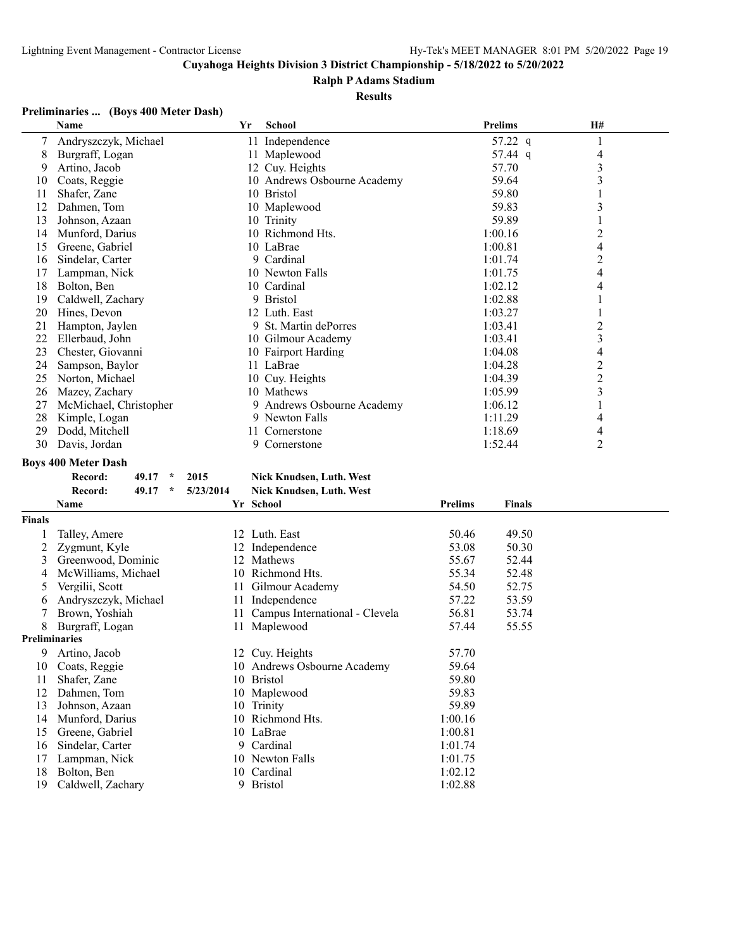#### **Ralph P Adams Stadium**

#### **Results**

#### **Preliminaries ... (Boys 400 Meter Dash)**

|    | Name                   | Yr | <b>School</b>               | <b>Prelims</b> | <b>H#</b> |  |
|----|------------------------|----|-----------------------------|----------------|-----------|--|
| 7  | Andryszczyk, Michael   |    | 11 Independence             | 57.22 q        |           |  |
| 8  | Burgraff, Logan        |    | 11 Maplewood                | 57.44 q        | 4         |  |
| 9  | Artino, Jacob          |    | 12 Cuy. Heights             | 57.70          | 3         |  |
| 10 | Coats, Reggie          |    | 10 Andrews Osbourne Academy | 59.64          | 3         |  |
| 11 | Shafer, Zane           |    | 10 Bristol                  | 59.80          |           |  |
| 12 | Dahmen, Tom            |    | 10 Maplewood                | 59.83          | 3         |  |
| 13 | Johnson, Azaan         |    | 10 Trinity                  | 59.89          |           |  |
| 14 | Munford, Darius        |    | 10 Richmond Hts.            | 1:00.16        | 2         |  |
| 15 | Greene, Gabriel        |    | 10 LaBrae                   | 1:00.81        | 4         |  |
| 16 | Sindelar, Carter       |    | 9 Cardinal                  | 1:01.74        | 2         |  |
| 17 | Lampman, Nick          |    | 10 Newton Falls             | 1:01.75        | 4         |  |
| 18 | Bolton, Ben            |    | 10 Cardinal                 | 1:02.12        | 4         |  |
| 19 | Caldwell, Zachary      |    | 9 Bristol                   | 1:02.88        |           |  |
| 20 | Hines, Devon           |    | 12 Luth. East               | 1:03.27        |           |  |
| 21 | Hampton, Jaylen        |    | 9 St. Martin dePorres       | 1:03.41        | 2         |  |
| 22 | Ellerbaud, John        |    | 10 Gilmour Academy          | 1:03.41        | 3         |  |
| 23 | Chester, Giovanni      |    | 10 Fairport Harding         | 1:04.08        | 4         |  |
| 24 | Sampson, Baylor        |    | 11 LaBrae                   | 1:04.28        | 2         |  |
| 25 | Norton, Michael        |    | 10 Cuy. Heights             | 1:04.39        | 2         |  |
| 26 | Mazey, Zachary         |    | 10 Mathews                  | 1:05.99        | 3         |  |
| 27 | McMichael, Christopher |    | 9 Andrews Osbourne Academy  | 1:06.12        |           |  |
| 28 | Kimple, Logan          |    | 9 Newton Falls              | 1:11.29        | 4         |  |
| 29 | Dodd, Mitchell         |    | Cornerstone                 | 1:18.69        | 4         |  |
| 30 | Davis, Jordan          | 9. | Cornerstone                 | 1:52.44        | 2         |  |

#### **Boys 400 Meter Dash**

| Record: | 49.17 | 2015                    | Nick Knudsen, Luth. West        |
|---------|-------|-------------------------|---------------------------------|
| Record: | 49.17 | $\frac{1}{2}$ 5/23/2014 | <b>Nick Knudsen, Luth. West</b> |

#### **Record: 49.17 \* 2015 Nick Knudsen, Luth. West**

|                      | Name                 |     | Yr School                         | <b>Prelims</b> | <b>Finals</b> |  |
|----------------------|----------------------|-----|-----------------------------------|----------------|---------------|--|
| <b>Finals</b>        |                      |     |                                   |                |               |  |
|                      | Talley, Amere        |     | 12 Luth. East                     | 50.46          | 49.50         |  |
|                      | Zygmunt, Kyle        | 12  | Independence                      | 53.08          | 50.30         |  |
| 3                    | Greenwood, Dominic   | 12. | Mathews                           | 55.67          | 52.44         |  |
| 4                    | McWilliams, Michael  | 10  | Richmond Hts.                     | 55.34          | 52.48         |  |
| $\mathcal{L}$        | Vergilii, Scott      | 11  | Gilmour Academy                   | 54.50          | 52.75         |  |
| 6                    | Andryszczyk, Michael | 11  | Independence                      | 57.22          | 53.59         |  |
|                      | Brown, Yoshiah       |     | 11 Campus International - Clevela | 56.81          | 53.74         |  |
| 8                    | Burgraff, Logan      | 11  | Maplewood                         | 57.44          | 55.55         |  |
| <b>Preliminaries</b> |                      |     |                                   |                |               |  |
| 9                    | Artino, Jacob        |     | 12 Cuy. Heights                   | 57.70          |               |  |
| 10                   | Coats, Reggie        | 10  | Andrews Osbourne Academy          | 59.64          |               |  |
| 11                   | Shafer, Zane         | 10  | <b>Bristol</b>                    | 59.80          |               |  |
| 12                   | Dahmen, Tom          |     | 10 Maplewood                      | 59.83          |               |  |
| 13                   | Johnson, Azaan       | 10  | Trinity                           | 59.89          |               |  |
| 14                   | Munford, Darius      | 10  | Richmond Hts.                     | 1:00.16        |               |  |
| 15                   | Greene, Gabriel      |     | 10 LaBrae                         | 1:00.81        |               |  |
| 16                   | Sindelar, Carter     |     | 9 Cardinal                        | 1:01.74        |               |  |
| 17                   | Lampman, Nick        |     | 10 Newton Falls                   | 1:01.75        |               |  |
| 18                   | Bolton, Ben          |     | 10 Cardinal                       | 1:02.12        |               |  |
| 19                   | Caldwell, Zachary    | 9   | <b>Bristol</b>                    | 1:02.88        |               |  |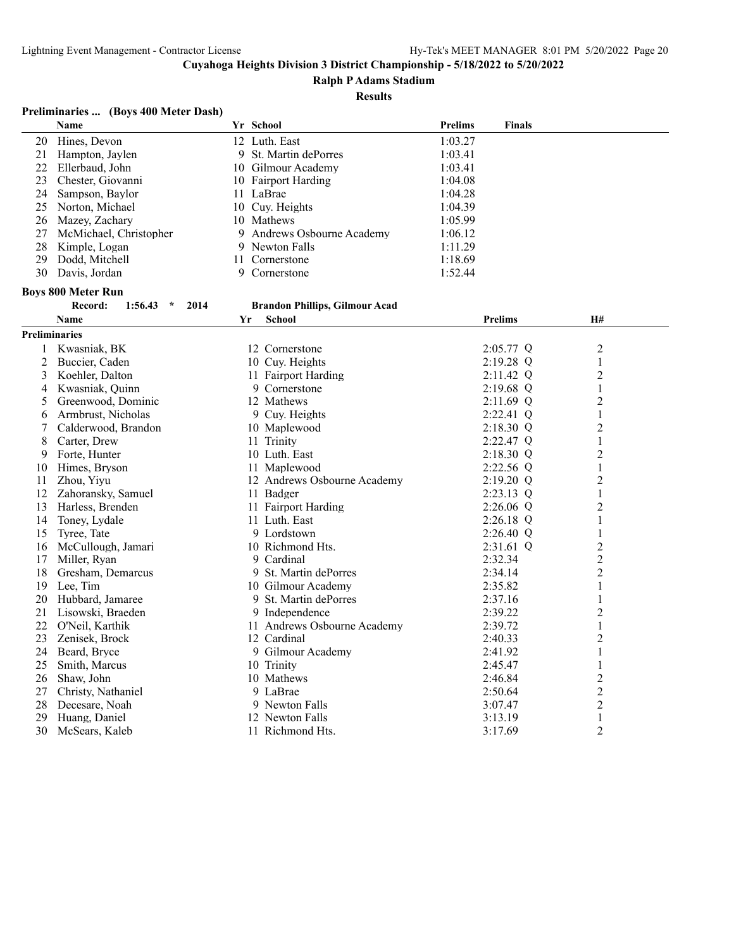#### **Ralph P Adams Stadium**

**Results**

# **Preliminaries ... (Boys 400 Meter Dash)**

|                      | Name                                  |    | Yr School                             | <b>Prelims</b> | <b>Finals</b>  |                |  |
|----------------------|---------------------------------------|----|---------------------------------------|----------------|----------------|----------------|--|
| 20                   | Hines, Devon                          |    | 12 Luth. East                         | 1:03.27        |                |                |  |
| 21                   | Hampton, Jaylen                       |    | 9 St. Martin dePorres                 | 1:03.41        |                |                |  |
| 22                   | Ellerbaud, John                       |    | 10 Gilmour Academy                    | 1:03.41        |                |                |  |
| 23                   | Chester, Giovanni                     |    | 10 Fairport Harding                   | 1:04.08        |                |                |  |
| 24                   | Sampson, Baylor                       |    | 11 LaBrae                             | 1:04.28        |                |                |  |
| 25                   | Norton, Michael                       |    | 10 Cuy. Heights                       | 1:04.39        |                |                |  |
| 26                   | Mazey, Zachary                        |    | 10 Mathews                            | 1:05.99        |                |                |  |
| 27                   | McMichael, Christopher                |    | 9 Andrews Osbourne Academy            | 1:06.12        |                |                |  |
| 28                   | Kimple, Logan                         |    | 9 Newton Falls                        | 1:11.29        |                |                |  |
| 29                   | Dodd, Mitchell                        |    | 11 Cornerstone                        | 1:18.69        |                |                |  |
| 30                   | Davis, Jordan                         |    | 9 Cornerstone                         | 1:52.44        |                |                |  |
|                      | <b>Boys 800 Meter Run</b>             |    |                                       |                |                |                |  |
|                      | Record:<br>1:56.43<br>2014<br>$\star$ |    | <b>Brandon Phillips, Gilmour Acad</b> |                |                |                |  |
|                      | <b>Name</b>                           | Yr | <b>School</b>                         |                | <b>Prelims</b> | <b>H#</b>      |  |
| <b>Preliminaries</b> |                                       |    |                                       |                |                |                |  |
| $\mathbf{1}$         | Kwasniak, BK                          |    | 12 Cornerstone                        |                | 2:05.77 Q      | 2              |  |
| $\overline{2}$       | Buccier, Caden                        |    | 10 Cuy. Heights                       |                | 2:19.28 Q      | 1              |  |
| 3                    | Koehler, Dalton                       |    | 11 Fairport Harding                   |                | 2:11.42 Q      | $\overline{c}$ |  |
| 4                    | Kwasniak, Quinn                       |    | 9 Cornerstone                         |                | 2:19.68 Q      | 1              |  |
| 5                    | Greenwood, Dominic                    |    | 12 Mathews                            |                | 2:11.69 Q      | $\overline{2}$ |  |
| 6                    | Armbrust, Nicholas                    |    | 9 Cuy. Heights                        |                | 2:22.41 Q      | $\mathbf{1}$   |  |
| 7                    | Calderwood, Brandon                   |    | 10 Maplewood                          |                | 2:18.30 Q      | $\overline{c}$ |  |
| 8                    | Carter, Drew                          |    | 11 Trinity                            |                | 2:22.47 Q      | $\mathbf{1}$   |  |
| 9                    | Forte, Hunter                         |    | 10 Luth. East                         |                | $2:18.30$ Q    | $\overline{2}$ |  |
| 10                   | Himes, Bryson                         |    | 11 Maplewood                          |                | 2:22.56 Q      | $\mathbf{1}$   |  |
| 11                   | Zhou, Yiyu                            |    | 12 Andrews Osbourne Academy           |                | $2:19.20$ Q    | 2              |  |
| 12                   | Zahoransky, Samuel                    |    | 11 Badger                             |                | 2:23.13 Q      | 1              |  |
| 13                   | Harless, Brenden                      |    | 11 Fairport Harding                   |                | 2:26.06 Q      | $\overline{c}$ |  |
| 14                   | Toney, Lydale                         |    | 11 Luth. East                         |                | $2:26.18$ Q    | 1              |  |
| 15                   | Tyree, Tate                           |    | 9 Lordstown                           |                | $2:26.40$ Q    | 1              |  |
| 16                   | McCullough, Jamari                    |    | 10 Richmond Hts.                      |                | 2:31.61 Q      | $\overline{c}$ |  |
| 17                   | Miller, Ryan                          |    | 9 Cardinal                            |                | 2:32.34        | $\overline{c}$ |  |
| 18                   | Gresham, Demarcus                     |    | 9 St. Martin dePorres                 |                | 2:34.14        | $\overline{c}$ |  |
| 19                   | Lee, Tim                              |    | 10 Gilmour Academy                    |                | 2:35.82        | 1              |  |
| 20                   | Hubbard, Jamaree                      |    | 9 St. Martin dePorres                 |                | 2:37.16        | $\mathbf{1}$   |  |
| 21                   | Lisowski, Braeden                     |    | 9 Independence                        |                | 2:39.22        | $\overline{c}$ |  |
| 22                   | O'Neil, Karthik                       |    | 11 Andrews Osbourne Academy           |                | 2:39.72        | 1              |  |
| 23                   | Zenisek, Brock                        |    | 12 Cardinal                           |                | 2:40.33        | $\overline{c}$ |  |
| 24                   | Beard, Bryce                          |    | 9 Gilmour Academy                     |                | 2:41.92        | 1              |  |
| 25                   | Smith, Marcus                         |    | 10 Trinity                            |                | 2:45.47        | 1              |  |
| 26                   | Shaw, John                            |    | 10 Mathews                            |                | 2:46.84        | $\overline{c}$ |  |
| 27                   | Christy, Nathaniel                    |    | 9 LaBrae                              |                | 2:50.64        | $\overline{c}$ |  |
| 28                   | Decesare, Noah                        |    | 9 Newton Falls                        |                | 3:07.47        | $\overline{c}$ |  |
| 29                   | Huang, Daniel                         |    | 12 Newton Falls                       |                | 3:13.19        | $\mathbf{1}$   |  |
| 30                   | McSears, Kaleb                        |    | 11 Richmond Hts.                      |                | 3:17.69        | $\overline{2}$ |  |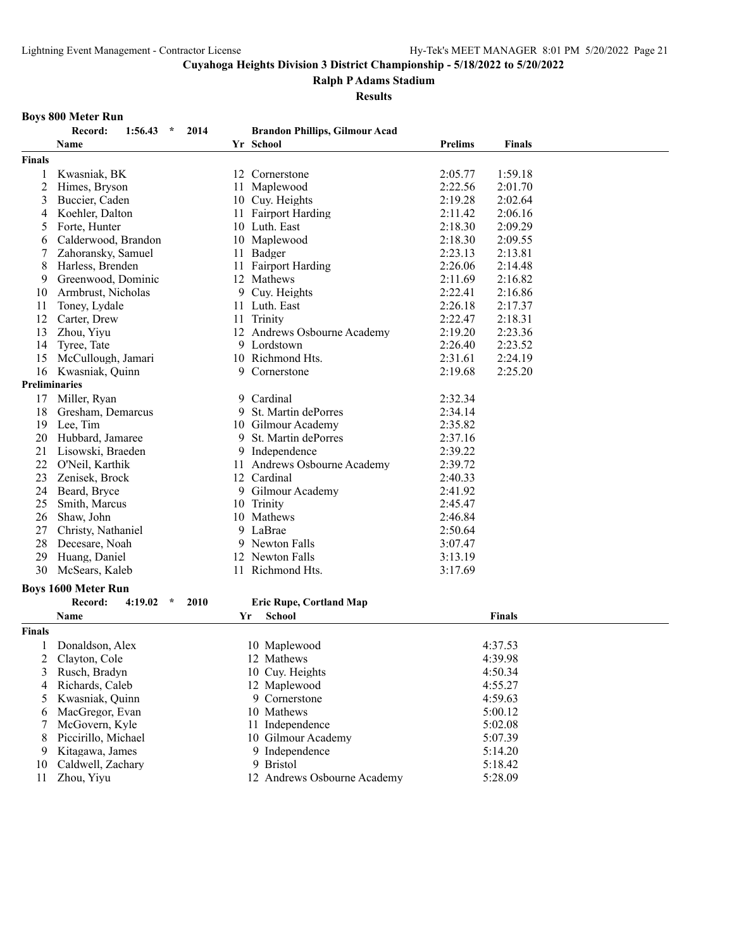**Ralph P Adams Stadium**

**Results**

# **Boys 800 Meter Run**

|                      | Record:<br>$1:56.43$ *<br>2014        | <b>Brandon Phillips, Gilmour Acad</b> |                                 |  |
|----------------------|---------------------------------------|---------------------------------------|---------------------------------|--|
|                      | Name                                  | Yr School                             | <b>Prelims</b><br><b>Finals</b> |  |
| <b>Finals</b>        |                                       |                                       |                                 |  |
| 1                    | Kwasniak, BK                          | 12 Cornerstone                        | 2:05.77<br>1:59.18              |  |
| $\overline{c}$       | Himes, Bryson                         | Maplewood<br>11                       | 2:22.56<br>2:01.70              |  |
| 3                    | Buccier, Caden                        | 10 Cuy. Heights                       | 2:19.28<br>2:02.64              |  |
| 4                    | Koehler, Dalton                       | 11 Fairport Harding                   | 2:11.42<br>2:06.16              |  |
| 5                    | Forte, Hunter                         | 10 Luth. East                         | 2:18.30<br>2:09.29              |  |
| 6                    | Calderwood, Brandon                   | 10 Maplewood                          | 2:18.30<br>2:09.55              |  |
| 7                    | Zahoransky, Samuel                    | 11 Badger                             | 2:23.13<br>2:13.81              |  |
| 8                    | Harless, Brenden                      | 11 Fairport Harding                   | 2:26.06<br>2:14.48              |  |
| 9                    | Greenwood, Dominic                    | 12 Mathews                            | 2:11.69<br>2:16.82              |  |
| 10                   | Armbrust, Nicholas                    | 9 Cuy. Heights                        | 2:22.41<br>2:16.86              |  |
| 11                   | Toney, Lydale                         | 11 Luth. East                         | 2:26.18<br>2:17.37              |  |
| 12                   | Carter, Drew                          | 11 Trinity                            | 2:22.47<br>2:18.31              |  |
| 13                   | Zhou, Yiyu                            | 12 Andrews Osbourne Academy           | 2:19.20<br>2:23.36              |  |
| 14                   | Tyree, Tate                           | 9 Lordstown                           | 2:26.40<br>2:23.52              |  |
| 15                   | McCullough, Jamari                    | 10 Richmond Hts.                      | 2:31.61<br>2:24.19              |  |
| 16                   | Kwasniak, Quinn                       | 9 Cornerstone                         | 2:19.68<br>2:25.20              |  |
| <b>Preliminaries</b> |                                       |                                       |                                 |  |
| 17                   | Miller, Ryan                          | 9 Cardinal                            | 2:32.34                         |  |
| 18                   | Gresham, Demarcus                     | 9<br>St. Martin dePorres              | 2:34.14                         |  |
| 19                   | Lee, Tim                              | 10 Gilmour Academy                    | 2:35.82                         |  |
| 20                   | Hubbard, Jamaree                      | 9 St. Martin dePorres                 | 2:37.16                         |  |
| 21                   | Lisowski, Braeden                     | Independence<br>9.                    | 2:39.22                         |  |
| 22                   | O'Neil, Karthik                       | Andrews Osbourne Academy<br>11        | 2:39.72                         |  |
| 23                   | Zenisek, Brock                        | 12 Cardinal                           | 2:40.33                         |  |
| 24                   | Beard, Bryce                          | 9 Gilmour Academy                     | 2:41.92                         |  |
| 25                   | Smith, Marcus                         | 10<br>Trinity                         | 2:45.47                         |  |
| 26                   | Shaw, John                            | 10 Mathews                            | 2:46.84                         |  |
| 27                   | Christy, Nathaniel                    | 9 LaBrae                              | 2:50.64                         |  |
| 28                   | Decesare, Noah                        | 9 Newton Falls                        | 3:07.47                         |  |
| 29                   | Huang, Daniel                         | 12 Newton Falls                       | 3:13.19                         |  |
| 30                   | McSears, Kaleb                        | 11 Richmond Hts.                      | 3:17.69                         |  |
|                      |                                       |                                       |                                 |  |
|                      | <b>Boys 1600 Meter Run</b>            |                                       |                                 |  |
|                      | Record:<br>4:19.02<br>$\star$<br>2010 | Eric Rupe, Cortland Map               |                                 |  |
|                      | Name                                  | <b>School</b><br>Yr                   | <b>Finals</b>                   |  |
| <b>Finals</b>        |                                       |                                       |                                 |  |
|                      | Donaldson, Alex                       | 10 Maplewood                          | 4:37.53                         |  |
| 2                    | Clayton, Cole                         | 12 Mathews                            | 4:39.98                         |  |
| 3                    | Rusch, Bradyn                         | 10 Cuy. Heights                       | 4:50.34                         |  |
| 4                    | Richards, Caleb                       | 12 Maplewood                          | 4:55.27                         |  |
| 5                    | Kwasniak, Quinn                       | 9 Cornerstone                         | 4:59.63                         |  |
| 6                    | MacGregor, Evan                       | 10 Mathews                            | 5:00.12                         |  |
| 7                    | McGovern, Kyle                        | 11 Independence                       | 5:02.08                         |  |
| 8                    | Piccirillo, Michael                   | 10 Gilmour Academy                    | 5:07.39                         |  |
| 9                    | Kitagawa, James                       | 9 Independence                        | 5:14.20                         |  |
| 10                   | Caldwell, Zachary                     | 9 Bristol                             | 5:18.42                         |  |
| 11                   | Zhou, Yiyu                            | 12 Andrews Osbourne Academy           | 5:28.09                         |  |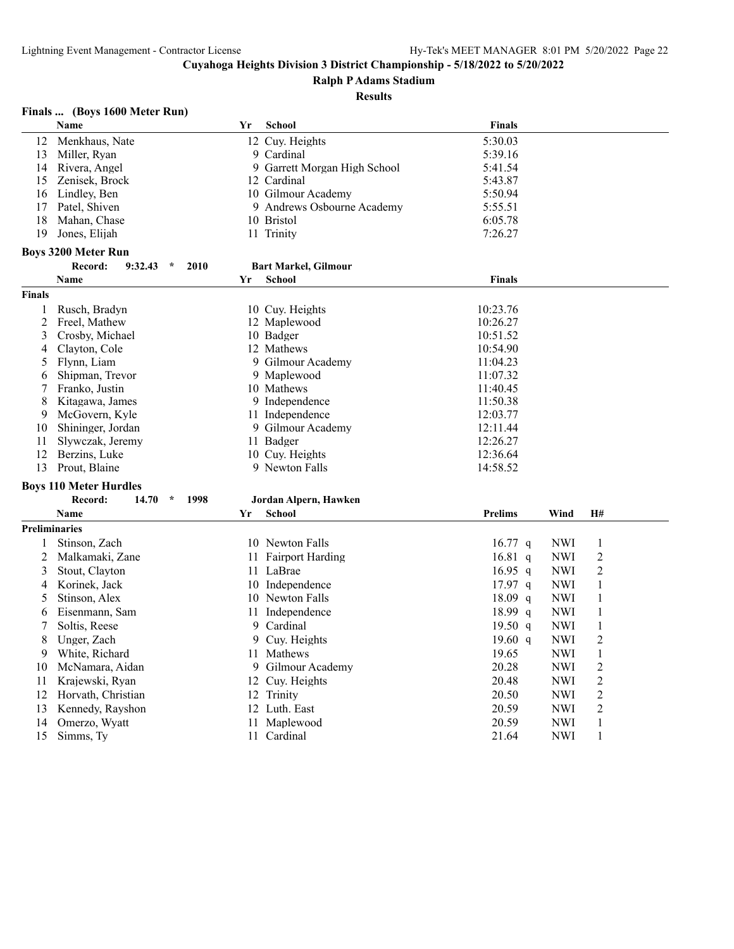**Ralph P Adams Stadium**

**Results**

# **Finals ... (Boys 1600 Meter Run)**

|                      | <b>Name</b>                         | Yr | <b>School</b>                | <b>Finals</b>  |            |                |  |
|----------------------|-------------------------------------|----|------------------------------|----------------|------------|----------------|--|
| 12                   | Menkhaus, Nate                      |    | 12 Cuy. Heights              | 5:30.03        |            |                |  |
| 13                   | Miller, Ryan                        |    | 9 Cardinal                   | 5:39.16        |            |                |  |
| 14                   | Rivera, Angel                       |    | 9 Garrett Morgan High School | 5:41.54        |            |                |  |
| 15                   | Zenisek, Brock                      |    | 12 Cardinal                  | 5:43.87        |            |                |  |
| 16                   | Lindley, Ben                        |    | 10 Gilmour Academy           | 5:50.94        |            |                |  |
| 17                   | Patel, Shiven                       |    | 9 Andrews Osbourne Academy   | 5:55.51        |            |                |  |
| 18                   | Mahan, Chase                        |    | 10 Bristol                   | 6:05.78        |            |                |  |
| 19                   | Jones, Elijah                       |    | 11 Trinity                   | 7:26.27        |            |                |  |
|                      | <b>Boys 3200 Meter Run</b>          |    |                              |                |            |                |  |
|                      | $9:32.43$ *<br>2010<br>Record:      |    | <b>Bart Markel, Gilmour</b>  |                |            |                |  |
|                      | Name                                | Yr | <b>School</b>                | <b>Finals</b>  |            |                |  |
| <b>Finals</b>        |                                     |    |                              |                |            |                |  |
| 1                    | Rusch, Bradyn                       |    | 10 Cuy. Heights              | 10:23.76       |            |                |  |
| $\overline{2}$       | Freel, Mathew                       |    | 12 Maplewood                 | 10:26.27       |            |                |  |
| 3                    | Crosby, Michael                     |    | 10 Badger                    | 10:51.52       |            |                |  |
| 4                    | Clayton, Cole                       |    | 12 Mathews                   | 10:54.90       |            |                |  |
| 5                    | Flynn, Liam                         |    | 9 Gilmour Academy            | 11:04.23       |            |                |  |
| 6                    | Shipman, Trevor                     |    | 9 Maplewood                  | 11:07.32       |            |                |  |
| 7                    | Franko, Justin                      |    | 10 Mathews                   | 11:40.45       |            |                |  |
| 8                    | Kitagawa, James                     |    | 9 Independence               | 11:50.38       |            |                |  |
| 9                    | McGovern, Kyle                      |    | 11 Independence              | 12:03.77       |            |                |  |
| 10                   | Shininger, Jordan                   |    | 9 Gilmour Academy            | 12:11.44       |            |                |  |
| 11                   | Slywczak, Jeremy                    |    | 11 Badger                    | 12:26.27       |            |                |  |
| 12                   | Berzins, Luke                       |    | 10 Cuy. Heights              | 12:36.64       |            |                |  |
| 13                   | Prout, Blaine                       |    | 9 Newton Falls               | 14:58.52       |            |                |  |
|                      | <b>Boys 110 Meter Hurdles</b>       |    |                              |                |            |                |  |
|                      | Record:<br>14.70<br>$\star$<br>1998 |    | Jordan Alpern, Hawken        |                |            |                |  |
|                      | <b>Name</b>                         | Yr | <b>School</b>                | <b>Prelims</b> | Wind       | H#             |  |
| <b>Preliminaries</b> |                                     |    |                              |                |            |                |  |
| 1                    | Stinson, Zach                       |    | 10 Newton Falls              | $16.77$ q      | NWI        | $\mathbf{1}$   |  |
| 2                    | Malkamaki, Zane                     |    | 11 Fairport Harding          | $16.81\ q$     | NWI        | $\overline{2}$ |  |
| 3                    | Stout, Clayton                      |    | 11 LaBrae                    | $16.95$ q      | NWI        | 2              |  |
| 4                    | Korinek, Jack                       |    | 10 Independence              | 17.97 q        | <b>NWI</b> | $\mathbf{1}$   |  |
| 5                    | Stinson, Alex                       |    | 10 Newton Falls              | $18.09$ q      | NWI        | $\mathbf{1}$   |  |
| 6                    | Eisenmann, Sam                      |    | 11 Independence              | 18.99 q        | <b>NWI</b> | $\mathbf{1}$   |  |
| 7                    | Soltis, Reese                       | 9  | Cardinal                     | 19.50 $q$      | <b>NWI</b> | $\mathbf{1}$   |  |
| 8                    | Unger, Zach                         | 9  | Cuy. Heights                 | 19.60 $q$      | NWI        | $\overline{2}$ |  |
| 9                    | White, Richard                      |    | 11 Mathews                   | 19.65          | NWI        | $\mathbf{1}$   |  |
| 10                   | McNamara, Aidan                     | 9  | Gilmour Academy              | 20.28          | NWI        | $\overline{2}$ |  |
| 11                   | Krajewski, Ryan                     |    | 12 Cuy. Heights              | 20.48          | NWI        | $\overline{2}$ |  |
| 12                   | Horvath, Christian                  |    | 12 Trinity                   | 20.50          | NWI        | $\overline{c}$ |  |
| 13                   | Kennedy, Rayshon                    |    | 12 Luth. East                | 20.59          | <b>NWI</b> | $\overline{2}$ |  |
| 14                   | Omerzo, Wyatt                       |    | 11 Maplewood                 | 20.59          | <b>NWI</b> | $\mathbf{1}$   |  |
| 15                   | Simms, Ty                           |    | 11 Cardinal                  | 21.64          | <b>NWI</b> | $\mathbf{1}$   |  |
|                      |                                     |    |                              |                |            |                |  |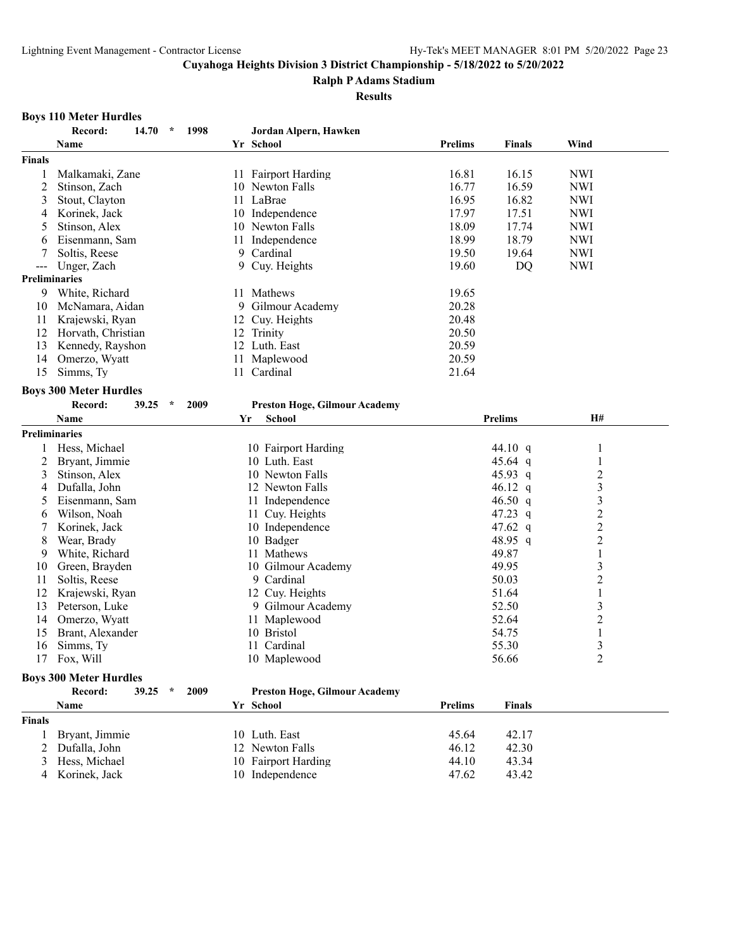**Ralph P Adams Stadium**

**Results**

#### **Boys 110 Meter Hurdles**

| Yr School<br><b>Prelims</b><br>Wind<br>Name<br><b>Finals</b><br>16.81<br>Malkamaki, Zane<br><b>Fairport Harding</b><br>16.15<br><b>NWI</b><br>1<br>11<br>16.77<br>16.59<br>2<br>10 Newton Falls<br><b>NWI</b><br>Stinson, Zach<br>16.95<br>Stout, Clayton<br>11 LaBrae<br>16.82<br><b>NWI</b><br>3<br>17.97<br><b>NWI</b><br>Korinek, Jack<br>10 Independence<br>17.51<br>4<br>18.09<br><b>NWI</b><br>Stinson, Alex<br>10 Newton Falls<br>17.74<br>5<br>18.99<br>18.79<br><b>NWI</b><br>Eisenmann, Sam<br>Independence<br>11<br>6<br>Cardinal<br>19.50<br>7<br>Soltis, Reese<br>9<br>19.64<br><b>NWI</b><br>Cuy. Heights<br>19.60<br>DQ<br><b>NWI</b><br>Unger, Zach<br>9<br>$---$<br><b>Preliminaries</b><br>9<br>White, Richard<br>11 Mathews<br>19.65<br>20.28<br>McNamara, Aidan<br>9<br>Gilmour Academy<br>10<br>11<br>Krajewski, Ryan<br>12 Cuy. Heights<br>20.48<br>12<br>Horvath, Christian<br>12 Trinity<br>20.50<br>13<br>Kennedy, Rayshon<br>12 Luth. East<br>20.59<br>14<br>Omerzo, Wyatt<br>11 Maplewood<br>20.59<br>15<br>Simms, Ty<br>Cardinal<br>21.64<br>11<br><b>Boys 300 Meter Hurdles</b><br>Record:<br>$\star$<br>39.25<br>2009<br><b>Preston Hoge, Gilmour Academy</b><br>School<br><b>Prelims</b><br>H#<br>Name<br>Yr<br><b>Preliminaries</b><br>Hess, Michael<br>44.10 q<br>10 Fairport Harding<br>1<br>1<br>45.64 q<br>2<br>Bryant, Jimmie<br>10 Luth. East<br>1<br>$\overline{c}$<br>3<br>Stinson, Alex<br>10 Newton Falls<br>45.93 q<br>3<br>Dufalla, John<br>12 Newton Falls<br>46.12 $q$<br>4<br>3<br>Eisenmann, Sam<br>11 Independence<br>46.50 $q$<br>5<br>$\overline{c}$<br>47.23 q<br>Wilson, Noah<br>11 Cuy. Heights<br>6<br>$\overline{c}$<br>47.62 q<br>7<br>Korinek, Jack<br>10 Independence<br>$\overline{2}$<br>48.95 q<br>8<br>Wear, Brady<br>10 Badger<br>49.87<br>White, Richard<br>11 Mathews<br>9<br>1<br>49.95<br>3<br>Green, Brayden<br>10 Gilmour Academy<br>10<br>$\overline{c}$<br>9 Cardinal<br>50.03<br>Soltis, Reese<br>11<br>51.64<br>$\mathbf{1}$<br>12<br>Krajewski, Ryan<br>12 Cuy. Heights<br>3<br>52.50<br>13<br>Peterson, Luke<br>9 Gilmour Academy<br>$\overline{c}$<br>52.64<br>Omerzo, Wyatt<br>14<br>11 Maplewood<br>10 Bristol<br>15<br>Brant, Alexander<br>54.75<br>$\mathbf{1}$<br>55.30<br>$\mathfrak{Z}$<br>Simms, Ty<br>11 Cardinal<br>16<br>$\overline{2}$<br>56.66<br>17<br>Fox, Will<br>10 Maplewood<br><b>Boys 300 Meter Hurdles</b><br>Record:<br>39.25<br>2009<br><b>Preston Hoge, Gilmour Academy</b><br>$\star$<br>Yr School<br><b>Prelims</b><br>Name<br><b>Finals</b><br>Bryant, Jimmie<br>10 Luth. East<br>45.64<br>42.17<br>1<br>Dufalla, John<br>12 Newton Falls<br>46.12<br>42.30<br>2<br>Hess, Michael<br>10 Fairport Harding<br>44.10<br>43.34<br>3<br>10 Independence |               | Record:<br>14.70 | $\star$ | 1998 | Jordan Alpern, Hawken |       |       |  |
|-------------------------------------------------------------------------------------------------------------------------------------------------------------------------------------------------------------------------------------------------------------------------------------------------------------------------------------------------------------------------------------------------------------------------------------------------------------------------------------------------------------------------------------------------------------------------------------------------------------------------------------------------------------------------------------------------------------------------------------------------------------------------------------------------------------------------------------------------------------------------------------------------------------------------------------------------------------------------------------------------------------------------------------------------------------------------------------------------------------------------------------------------------------------------------------------------------------------------------------------------------------------------------------------------------------------------------------------------------------------------------------------------------------------------------------------------------------------------------------------------------------------------------------------------------------------------------------------------------------------------------------------------------------------------------------------------------------------------------------------------------------------------------------------------------------------------------------------------------------------------------------------------------------------------------------------------------------------------------------------------------------------------------------------------------------------------------------------------------------------------------------------------------------------------------------------------------------------------------------------------------------------------------------------------------------------------------------------------------------------------------------------------------------------------------------------------------------------------------------------------------------------------------------------------------------------------------------------------------------------------------------------------------------------------------------------------------------------------------------------------------------|---------------|------------------|---------|------|-----------------------|-------|-------|--|
|                                                                                                                                                                                                                                                                                                                                                                                                                                                                                                                                                                                                                                                                                                                                                                                                                                                                                                                                                                                                                                                                                                                                                                                                                                                                                                                                                                                                                                                                                                                                                                                                                                                                                                                                                                                                                                                                                                                                                                                                                                                                                                                                                                                                                                                                                                                                                                                                                                                                                                                                                                                                                                                                                                                                                             |               |                  |         |      |                       |       |       |  |
|                                                                                                                                                                                                                                                                                                                                                                                                                                                                                                                                                                                                                                                                                                                                                                                                                                                                                                                                                                                                                                                                                                                                                                                                                                                                                                                                                                                                                                                                                                                                                                                                                                                                                                                                                                                                                                                                                                                                                                                                                                                                                                                                                                                                                                                                                                                                                                                                                                                                                                                                                                                                                                                                                                                                                             | <b>Finals</b> |                  |         |      |                       |       |       |  |
|                                                                                                                                                                                                                                                                                                                                                                                                                                                                                                                                                                                                                                                                                                                                                                                                                                                                                                                                                                                                                                                                                                                                                                                                                                                                                                                                                                                                                                                                                                                                                                                                                                                                                                                                                                                                                                                                                                                                                                                                                                                                                                                                                                                                                                                                                                                                                                                                                                                                                                                                                                                                                                                                                                                                                             |               |                  |         |      |                       |       |       |  |
|                                                                                                                                                                                                                                                                                                                                                                                                                                                                                                                                                                                                                                                                                                                                                                                                                                                                                                                                                                                                                                                                                                                                                                                                                                                                                                                                                                                                                                                                                                                                                                                                                                                                                                                                                                                                                                                                                                                                                                                                                                                                                                                                                                                                                                                                                                                                                                                                                                                                                                                                                                                                                                                                                                                                                             |               |                  |         |      |                       |       |       |  |
|                                                                                                                                                                                                                                                                                                                                                                                                                                                                                                                                                                                                                                                                                                                                                                                                                                                                                                                                                                                                                                                                                                                                                                                                                                                                                                                                                                                                                                                                                                                                                                                                                                                                                                                                                                                                                                                                                                                                                                                                                                                                                                                                                                                                                                                                                                                                                                                                                                                                                                                                                                                                                                                                                                                                                             |               |                  |         |      |                       |       |       |  |
|                                                                                                                                                                                                                                                                                                                                                                                                                                                                                                                                                                                                                                                                                                                                                                                                                                                                                                                                                                                                                                                                                                                                                                                                                                                                                                                                                                                                                                                                                                                                                                                                                                                                                                                                                                                                                                                                                                                                                                                                                                                                                                                                                                                                                                                                                                                                                                                                                                                                                                                                                                                                                                                                                                                                                             |               |                  |         |      |                       |       |       |  |
|                                                                                                                                                                                                                                                                                                                                                                                                                                                                                                                                                                                                                                                                                                                                                                                                                                                                                                                                                                                                                                                                                                                                                                                                                                                                                                                                                                                                                                                                                                                                                                                                                                                                                                                                                                                                                                                                                                                                                                                                                                                                                                                                                                                                                                                                                                                                                                                                                                                                                                                                                                                                                                                                                                                                                             |               |                  |         |      |                       |       |       |  |
|                                                                                                                                                                                                                                                                                                                                                                                                                                                                                                                                                                                                                                                                                                                                                                                                                                                                                                                                                                                                                                                                                                                                                                                                                                                                                                                                                                                                                                                                                                                                                                                                                                                                                                                                                                                                                                                                                                                                                                                                                                                                                                                                                                                                                                                                                                                                                                                                                                                                                                                                                                                                                                                                                                                                                             |               |                  |         |      |                       |       |       |  |
|                                                                                                                                                                                                                                                                                                                                                                                                                                                                                                                                                                                                                                                                                                                                                                                                                                                                                                                                                                                                                                                                                                                                                                                                                                                                                                                                                                                                                                                                                                                                                                                                                                                                                                                                                                                                                                                                                                                                                                                                                                                                                                                                                                                                                                                                                                                                                                                                                                                                                                                                                                                                                                                                                                                                                             |               |                  |         |      |                       |       |       |  |
|                                                                                                                                                                                                                                                                                                                                                                                                                                                                                                                                                                                                                                                                                                                                                                                                                                                                                                                                                                                                                                                                                                                                                                                                                                                                                                                                                                                                                                                                                                                                                                                                                                                                                                                                                                                                                                                                                                                                                                                                                                                                                                                                                                                                                                                                                                                                                                                                                                                                                                                                                                                                                                                                                                                                                             |               |                  |         |      |                       |       |       |  |
|                                                                                                                                                                                                                                                                                                                                                                                                                                                                                                                                                                                                                                                                                                                                                                                                                                                                                                                                                                                                                                                                                                                                                                                                                                                                                                                                                                                                                                                                                                                                                                                                                                                                                                                                                                                                                                                                                                                                                                                                                                                                                                                                                                                                                                                                                                                                                                                                                                                                                                                                                                                                                                                                                                                                                             |               |                  |         |      |                       |       |       |  |
|                                                                                                                                                                                                                                                                                                                                                                                                                                                                                                                                                                                                                                                                                                                                                                                                                                                                                                                                                                                                                                                                                                                                                                                                                                                                                                                                                                                                                                                                                                                                                                                                                                                                                                                                                                                                                                                                                                                                                                                                                                                                                                                                                                                                                                                                                                                                                                                                                                                                                                                                                                                                                                                                                                                                                             |               |                  |         |      |                       |       |       |  |
|                                                                                                                                                                                                                                                                                                                                                                                                                                                                                                                                                                                                                                                                                                                                                                                                                                                                                                                                                                                                                                                                                                                                                                                                                                                                                                                                                                                                                                                                                                                                                                                                                                                                                                                                                                                                                                                                                                                                                                                                                                                                                                                                                                                                                                                                                                                                                                                                                                                                                                                                                                                                                                                                                                                                                             |               |                  |         |      |                       |       |       |  |
|                                                                                                                                                                                                                                                                                                                                                                                                                                                                                                                                                                                                                                                                                                                                                                                                                                                                                                                                                                                                                                                                                                                                                                                                                                                                                                                                                                                                                                                                                                                                                                                                                                                                                                                                                                                                                                                                                                                                                                                                                                                                                                                                                                                                                                                                                                                                                                                                                                                                                                                                                                                                                                                                                                                                                             |               |                  |         |      |                       |       |       |  |
|                                                                                                                                                                                                                                                                                                                                                                                                                                                                                                                                                                                                                                                                                                                                                                                                                                                                                                                                                                                                                                                                                                                                                                                                                                                                                                                                                                                                                                                                                                                                                                                                                                                                                                                                                                                                                                                                                                                                                                                                                                                                                                                                                                                                                                                                                                                                                                                                                                                                                                                                                                                                                                                                                                                                                             |               |                  |         |      |                       |       |       |  |
|                                                                                                                                                                                                                                                                                                                                                                                                                                                                                                                                                                                                                                                                                                                                                                                                                                                                                                                                                                                                                                                                                                                                                                                                                                                                                                                                                                                                                                                                                                                                                                                                                                                                                                                                                                                                                                                                                                                                                                                                                                                                                                                                                                                                                                                                                                                                                                                                                                                                                                                                                                                                                                                                                                                                                             |               |                  |         |      |                       |       |       |  |
|                                                                                                                                                                                                                                                                                                                                                                                                                                                                                                                                                                                                                                                                                                                                                                                                                                                                                                                                                                                                                                                                                                                                                                                                                                                                                                                                                                                                                                                                                                                                                                                                                                                                                                                                                                                                                                                                                                                                                                                                                                                                                                                                                                                                                                                                                                                                                                                                                                                                                                                                                                                                                                                                                                                                                             |               |                  |         |      |                       |       |       |  |
|                                                                                                                                                                                                                                                                                                                                                                                                                                                                                                                                                                                                                                                                                                                                                                                                                                                                                                                                                                                                                                                                                                                                                                                                                                                                                                                                                                                                                                                                                                                                                                                                                                                                                                                                                                                                                                                                                                                                                                                                                                                                                                                                                                                                                                                                                                                                                                                                                                                                                                                                                                                                                                                                                                                                                             |               |                  |         |      |                       |       |       |  |
|                                                                                                                                                                                                                                                                                                                                                                                                                                                                                                                                                                                                                                                                                                                                                                                                                                                                                                                                                                                                                                                                                                                                                                                                                                                                                                                                                                                                                                                                                                                                                                                                                                                                                                                                                                                                                                                                                                                                                                                                                                                                                                                                                                                                                                                                                                                                                                                                                                                                                                                                                                                                                                                                                                                                                             |               |                  |         |      |                       |       |       |  |
|                                                                                                                                                                                                                                                                                                                                                                                                                                                                                                                                                                                                                                                                                                                                                                                                                                                                                                                                                                                                                                                                                                                                                                                                                                                                                                                                                                                                                                                                                                                                                                                                                                                                                                                                                                                                                                                                                                                                                                                                                                                                                                                                                                                                                                                                                                                                                                                                                                                                                                                                                                                                                                                                                                                                                             |               |                  |         |      |                       |       |       |  |
|                                                                                                                                                                                                                                                                                                                                                                                                                                                                                                                                                                                                                                                                                                                                                                                                                                                                                                                                                                                                                                                                                                                                                                                                                                                                                                                                                                                                                                                                                                                                                                                                                                                                                                                                                                                                                                                                                                                                                                                                                                                                                                                                                                                                                                                                                                                                                                                                                                                                                                                                                                                                                                                                                                                                                             |               |                  |         |      |                       |       |       |  |
|                                                                                                                                                                                                                                                                                                                                                                                                                                                                                                                                                                                                                                                                                                                                                                                                                                                                                                                                                                                                                                                                                                                                                                                                                                                                                                                                                                                                                                                                                                                                                                                                                                                                                                                                                                                                                                                                                                                                                                                                                                                                                                                                                                                                                                                                                                                                                                                                                                                                                                                                                                                                                                                                                                                                                             |               |                  |         |      |                       |       |       |  |
|                                                                                                                                                                                                                                                                                                                                                                                                                                                                                                                                                                                                                                                                                                                                                                                                                                                                                                                                                                                                                                                                                                                                                                                                                                                                                                                                                                                                                                                                                                                                                                                                                                                                                                                                                                                                                                                                                                                                                                                                                                                                                                                                                                                                                                                                                                                                                                                                                                                                                                                                                                                                                                                                                                                                                             |               |                  |         |      |                       |       |       |  |
|                                                                                                                                                                                                                                                                                                                                                                                                                                                                                                                                                                                                                                                                                                                                                                                                                                                                                                                                                                                                                                                                                                                                                                                                                                                                                                                                                                                                                                                                                                                                                                                                                                                                                                                                                                                                                                                                                                                                                                                                                                                                                                                                                                                                                                                                                                                                                                                                                                                                                                                                                                                                                                                                                                                                                             |               |                  |         |      |                       |       |       |  |
|                                                                                                                                                                                                                                                                                                                                                                                                                                                                                                                                                                                                                                                                                                                                                                                                                                                                                                                                                                                                                                                                                                                                                                                                                                                                                                                                                                                                                                                                                                                                                                                                                                                                                                                                                                                                                                                                                                                                                                                                                                                                                                                                                                                                                                                                                                                                                                                                                                                                                                                                                                                                                                                                                                                                                             |               |                  |         |      |                       |       |       |  |
|                                                                                                                                                                                                                                                                                                                                                                                                                                                                                                                                                                                                                                                                                                                                                                                                                                                                                                                                                                                                                                                                                                                                                                                                                                                                                                                                                                                                                                                                                                                                                                                                                                                                                                                                                                                                                                                                                                                                                                                                                                                                                                                                                                                                                                                                                                                                                                                                                                                                                                                                                                                                                                                                                                                                                             |               |                  |         |      |                       |       |       |  |
|                                                                                                                                                                                                                                                                                                                                                                                                                                                                                                                                                                                                                                                                                                                                                                                                                                                                                                                                                                                                                                                                                                                                                                                                                                                                                                                                                                                                                                                                                                                                                                                                                                                                                                                                                                                                                                                                                                                                                                                                                                                                                                                                                                                                                                                                                                                                                                                                                                                                                                                                                                                                                                                                                                                                                             |               |                  |         |      |                       |       |       |  |
|                                                                                                                                                                                                                                                                                                                                                                                                                                                                                                                                                                                                                                                                                                                                                                                                                                                                                                                                                                                                                                                                                                                                                                                                                                                                                                                                                                                                                                                                                                                                                                                                                                                                                                                                                                                                                                                                                                                                                                                                                                                                                                                                                                                                                                                                                                                                                                                                                                                                                                                                                                                                                                                                                                                                                             |               |                  |         |      |                       |       |       |  |
|                                                                                                                                                                                                                                                                                                                                                                                                                                                                                                                                                                                                                                                                                                                                                                                                                                                                                                                                                                                                                                                                                                                                                                                                                                                                                                                                                                                                                                                                                                                                                                                                                                                                                                                                                                                                                                                                                                                                                                                                                                                                                                                                                                                                                                                                                                                                                                                                                                                                                                                                                                                                                                                                                                                                                             |               |                  |         |      |                       |       |       |  |
|                                                                                                                                                                                                                                                                                                                                                                                                                                                                                                                                                                                                                                                                                                                                                                                                                                                                                                                                                                                                                                                                                                                                                                                                                                                                                                                                                                                                                                                                                                                                                                                                                                                                                                                                                                                                                                                                                                                                                                                                                                                                                                                                                                                                                                                                                                                                                                                                                                                                                                                                                                                                                                                                                                                                                             |               |                  |         |      |                       |       |       |  |
|                                                                                                                                                                                                                                                                                                                                                                                                                                                                                                                                                                                                                                                                                                                                                                                                                                                                                                                                                                                                                                                                                                                                                                                                                                                                                                                                                                                                                                                                                                                                                                                                                                                                                                                                                                                                                                                                                                                                                                                                                                                                                                                                                                                                                                                                                                                                                                                                                                                                                                                                                                                                                                                                                                                                                             |               |                  |         |      |                       |       |       |  |
|                                                                                                                                                                                                                                                                                                                                                                                                                                                                                                                                                                                                                                                                                                                                                                                                                                                                                                                                                                                                                                                                                                                                                                                                                                                                                                                                                                                                                                                                                                                                                                                                                                                                                                                                                                                                                                                                                                                                                                                                                                                                                                                                                                                                                                                                                                                                                                                                                                                                                                                                                                                                                                                                                                                                                             |               |                  |         |      |                       |       |       |  |
|                                                                                                                                                                                                                                                                                                                                                                                                                                                                                                                                                                                                                                                                                                                                                                                                                                                                                                                                                                                                                                                                                                                                                                                                                                                                                                                                                                                                                                                                                                                                                                                                                                                                                                                                                                                                                                                                                                                                                                                                                                                                                                                                                                                                                                                                                                                                                                                                                                                                                                                                                                                                                                                                                                                                                             |               |                  |         |      |                       |       |       |  |
|                                                                                                                                                                                                                                                                                                                                                                                                                                                                                                                                                                                                                                                                                                                                                                                                                                                                                                                                                                                                                                                                                                                                                                                                                                                                                                                                                                                                                                                                                                                                                                                                                                                                                                                                                                                                                                                                                                                                                                                                                                                                                                                                                                                                                                                                                                                                                                                                                                                                                                                                                                                                                                                                                                                                                             |               |                  |         |      |                       |       |       |  |
|                                                                                                                                                                                                                                                                                                                                                                                                                                                                                                                                                                                                                                                                                                                                                                                                                                                                                                                                                                                                                                                                                                                                                                                                                                                                                                                                                                                                                                                                                                                                                                                                                                                                                                                                                                                                                                                                                                                                                                                                                                                                                                                                                                                                                                                                                                                                                                                                                                                                                                                                                                                                                                                                                                                                                             |               |                  |         |      |                       |       |       |  |
|                                                                                                                                                                                                                                                                                                                                                                                                                                                                                                                                                                                                                                                                                                                                                                                                                                                                                                                                                                                                                                                                                                                                                                                                                                                                                                                                                                                                                                                                                                                                                                                                                                                                                                                                                                                                                                                                                                                                                                                                                                                                                                                                                                                                                                                                                                                                                                                                                                                                                                                                                                                                                                                                                                                                                             |               |                  |         |      |                       |       |       |  |
|                                                                                                                                                                                                                                                                                                                                                                                                                                                                                                                                                                                                                                                                                                                                                                                                                                                                                                                                                                                                                                                                                                                                                                                                                                                                                                                                                                                                                                                                                                                                                                                                                                                                                                                                                                                                                                                                                                                                                                                                                                                                                                                                                                                                                                                                                                                                                                                                                                                                                                                                                                                                                                                                                                                                                             |               |                  |         |      |                       |       |       |  |
|                                                                                                                                                                                                                                                                                                                                                                                                                                                                                                                                                                                                                                                                                                                                                                                                                                                                                                                                                                                                                                                                                                                                                                                                                                                                                                                                                                                                                                                                                                                                                                                                                                                                                                                                                                                                                                                                                                                                                                                                                                                                                                                                                                                                                                                                                                                                                                                                                                                                                                                                                                                                                                                                                                                                                             |               |                  |         |      |                       |       |       |  |
|                                                                                                                                                                                                                                                                                                                                                                                                                                                                                                                                                                                                                                                                                                                                                                                                                                                                                                                                                                                                                                                                                                                                                                                                                                                                                                                                                                                                                                                                                                                                                                                                                                                                                                                                                                                                                                                                                                                                                                                                                                                                                                                                                                                                                                                                                                                                                                                                                                                                                                                                                                                                                                                                                                                                                             |               |                  |         |      |                       |       |       |  |
|                                                                                                                                                                                                                                                                                                                                                                                                                                                                                                                                                                                                                                                                                                                                                                                                                                                                                                                                                                                                                                                                                                                                                                                                                                                                                                                                                                                                                                                                                                                                                                                                                                                                                                                                                                                                                                                                                                                                                                                                                                                                                                                                                                                                                                                                                                                                                                                                                                                                                                                                                                                                                                                                                                                                                             |               |                  |         |      |                       |       |       |  |
|                                                                                                                                                                                                                                                                                                                                                                                                                                                                                                                                                                                                                                                                                                                                                                                                                                                                                                                                                                                                                                                                                                                                                                                                                                                                                                                                                                                                                                                                                                                                                                                                                                                                                                                                                                                                                                                                                                                                                                                                                                                                                                                                                                                                                                                                                                                                                                                                                                                                                                                                                                                                                                                                                                                                                             |               |                  |         |      |                       |       |       |  |
|                                                                                                                                                                                                                                                                                                                                                                                                                                                                                                                                                                                                                                                                                                                                                                                                                                                                                                                                                                                                                                                                                                                                                                                                                                                                                                                                                                                                                                                                                                                                                                                                                                                                                                                                                                                                                                                                                                                                                                                                                                                                                                                                                                                                                                                                                                                                                                                                                                                                                                                                                                                                                                                                                                                                                             |               |                  |         |      |                       |       |       |  |
|                                                                                                                                                                                                                                                                                                                                                                                                                                                                                                                                                                                                                                                                                                                                                                                                                                                                                                                                                                                                                                                                                                                                                                                                                                                                                                                                                                                                                                                                                                                                                                                                                                                                                                                                                                                                                                                                                                                                                                                                                                                                                                                                                                                                                                                                                                                                                                                                                                                                                                                                                                                                                                                                                                                                                             |               |                  |         |      |                       |       |       |  |
|                                                                                                                                                                                                                                                                                                                                                                                                                                                                                                                                                                                                                                                                                                                                                                                                                                                                                                                                                                                                                                                                                                                                                                                                                                                                                                                                                                                                                                                                                                                                                                                                                                                                                                                                                                                                                                                                                                                                                                                                                                                                                                                                                                                                                                                                                                                                                                                                                                                                                                                                                                                                                                                                                                                                                             |               |                  |         |      |                       |       |       |  |
|                                                                                                                                                                                                                                                                                                                                                                                                                                                                                                                                                                                                                                                                                                                                                                                                                                                                                                                                                                                                                                                                                                                                                                                                                                                                                                                                                                                                                                                                                                                                                                                                                                                                                                                                                                                                                                                                                                                                                                                                                                                                                                                                                                                                                                                                                                                                                                                                                                                                                                                                                                                                                                                                                                                                                             | <b>Finals</b> |                  |         |      |                       |       |       |  |
|                                                                                                                                                                                                                                                                                                                                                                                                                                                                                                                                                                                                                                                                                                                                                                                                                                                                                                                                                                                                                                                                                                                                                                                                                                                                                                                                                                                                                                                                                                                                                                                                                                                                                                                                                                                                                                                                                                                                                                                                                                                                                                                                                                                                                                                                                                                                                                                                                                                                                                                                                                                                                                                                                                                                                             |               |                  |         |      |                       |       |       |  |
|                                                                                                                                                                                                                                                                                                                                                                                                                                                                                                                                                                                                                                                                                                                                                                                                                                                                                                                                                                                                                                                                                                                                                                                                                                                                                                                                                                                                                                                                                                                                                                                                                                                                                                                                                                                                                                                                                                                                                                                                                                                                                                                                                                                                                                                                                                                                                                                                                                                                                                                                                                                                                                                                                                                                                             |               |                  |         |      |                       |       |       |  |
|                                                                                                                                                                                                                                                                                                                                                                                                                                                                                                                                                                                                                                                                                                                                                                                                                                                                                                                                                                                                                                                                                                                                                                                                                                                                                                                                                                                                                                                                                                                                                                                                                                                                                                                                                                                                                                                                                                                                                                                                                                                                                                                                                                                                                                                                                                                                                                                                                                                                                                                                                                                                                                                                                                                                                             |               |                  |         |      |                       |       |       |  |
|                                                                                                                                                                                                                                                                                                                                                                                                                                                                                                                                                                                                                                                                                                                                                                                                                                                                                                                                                                                                                                                                                                                                                                                                                                                                                                                                                                                                                                                                                                                                                                                                                                                                                                                                                                                                                                                                                                                                                                                                                                                                                                                                                                                                                                                                                                                                                                                                                                                                                                                                                                                                                                                                                                                                                             | 4             | Korinek, Jack    |         |      |                       | 47.62 | 43.42 |  |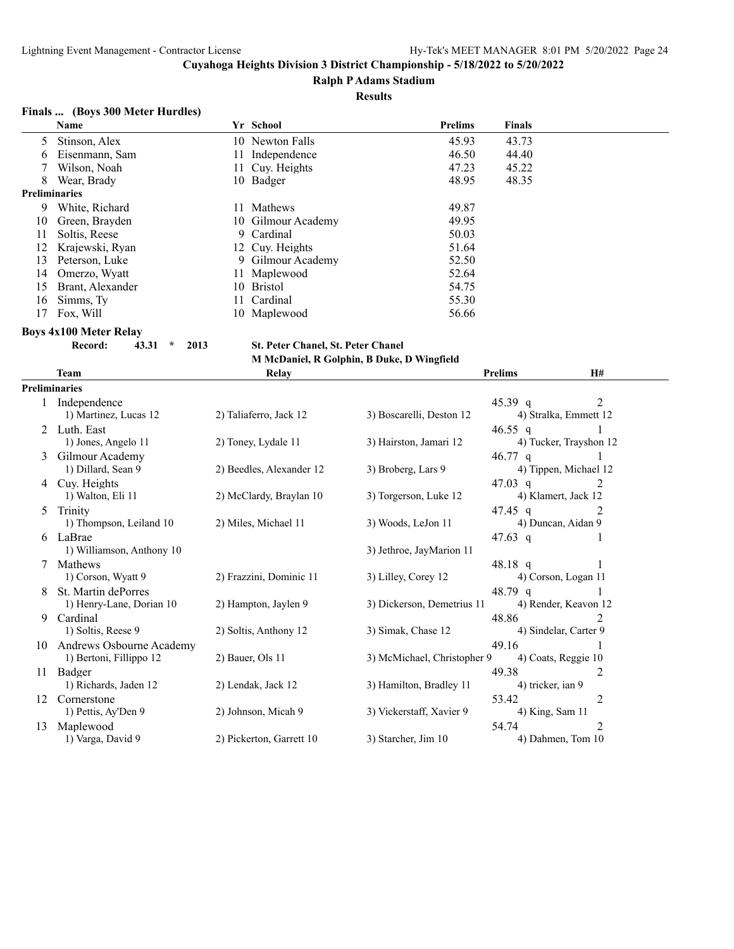#### **Ralph P Adams Stadium**

#### **Results**

# **Finals ... (Boys 300 Meter Hurdles)**

| <b>Name</b>      |                           |                | <b>Prelims</b>                                                                                                                                                                                                           | <b>Finals</b> |
|------------------|---------------------------|----------------|--------------------------------------------------------------------------------------------------------------------------------------------------------------------------------------------------------------------------|---------------|
| Stinson, Alex    |                           |                | 45.93                                                                                                                                                                                                                    | 43.73         |
| Eisenmann, Sam   |                           |                | 46.50                                                                                                                                                                                                                    | 44.40         |
| Wilson, Noah     |                           |                | 47.23                                                                                                                                                                                                                    | 45.22         |
| Wear, Brady      |                           |                | 48.95                                                                                                                                                                                                                    | 48.35         |
|                  |                           |                |                                                                                                                                                                                                                          |               |
| White, Richard   |                           | <b>Mathews</b> | 49.87                                                                                                                                                                                                                    |               |
| Green, Brayden   |                           |                | 49.95                                                                                                                                                                                                                    |               |
| Soltis, Reese    |                           |                | 50.03                                                                                                                                                                                                                    |               |
| Krajewski, Ryan  |                           |                | 51.64                                                                                                                                                                                                                    |               |
| Peterson, Luke   |                           |                | 52.50                                                                                                                                                                                                                    |               |
| Omerzo, Wyatt    |                           |                | 52.64                                                                                                                                                                                                                    |               |
| Brant, Alexander |                           |                | 54.75                                                                                                                                                                                                                    |               |
| Simms, Ty        |                           |                | 55.30                                                                                                                                                                                                                    |               |
| Fox, Will        |                           |                | 56.66                                                                                                                                                                                                                    |               |
|                  | 5<br><b>Preliminaries</b> |                | Yr School<br>10 Newton Falls<br>11 Independence<br>11 Cuy. Heights<br>10 Badger<br>10 Gilmour Academy<br>9 Cardinal<br>12 Cuy. Heights<br>9 Gilmour Academy<br>11 Maplewood<br>10 Bristol<br>11 Cardinal<br>10 Maplewood |               |

#### **Boys 4x100 Meter Relay**

**Record: 43.31 \* 2013 St. Peter Chanel, St. Peter Chanel M McDaniel, R Golphin, B Duke, D Wingfield**

|    | <b>Team</b>                        | Relay                    |                             | <b>Prelims</b>    | H#                     |  |
|----|------------------------------------|--------------------------|-----------------------------|-------------------|------------------------|--|
|    | <b>Preliminaries</b>               |                          |                             |                   |                        |  |
|    | 1 Independence                     |                          |                             | 45.39 q           | 2                      |  |
|    | 1) Martinez, Lucas 12              | 2) Taliaferro, Jack 12   | 3) Boscarelli, Deston 12    |                   | 4) Stralka, Emmett 12  |  |
|    | Luth. East                         |                          |                             | 46.55 q           |                        |  |
|    | 1) Jones, Angelo 11                | 2) Toney, Lydale 11      | 3) Hairston, Jamari 12      |                   | 4) Tucker, Trayshon 12 |  |
| 3  | Gilmour Academy                    |                          |                             | 46.77 q           |                        |  |
|    | 1) Dillard, Sean 9                 | 2) Beedles, Alexander 12 | 3) Broberg, Lars 9          |                   | 4) Tippen, Michael 12  |  |
| 4  | Cuy. Heights                       |                          |                             | 47.03 q           | $\mathfrak{D}$         |  |
|    | 1) Walton, Eli 11                  | 2) McClardy, Braylan 10  | 3) Torgerson, Luke 12       |                   | 4) Klamert, Jack 12    |  |
| 5  | Trinity                            |                          |                             | 47.45 q           | 2                      |  |
|    | 1) Thompson, Leiland 10            | 2) Miles, Michael 11     | 3) Woods, LeJon 11          |                   | 4) Duncan, Aidan 9     |  |
| 6  | LaBrae                             |                          |                             | 47.63 q           |                        |  |
|    | 1) Williamson, Anthony 10          |                          | 3) Jethroe, JayMarion 11    |                   |                        |  |
| 7  | Mathews                            |                          |                             | 48.18 q           |                        |  |
|    | 1) Corson, Wyatt 9                 | 2) Frazzini, Dominic 11  | 3) Lilley, Corey 12         |                   | 4) Corson, Logan 11    |  |
|    | St. Martin dePorres                |                          |                             | 48.79 q           |                        |  |
|    | 1) Henry-Lane, Dorian 10           | 2) Hampton, Jaylen 9     | 3) Dickerson, Demetrius 11  |                   | 4) Render, Keavon 12   |  |
| 9  | Cardinal                           |                          |                             | 48.86             | 2                      |  |
|    | 1) Soltis, Reese 9                 | 2) Soltis, Anthony 12    | 3) Simak, Chase 12          |                   | 4) Sindelar, Carter 9  |  |
| 10 | Andrews Osbourne Academy           |                          |                             | 49.16             |                        |  |
|    | 1) Bertoni, Fillippo 12            | 2) Bauer, Ols 11         | 3) McMichael, Christopher 9 |                   | 4) Coats, Reggie 10    |  |
| 11 | Badger                             |                          |                             | 49.38             | 2                      |  |
|    | 1) Richards, Jaden 12              | 2) Lendak, Jack 12       | 3) Hamilton, Bradley 11     | 4) tricker, ian 9 |                        |  |
| 12 | Cornerstone<br>1) Pettis, Ay'Den 9 | 2) Johnson, Micah 9      | 3) Vickerstaff, Xavier 9    | 53.42             | 2                      |  |
|    |                                    |                          |                             | 4) King, Sam 11   | $\overline{2}$         |  |
| 13 | Maplewood<br>1) Varga, David 9     | 2) Pickerton, Garrett 10 | 3) Starcher, Jim 10         | 54.74             | 4) Dahmen, Tom 10      |  |
|    |                                    |                          |                             |                   |                        |  |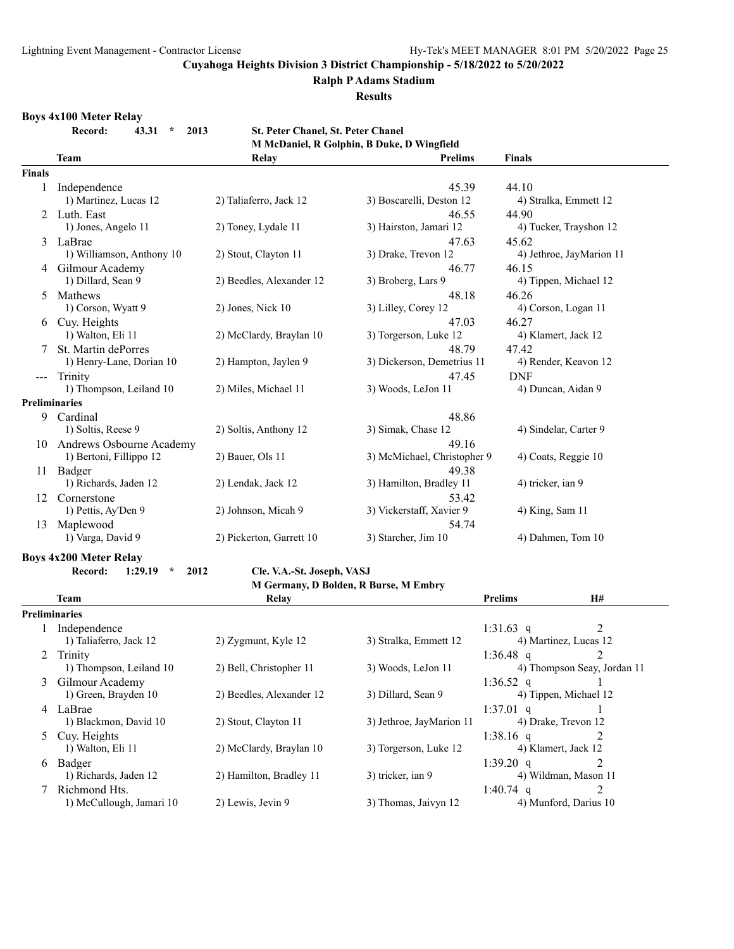#### **Ralph P Adams Stadium**

**Results**

#### **Boys 4x100 Meter Relay**

**Record: 43.31 \* 2013 St. Peter Chanel, St. Peter Chanel M McDaniel, R Golphin, B Duke, D Wingfield**

|                      | <b>Team</b>                           | Relay                      | <b>Prelims</b>                        | Finals                      |
|----------------------|---------------------------------------|----------------------------|---------------------------------------|-----------------------------|
| <b>Finals</b>        |                                       |                            |                                       |                             |
| $\mathbf{1}$         | Independence                          |                            | 45.39                                 | 44.10                       |
|                      | 1) Martinez, Lucas 12                 | 2) Taliaferro, Jack 12     | 3) Boscarelli, Deston 12              | 4) Stralka, Emmett 12       |
|                      | 2 Luth. East                          |                            | 46.55                                 | 44.90                       |
|                      | 1) Jones, Angelo 11                   | 2) Toney, Lydale 11        | 3) Hairston, Jamari 12                | 4) Tucker, Trayshon 12      |
| 3                    | LaBrae                                |                            | 47.63                                 | 45.62                       |
|                      | 1) Williamson, Anthony 10             | 2) Stout, Clayton 11       | 3) Drake, Trevon 12                   | 4) Jethroe, JayMarion 11    |
|                      | 4 Gilmour Academy                     |                            | 46.77                                 | 46.15                       |
|                      | 1) Dillard, Sean 9                    | 2) Beedles, Alexander 12   | 3) Broberg, Lars 9                    | 4) Tippen, Michael 12       |
| 5                    | Mathews                               |                            | 48.18                                 | 46.26                       |
|                      | 1) Corson, Wyatt 9                    | 2) Jones, Nick 10          | 3) Lilley, Corey 12                   | 4) Corson, Logan 11         |
|                      | 6 Cuy. Heights                        |                            | 47.03                                 | 46.27                       |
|                      | 1) Walton, Eli 11                     | 2) McClardy, Braylan 10    | 3) Torgerson, Luke 12                 | 4) Klamert, Jack 12         |
|                      | St. Martin dePorres                   |                            | 48.79                                 | 47.42                       |
|                      | 1) Henry-Lane, Dorian 10              | 2) Hampton, Jaylen 9       | 3) Dickerson, Demetrius 11            | 4) Render, Keavon 12        |
| ---                  | Trinity                               |                            | 47.45                                 | <b>DNF</b>                  |
|                      | 1) Thompson, Leiland 10               | 2) Miles, Michael 11       | 3) Woods, LeJon 11                    | 4) Duncan, Aidan 9          |
| <b>Preliminaries</b> |                                       |                            |                                       |                             |
|                      | 9 Cardinal                            |                            | 48.86                                 |                             |
|                      | 1) Soltis, Reese 9                    | 2) Soltis, Anthony 12      | 3) Simak, Chase 12                    | 4) Sindelar, Carter 9       |
|                      | 10 Andrews Osbourne Academy           |                            | 49.16                                 |                             |
|                      | 1) Bertoni, Fillippo 12               | 2) Bauer, Ols 11           | 3) McMichael, Christopher 9           | 4) Coats, Reggie 10         |
|                      | 11 Badger                             |                            | 49.38                                 |                             |
|                      | 1) Richards, Jaden 12                 | 2) Lendak, Jack 12         | 3) Hamilton, Bradley 11               | 4) tricker, ian 9           |
|                      | 12 Cornerstone                        |                            | 53.42                                 |                             |
|                      | 1) Pettis, Ay'Den 9                   | 2) Johnson, Micah 9        | 3) Vickerstaff, Xavier 9              | 4) King, Sam 11             |
|                      | 13 Maplewood                          |                            | 54.74                                 |                             |
|                      | 1) Varga, David 9                     | 2) Pickerton, Garrett 10   | 3) Starcher, Jim 10                   | 4) Dahmen, Tom 10           |
|                      |                                       |                            |                                       |                             |
|                      | <b>Boys 4x200 Meter Relay</b>         |                            |                                       |                             |
|                      | Record:<br>1:29.19<br>$\star$<br>2012 | Cle. V.A.-St. Joseph, VASJ |                                       |                             |
|                      |                                       |                            | M Germany, D Bolden, R Burse, M Embry |                             |
|                      | Team                                  | Relay                      |                                       | <b>Prelims</b><br>H#        |
| <b>Preliminaries</b> |                                       |                            |                                       |                             |
|                      | Independence                          |                            |                                       | 2<br>1:31.63 q              |
|                      | 1) Taliaferro, Jack 12                | 2) Zygmunt, Kyle 12        | 3) Stralka, Emmett 12                 | 4) Martinez, Lucas 12       |
| 2                    | Trinity                               |                            |                                       | 1:36.48 $q$<br>2            |
|                      | 1) Thompson, Leiland 10               | 2) Bell, Christopher 11    | 3) Woods, LeJon 11                    | 4) Thompson Seay, Jordan 11 |
| 3                    | Gilmour Academy                       |                            |                                       | 1:36.52 $q$<br>1            |
|                      | 1) Green, Brayden 10                  | 2) Beedles, Alexander 12   | 3) Dillard, Sean 9                    | 4) Tippen, Michael 12       |
|                      | 4 LaBrae                              |                            |                                       | $1:37.01$ q<br>1            |
|                      | 1) Blackmon, David 10                 | 2) Stout, Clayton 11       | 3) Jethroe, JayMarion 11              | 4) Drake, Trevon 12         |
|                      | 5 Cuy. Heights                        |                            |                                       | 1:38.16 $q$<br>2            |
|                      | 1) Walton, Eli 11                     | 2) McClardy, Braylan 10    | 3) Torgerson, Luke 12                 | 4) Klamert, Jack 12         |
|                      | 6 Badger                              |                            |                                       | 2<br>1:39.20 q              |
|                      | 1) Richards, Jaden 12                 | 2) Hamilton, Bradley 11    | 3) tricker, ian 9                     | 4) Wildman, Mason 11        |
| 7                    | Richmond Hts.                         |                            |                                       | 2<br>1:40.74 $q$            |
|                      | 1) McCullough, Jamari 10              | 2) Lewis, Jevin 9          | 3) Thomas, Jaivyn 12                  | 4) Munford, Darius 10       |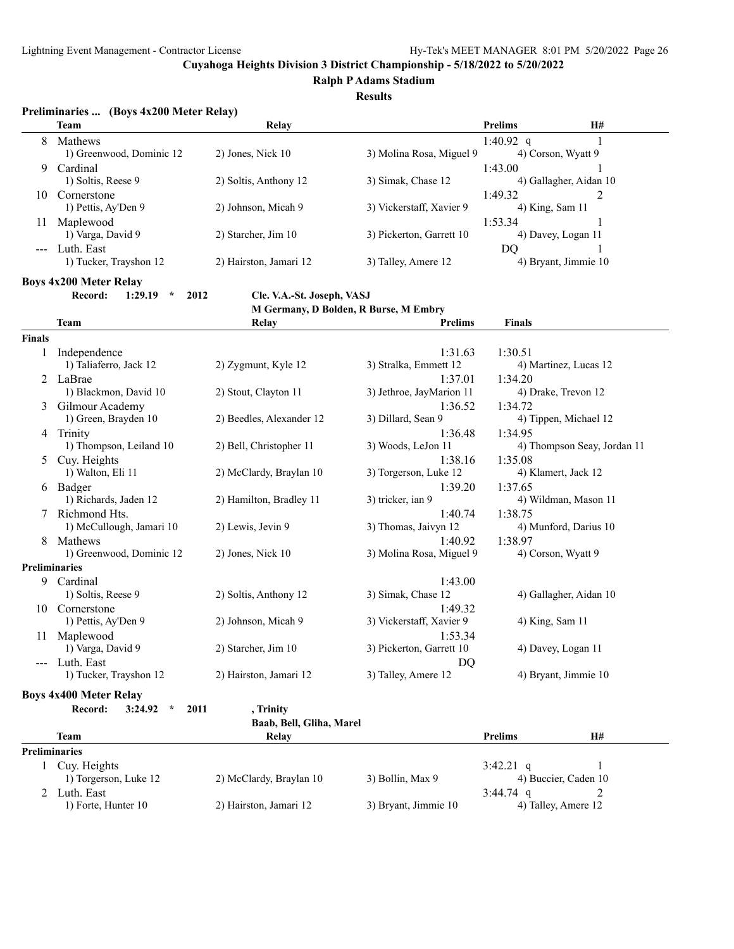**Ralph P Adams Stadium**

**Results**

#### **Preliminaries ... (Boys 4x200 Meter Relay)**

|         | <b>Team</b>                   | Relay                  |                          | <b>Prelims</b>         | <b>H#</b> |
|---------|-------------------------------|------------------------|--------------------------|------------------------|-----------|
| 8       | Mathews                       |                        |                          | 1:40.92 q              |           |
|         | 1) Greenwood, Dominic 12      | $2)$ Jones, Nick 10    | 3) Molina Rosa, Miguel 9 | 4) Corson, Wyatt 9     |           |
| 9       | Cardinal                      |                        |                          | 1:43.00                |           |
|         | 1) Soltis, Reese 9            | 2) Soltis, Anthony 12  | 3) Simak, Chase 12       | 4) Gallagher, Aidan 10 |           |
| 10      | Cornerstone                   |                        |                          | 1:49.32                |           |
|         | 1) Pettis, Ay'Den 9           | 2) Johnson, Micah 9    | 3) Vickerstaff, Xavier 9 | 4) King, Sam 11        |           |
| 11      | Maplewood                     |                        |                          | 1:53.34                |           |
|         | 1) Varga, David 9             | 2) Starcher, Jim 10    | 3) Pickerton, Garrett 10 | 4) Davey, Logan 11     |           |
| $- - -$ | Luth. East                    |                        |                          | DO                     |           |
|         | 1) Tucker, Trayshon 12        | 2) Hairston, Jamari 12 | 3) Talley, Amere 12      | 4) Bryant, Jimmie 10   |           |
|         | <b>Boys 4x200 Meter Relay</b> |                        |                          |                        |           |

**Record: 1:29.19 \* 2012 Cle. V.A.-St. Joseph, VASJ**

#### **M Germany, D Bolden, R Burse, M Embry**

|               | <b>Team</b>                           | Relay                    | <b>Prelims</b>           | <b>Finals</b>   |                             |
|---------------|---------------------------------------|--------------------------|--------------------------|-----------------|-----------------------------|
| <b>Finals</b> |                                       |                          |                          |                 |                             |
| 1             | Independence                          |                          | 1:31.63                  | 1:30.51         |                             |
|               | 1) Taliaferro, Jack 12                | 2) Zygmunt, Kyle 12      | 3) Stralka, Emmett 12    |                 | 4) Martinez, Lucas 12       |
| 2             | LaBrae                                |                          | 1:37.01                  | 1:34.20         |                             |
|               | 1) Blackmon, David 10                 | 2) Stout, Clayton 11     | 3) Jethroe, JayMarion 11 |                 | 4) Drake, Trevon 12         |
| 3             | Gilmour Academy                       |                          | 1:36.52                  | 1:34.72         |                             |
|               | 1) Green, Brayden 10                  | 2) Beedles, Alexander 12 | 3) Dillard, Sean 9       |                 | 4) Tippen, Michael 12       |
| 4             | Trinity                               |                          | 1:36.48                  | 1:34.95         |                             |
|               | 1) Thompson, Leiland 10               | 2) Bell, Christopher 11  | 3) Woods, LeJon 11       |                 | 4) Thompson Seay, Jordan 11 |
| 5             | Cuy. Heights                          |                          | 1:38.16                  | 1:35.08         |                             |
|               | 1) Walton, Eli 11                     | 2) McClardy, Braylan 10  | 3) Torgerson, Luke 12    |                 | 4) Klamert, Jack 12         |
|               | 6 Badger                              |                          | 1:39.20                  | 1:37.65         |                             |
|               | 1) Richards, Jaden 12                 | 2) Hamilton, Bradley 11  | 3) tricker, ian 9        |                 | 4) Wildman, Mason 11        |
|               | Richmond Hts.                         |                          | 1:40.74                  | 1:38.75         |                             |
|               | 1) McCullough, Jamari 10              | 2) Lewis, Jevin 9        | 3) Thomas, Jaivyn 12     |                 | 4) Munford, Darius 10       |
| 8             | Mathews                               |                          | 1:40.92                  | 1:38.97         |                             |
|               | 1) Greenwood, Dominic 12              | 2) Jones, Nick 10        | 3) Molina Rosa, Miguel 9 |                 | 4) Corson, Wyatt 9          |
|               | <b>Preliminaries</b>                  |                          |                          |                 |                             |
| 9             | Cardinal                              |                          | 1:43.00                  |                 |                             |
|               | 1) Soltis, Reese 9                    | 2) Soltis, Anthony 12    | 3) Simak, Chase 12       |                 | 4) Gallagher, Aidan 10      |
|               | 10 Cornerstone                        |                          | 1:49.32                  |                 |                             |
|               | 1) Pettis, Ay'Den 9                   | 2) Johnson, Micah 9      | 3) Vickerstaff, Xavier 9 | 4) King, Sam 11 |                             |
|               | 11 Maplewood                          |                          | 1:53.34                  |                 |                             |
|               | 1) Varga, David 9                     | 2) Starcher, Jim 10      | 3) Pickerton, Garrett 10 |                 | 4) Davey, Logan 11          |
|               | Luth. East                            |                          | DO                       |                 |                             |
|               | 1) Tucker, Trayshon 12                | 2) Hairston, Jamari 12   | 3) Talley, Amere 12      |                 | 4) Bryant, Jimmie 10        |
|               | <b>Boys 4x400 Meter Relay</b>         |                          |                          |                 |                             |
|               | 3:24.92<br>$\star$<br>2011<br>Record: | , Trinity                |                          |                 |                             |
|               |                                       | Baab, Bell, Gliha, Marel |                          |                 |                             |
|               | <b>Team</b>                           | Relay                    |                          | <b>Prelims</b>  | H#                          |
|               | <b>Preliminaries</b>                  |                          |                          |                 |                             |
|               | 1 Cuy. Heights                        |                          |                          | 3:42.21 q       | 1                           |
|               | 1) Torgerson, Luke 12                 | 2) McClardy, Braylan 10  | 3) Bollin, Max 9         |                 | 4) Buccier, Caden 10        |
| 2             | Luth. East                            |                          |                          | $3:44.74$ q     | 2                           |
|               | 1) Forte, Hunter 10                   | 2) Hairston, Jamari 12   | 3) Bryant, Jimmie 10     |                 | 4) Talley, Amere 12         |

| 4) Buccier, Caden   |  |
|---------------------|--|
| l.74 q              |  |
| 4) Talley, Amere 1. |  |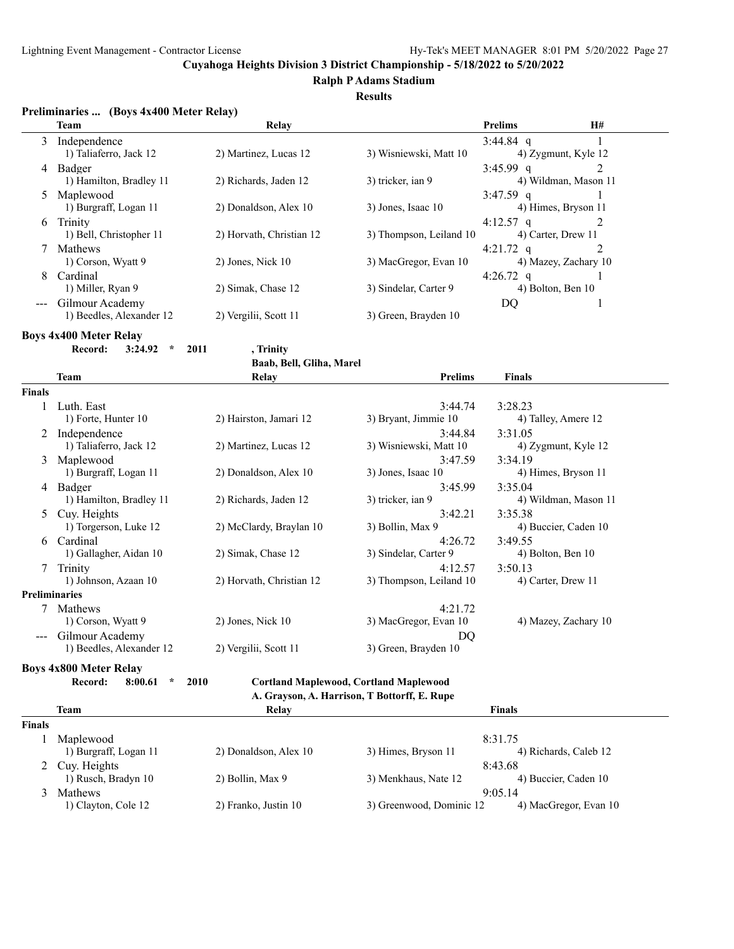**Ralph P Adams Stadium**

#### **Results**

| Preliminaries  (Boys 4x400 Meter Relay) |  |  |
|-----------------------------------------|--|--|
|                                         |  |  |

|    | <b>Team</b>              | Relay                    |                         | <b>Prelims</b>    | H#                   |
|----|--------------------------|--------------------------|-------------------------|-------------------|----------------------|
|    | Independence             |                          |                         | 3:44.84 q         |                      |
|    | 1) Taliaferro, Jack 12   | 2) Martinez, Lucas 12    | 3) Wisniewski, Matt 10  |                   | 4) Zygmunt, Kyle 12  |
| 4  | Badger                   |                          |                         | $3:45.99$ q       |                      |
|    | 1) Hamilton, Bradley 11  | 2) Richards, Jaden 12    | 3) tricker, ian 9       |                   | 4) Wildman, Mason 11 |
|    | Maplewood                |                          |                         | $3:47.59$ q       |                      |
|    | 1) Burgraff, Logan 11    | 2) Donaldson, Alex 10    | 3) Jones, Isaac 10      |                   | 4) Himes, Bryson 11  |
| 6  | Trinity                  |                          |                         | 4:12.57 $q$       |                      |
|    | 1) Bell, Christopher 11  | 2) Horvath, Christian 12 | 3) Thompson, Leiland 10 |                   | 4) Carter, Drew 11   |
|    | <b>Mathews</b>           |                          |                         | 4:21.72 $q$       |                      |
|    | 1) Corson, Wyatt 9       | $2)$ Jones, Nick 10      | 3) MacGregor, Evan 10   |                   | 4) Mazey, Zachary 10 |
| 8. | Cardinal                 |                          |                         | 4:26.72 q         |                      |
|    | 1) Miller, Ryan 9        | 2) Simak, Chase 12       | 3) Sindelar, Carter 9   | 4) Bolton, Ben 10 |                      |
|    | Gilmour Academy          |                          |                         | DO                |                      |
|    | 1) Beedles, Alexander 12 | 2) Vergilii, Scott 11    | 3) Green, Brayden 10    |                   |                      |

**Boys 4x400 Meter Relay**

 $\overline{a}$ 

**Record: 3:24.92 \* 2011 , Trinity**

**Baab, Bell, Gliha, Marel**

|               | <b>Team</b>                   | Relay                    | <b>Prelims</b>                                | <b>Finals</b>        |
|---------------|-------------------------------|--------------------------|-----------------------------------------------|----------------------|
| <b>Finals</b> |                               |                          |                                               |                      |
|               | Luth. East                    |                          | 3:44.74                                       | 3:28.23              |
|               | 1) Forte, Hunter 10           | 2) Hairston, Jamari 12   | 3) Bryant, Jimmie 10                          | 4) Talley, Amere 12  |
|               | Independence                  |                          | 3:44.84                                       | 3:31.05              |
|               | 1) Taliaferro, Jack 12        | 2) Martinez, Lucas 12    | 3) Wisniewski, Matt 10                        | 4) Zygmunt, Kyle 12  |
| 3             | Maplewood                     |                          | 3:47.59                                       | 3:34.19              |
|               | 1) Burgraff, Logan 11         | 2) Donaldson, Alex 10    | 3) Jones, Isaac 10                            | 4) Himes, Bryson 11  |
| 4             | Badger                        |                          | 3:45.99                                       | 3:35.04              |
|               | 1) Hamilton, Bradley 11       | 2) Richards, Jaden 12    | 3) tricker, ian 9                             | 4) Wildman, Mason 11 |
| 5             | Cuy. Heights                  |                          | 3:42.21                                       | 3:35.38              |
|               | 1) Torgerson, Luke 12         | 2) McClardy, Braylan 10  | 3) Bollin, Max 9                              | 4) Buccier, Caden 10 |
| 6             | Cardinal                      |                          | 4:26.72                                       | 3:49.55              |
|               | 1) Gallagher, Aidan 10        | 2) Simak, Chase 12       | 3) Sindelar, Carter 9                         | 4) Bolton, Ben 10    |
| 7             | Trinity                       |                          | 4:12.57                                       | 3:50.13              |
|               | 1) Johnson, Azaan 10          | 2) Horvath, Christian 12 | 3) Thompson, Leiland 10                       | 4) Carter, Drew 11   |
|               | <b>Preliminaries</b>          |                          |                                               |                      |
|               | Mathews                       |                          | 4:21.72                                       |                      |
|               | 1) Corson, Wyatt 9            | $2)$ Jones, Nick 10      | 3) MacGregor, Evan 10                         | 4) Mazey, Zachary 10 |
|               | Gilmour Academy               |                          | <b>DO</b>                                     |                      |
|               | 1) Beedles, Alexander 12      | 2) Vergilii, Scott 11    | 3) Green, Brayden 10                          |                      |
|               | <b>Boys 4x800 Meter Relay</b> |                          |                                               |                      |
|               | $\star$<br>Record:<br>8:00.61 | 2010                     | <b>Cortland Maplewood, Cortland Maplewood</b> |                      |
|               |                               |                          | A. Grayson, A. Harrison, T Bottorff, E. Rupe  |                      |
|               | <b>Team</b>                   | Relay                    |                                               | <b>Finals</b>        |
| <b>Finals</b> |                               |                          |                                               |                      |
|               | Maplewood                     |                          |                                               | 8:31.75              |
|               |                               |                          |                                               |                      |

| Maplewood             |                       |                          | 8:31.75               |
|-----------------------|-----------------------|--------------------------|-----------------------|
| 1) Burgraff, Logan 11 | 2) Donaldson, Alex 10 | 3) Himes, Bryson 11      | 4) Richards, Caleb 12 |
| 2 Cuy. Heights        |                       |                          | 8:43.68               |
| 1) Rusch, Bradyn 10   | 2) Bollin, Max 9      | 3) Menkhaus, Nate 12     | 4) Buccier, Caden 10  |
| <b>Mathews</b>        |                       |                          | 9:05.14               |
| 1) Clayton, Cole 12   | 2) Franko, Justin 10  | 3) Greenwood, Dominic 12 | 4) MacGregor, Evan 10 |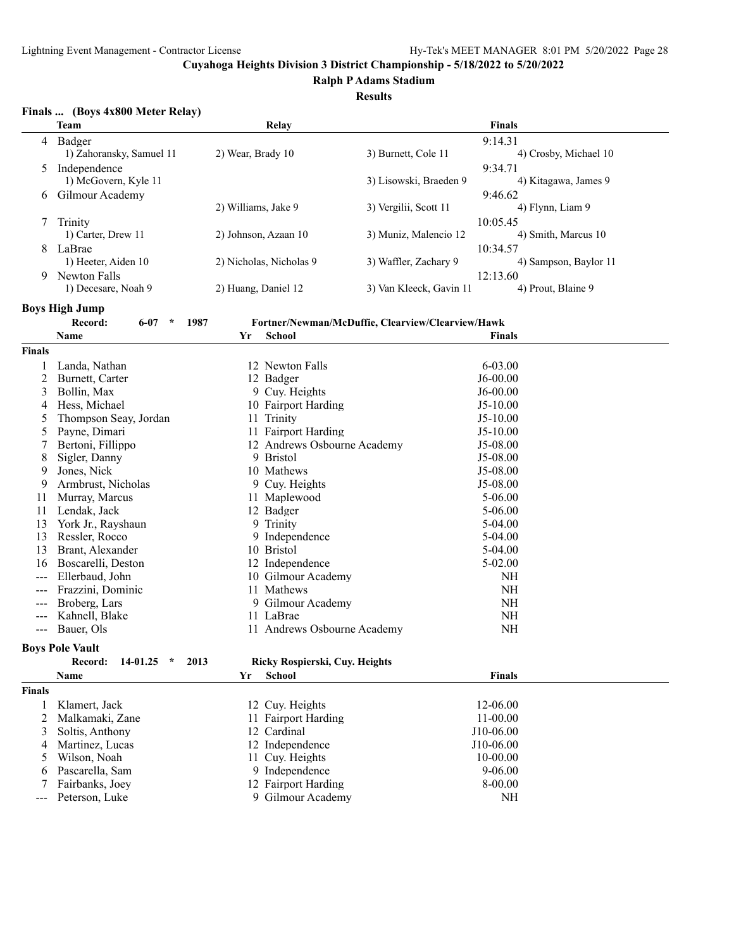**Ralph P Adams Stadium**

#### **Results**

#### **Finals ... (Boys 4x800 Meter Relay)**

|   | <b>Team</b>              | Relay                   |                         | <b>Finals</b>         |
|---|--------------------------|-------------------------|-------------------------|-----------------------|
| 4 | Badger                   |                         |                         | 9:14.31               |
|   | 1) Zahoransky, Samuel 11 | 2) Wear, Brady 10       | 3) Burnett, Cole 11     | 4) Crosby, Michael 10 |
|   | Independence             |                         |                         | 9:34.71               |
|   | 1) McGovern, Kyle 11     |                         | 3) Lisowski, Braeden 9  | 4) Kitagawa, James 9  |
| 6 | Gilmour Academy          |                         |                         | 9:46.62               |
|   |                          | 2) Williams, Jake 9     | 3) Vergilii, Scott 11   | 4) Flynn, Liam 9      |
|   | Trinity                  |                         |                         | 10:05.45              |
|   | 1) Carter, Drew 11       | 2) Johnson, Azaan 10    | 3) Muniz, Malencio 12   | 4) Smith, Marcus 10   |
| 8 | LaBrae                   |                         |                         | 10:34.57              |
|   | 1) Heeter, Aiden 10      | 2) Nicholas, Nicholas 9 | 3) Waffler, Zachary 9   | 4) Sampson, Baylor 11 |
| 9 | Newton Falls             |                         |                         | 12:13.60              |
|   | 1) Decesare, Noah 9      | 2) Huang, Daniel 12     | 3) Van Kleeck, Gavin 11 | 4) Prout, Blaine 9    |

**Boys High Jump**

|               | Record:<br>$\star$<br>1987<br>$6 - 07$ | Fortner/Newman/McDuffie, Clearview/Clearview/Hawk |               |  |
|---------------|----------------------------------------|---------------------------------------------------|---------------|--|
|               | <b>Name</b>                            | <b>School</b><br>Yr                               | <b>Finals</b> |  |
| <b>Finals</b> |                                        |                                                   |               |  |
|               | Landa, Nathan                          | 12 Newton Falls                                   | 6-03.00       |  |
|               | Burnett, Carter                        | 12 Badger                                         | $J6-00.00$    |  |
| 3             | Bollin, Max                            | 9 Cuy. Heights                                    | $J6-00.00$    |  |
|               | Hess, Michael                          | 10 Fairport Harding                               | $J5-10.00$    |  |
| 5             | Thompson Seay, Jordan                  | Trinity<br>11                                     | $J5-10.00$    |  |
| 5             | Payne, Dimari                          | <b>Fairport Harding</b><br>11                     | $J5-10.00$    |  |
|               | Bertoni, Fillippo                      | 12 Andrews Osbourne Academy                       | J5-08.00      |  |
| 8             | Sigler, Danny                          | 9 Bristol                                         | J5-08.00      |  |
| 9             | Jones, Nick                            | 10 Mathews                                        | J5-08.00      |  |
| 9             | Armbrust, Nicholas                     | 9 Cuy. Heights                                    | J5-08.00      |  |
| 11            | Murray, Marcus                         | 11 Maplewood                                      | $5 - 06.00$   |  |
| 11            | Lendak, Jack                           | 12 Badger                                         | $5 - 06.00$   |  |
| 13            | York Jr., Rayshaun                     | 9 Trinity                                         | $5-04.00$     |  |
| 13            | Ressler, Rocco                         | 9 Independence                                    | $5-04.00$     |  |
| 13            | Brant, Alexander                       | 10 Bristol                                        | $5-04.00$     |  |
| 16            | Boscarelli, Deston                     | 12 Independence                                   | $5 - 02.00$   |  |
| $-- -$        | Ellerbaud, John                        | 10 Gilmour Academy                                | <b>NH</b>     |  |
| $---$         | Frazzini, Dominic                      | 11 Mathews                                        | <b>NH</b>     |  |
| $-- -$        | Broberg, Lars                          | 9.<br>Gilmour Academy                             | NH            |  |
| $---$         | Kahnell, Blake                         | 11 LaBrae                                         | <b>NH</b>     |  |
| ---           | Bauer, Ols                             | 11 Andrews Osbourne Academy                       | NH            |  |
|               | <b>Boys Pole Vault</b>                 |                                                   |               |  |
|               | 14-01.25<br>$\star$<br>2013<br>Record: | Ricky Rospierski, Cuy. Heights                    |               |  |
|               | Name                                   | <b>School</b><br>Yr                               | <b>Finals</b> |  |
| <b>Finals</b> |                                        |                                                   |               |  |

| <b>Tinals</b> |                 |                     |              |  |
|---------------|-----------------|---------------------|--------------|--|
|               | Klamert, Jack   | 12 Cuv. Heights     | 12-06.00     |  |
|               | Malkamaki, Zane | 11 Fairport Harding | $11 - 00.00$ |  |
|               | Soltis, Anthony | 12 Cardinal         | $J10-06.00$  |  |
|               | Martinez, Lucas | 12 Independence     | $J10-06.00$  |  |
|               | Wilson, Noah    | 11 Cuv. Heights     | $10 - 00.00$ |  |
| 6             | Pascarella, Sam | 9 Independence      | 9-06.00      |  |
|               | Fairbanks, Joey | 12 Fairport Harding | 8-00.00      |  |
|               | Peterson, Luke  | 9 Gilmour Academy   | NH           |  |
|               |                 |                     |              |  |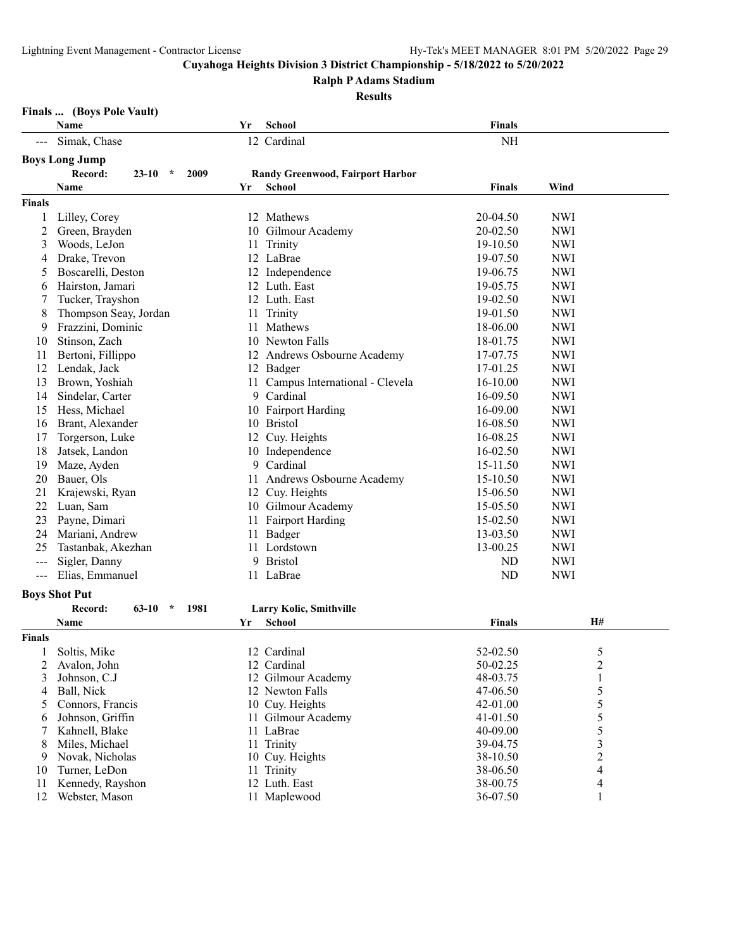**Ralph P Adams Stadium**

**Results**

| Finals  (Boys Pole Vault) |  |  |
|---------------------------|--|--|
|---------------------------|--|--|

|                     | Name                                    | Yr | <b>School</b>                           | <b>Finals</b>        |                         |
|---------------------|-----------------------------------------|----|-----------------------------------------|----------------------|-------------------------|
|                     | Simak, Chase                            |    | 12 Cardinal                             | $\rm NH$             |                         |
|                     | <b>Boys Long Jump</b>                   |    |                                         |                      |                         |
|                     | Record:<br>$\star$<br>2009<br>$23 - 10$ |    | <b>Randy Greenwood, Fairport Harbor</b> |                      |                         |
|                     | Name                                    | Yr | <b>School</b>                           | <b>Finals</b>        | Wind                    |
| <b>Finals</b>       |                                         |    |                                         |                      |                         |
| 1                   | Lilley, Corey                           |    | 12 Mathews                              | 20-04.50             | <b>NWI</b>              |
| 2                   | Green, Brayden                          |    | 10 Gilmour Academy                      | 20-02.50             | <b>NWI</b>              |
| 3                   | Woods, LeJon                            | 11 | Trinity                                 | 19-10.50             | <b>NWI</b>              |
| 4                   | Drake, Trevon                           |    | 12 LaBrae                               | 19-07.50             | <b>NWI</b>              |
| 5                   | Boscarelli, Deston                      |    | 12 Independence                         | 19-06.75             | <b>NWI</b>              |
| 6                   | Hairston, Jamari                        |    | 12 Luth. East                           | 19-05.75             | <b>NWI</b>              |
| 7                   | Tucker, Trayshon                        |    | 12 Luth. East                           | 19-02.50             | <b>NWI</b>              |
| 8                   | Thompson Seay, Jordan                   | 11 | Trinity                                 | 19-01.50             | <b>NWI</b>              |
| 9                   | Frazzini, Dominic                       | 11 | Mathews                                 | 18-06.00             | <b>NWI</b>              |
| 10                  | Stinson, Zach                           |    | 10 Newton Falls                         | 18-01.75             | <b>NWI</b>              |
| 11                  | Bertoni, Fillippo                       |    | 12 Andrews Osbourne Academy             | 17-07.75             | <b>NWI</b>              |
| 12                  | Lendak, Jack                            |    | 12 Badger                               | 17-01.25             | <b>NWI</b>              |
| 13                  | Brown, Yoshiah                          |    | 11 Campus International - Clevela       | 16-10.00             | <b>NWI</b>              |
| 14                  | Sindelar, Carter                        |    | 9 Cardinal                              | 16-09.50             | <b>NWI</b>              |
| 15                  | Hess, Michael                           |    | 10 Fairport Harding                     | 16-09.00             | <b>NWI</b>              |
| 16                  | Brant, Alexander                        |    | 10 Bristol                              | 16-08.50             | <b>NWI</b>              |
| 17                  | Torgerson, Luke                         |    | 12 Cuy. Heights                         | 16-08.25             | <b>NWI</b>              |
| 18                  | Jatsek, Landon                          |    | 10 Independence                         | 16-02.50             | <b>NWI</b>              |
| 19                  | Maze, Ayden                             |    | 9 Cardinal                              | 15-11.50             | <b>NWI</b>              |
| 20                  | Bauer, Ols                              |    | 11 Andrews Osbourne Academy             | 15-10.50             | <b>NWI</b>              |
| 21                  | Krajewski, Ryan                         |    | 12 Cuy. Heights                         | 15-06.50             | <b>NWI</b>              |
| 22                  | Luan, Sam                               |    | 10 Gilmour Academy                      | 15-05.50             | <b>NWI</b>              |
| 23                  | Payne, Dimari                           |    | 11 Fairport Harding                     | 15-02.50             | <b>NWI</b>              |
| 24                  | Mariani, Andrew                         |    | 11 Badger                               | 13-03.50             | <b>NWI</b>              |
| 25                  | Tastanbak, Akezhan                      |    | 11 Lordstown                            | 13-00.25             | <b>NWI</b>              |
| $---$               | Sigler, Danny                           |    | 9 Bristol                               | <b>ND</b>            | <b>NWI</b>              |
| $\qquad \qquad - -$ | Elias, Emmanuel                         |    | 11 LaBrae                               | <b>ND</b>            | <b>NWI</b>              |
|                     |                                         |    |                                         |                      |                         |
|                     | <b>Boys Shot Put</b>                    |    |                                         |                      |                         |
|                     | Record:<br>63-10<br>$\star$<br>1981     |    | Larry Kolic, Smithville                 |                      |                         |
|                     | Name                                    | Yr | School                                  | Finals               | H#                      |
| <b>Finals</b>       |                                         |    |                                         |                      |                         |
| 1                   | Soltis, Mike                            |    | 12 Cardinal                             | 52-02.50             | 5                       |
| 2                   | Avalon, John                            |    | 12 Cardinal                             | 50-02.25             | $\overline{\mathbf{c}}$ |
| 3                   | Johnson, C.J                            |    | 12 Gilmour Academy                      | 48-03.75             | 1                       |
| 4                   | Ball, Nick                              |    | 12 Newton Falls                         | 47-06.50             | 5                       |
| 5                   | Connors, Francis<br>Johnson, Griffin    |    | 10 Cuy. Heights<br>11 Gilmour Academy   | 42-01.00<br>41-01.50 | 5                       |
| 6<br>7              | Kahnell, Blake                          |    | 11 LaBrae                               | 40-09.00             | 5<br>5                  |
| 8                   | Miles, Michael                          |    | 11 Trinity                              | 39-04.75             | 3                       |
| 9                   | Novak, Nicholas                         |    | 10 Cuy. Heights                         | 38-10.50             | 2                       |
| 10                  | Turner, LeDon                           |    | 11 Trinity                              | 38-06.50             | 4                       |
| 11                  | Kennedy, Rayshon                        |    | 12 Luth. East                           | 38-00.75             | 4                       |
| 12                  | Webster, Mason                          |    | 11 Maplewood                            | 36-07.50             | 1                       |
|                     |                                         |    |                                         |                      |                         |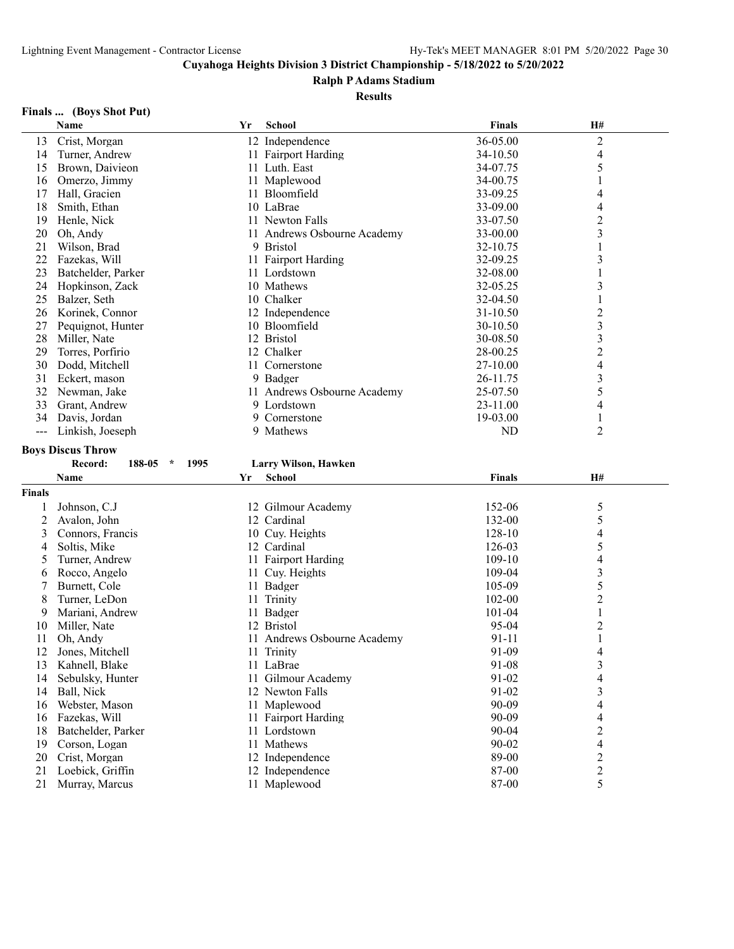#### **Ralph P Adams Stadium**

#### **Results**

#### **Finals ... (Boys Shot Put)**

|                   | Name                               | Yr | <b>School</b>                   | <b>Finals</b>  | H#                      |  |
|-------------------|------------------------------------|----|---------------------------------|----------------|-------------------------|--|
| 13                | Crist, Morgan                      |    | 12 Independence                 | 36-05.00       | $\overline{c}$          |  |
| 14                | Turner, Andrew                     |    | 11 Fairport Harding             | 34-10.50       | 4                       |  |
| 15                | Brown, Daivieon                    |    | 11 Luth. East                   | 34-07.75       | 5                       |  |
| 16                | Omerzo, Jimmy                      |    | 11 Maplewood                    | 34-00.75       | 1                       |  |
| 17                | Hall, Gracien                      |    | 11 Bloomfield                   | 33-09.25       | 4                       |  |
| 18                | Smith, Ethan                       |    | 10 LaBrae                       | 33-09.00       | 4                       |  |
| 19                | Henle, Nick                        |    | 11 Newton Falls                 | 33-07.50       | $\overline{c}$          |  |
| 20                | Oh, Andy                           |    | 11 Andrews Osbourne Academy     | 33-00.00       | 3                       |  |
| 21                | Wilson, Brad                       |    | 9 Bristol                       | 32-10.75       |                         |  |
| 22                | Fazekas, Will                      |    | 11 Fairport Harding             | 32-09.25       | 3                       |  |
| 23                | Batchelder, Parker                 |    | 11 Lordstown                    | 32-08.00       | 1                       |  |
| 24                | Hopkinson, Zack                    |    | 10 Mathews                      | 32-05.25       | 3                       |  |
| 25                | Balzer, Seth                       |    | 10 Chalker                      | 32-04.50       | 1                       |  |
| 26                | Korinek, Connor                    |    | 12 Independence                 | 31-10.50       | $\overline{c}$          |  |
| 27                | Pequignot, Hunter                  |    | 10 Bloomfield                   | 30-10.50       | 3                       |  |
| 28                | Miller, Nate                       |    | 12 Bristol                      | 30-08.50       | 3                       |  |
| 29                | Torres, Porfirio                   |    | 12 Chalker                      | 28-00.25       | $\overline{c}$          |  |
| 30                |                                    |    | 11 Cornerstone                  |                |                         |  |
|                   | Dodd, Mitchell                     |    |                                 | 27-10.00       | 4                       |  |
| 31                | Eckert, mason                      |    | 9 Badger                        | 26-11.75       | 3                       |  |
| 32                | Newman, Jake                       |    | 11 Andrews Osbourne Academy     | 25-07.50       | 5                       |  |
| 33                | Grant, Andrew                      |    | 9 Lordstown                     | 23-11.00       | 4                       |  |
| 34                | Davis, Jordan                      |    | 9 Cornerstone                   | 19-03.00       | 1                       |  |
| $\qquad \qquad -$ | Linkish, Joeseph                   |    | 9 Mathews                       | <b>ND</b>      | $\overline{2}$          |  |
|                   | <b>Boys Discus Throw</b>           |    |                                 |                |                         |  |
|                   |                                    |    |                                 |                |                         |  |
|                   | Record:<br>$188-05$ *<br>1995      |    | Larry Wilson, Hawken            |                |                         |  |
|                   | Name                               | Yr | School                          | <b>Finals</b>  | H#                      |  |
| <b>Finals</b>     |                                    |    |                                 |                |                         |  |
|                   |                                    |    |                                 |                |                         |  |
| 1                 | Johnson, C.J                       |    | 12 Gilmour Academy              | 152-06         | 5                       |  |
| 2                 | Avalon, John                       |    | 12 Cardinal                     | 132-00         | 5                       |  |
| 3                 | Connors, Francis                   |    | 10 Cuy. Heights                 | 128-10         | 4                       |  |
| 4                 | Soltis, Mike                       |    | 12 Cardinal                     | 126-03         | 5                       |  |
| 5                 | Turner, Andrew                     |    | 11 Fairport Harding             | 109-10         | 4                       |  |
| 6                 | Rocco, Angelo                      |    | 11 Cuy. Heights                 | 109-04         | 3                       |  |
| 7                 | Burnett, Cole                      |    | 11 Badger                       | 105-09         | 5                       |  |
| 8                 | Turner, LeDon                      |    | 11 Trinity                      | 102-00         | $\overline{\mathbf{c}}$ |  |
| 9                 | Mariani, Andrew                    |    | 11 Badger                       | 101-04         | 1                       |  |
| 10                | Miller, Nate                       |    | 12 Bristol                      | 95-04          | $\overline{\mathbf{c}}$ |  |
| 11                | Oh, Andy                           |    | 11 Andrews Osbourne Academy     | 91-11          | $\,1$                   |  |
| 12                | Jones, Mitchell                    |    | 11 Trinity                      | 91-09          | 4                       |  |
| 13                | Kahnell, Blake                     |    | 11 LaBrae                       | 91-08          | 3                       |  |
| 14                | Sebulsky, Hunter                   |    | 11 Gilmour Academy              | 91-02          | 4                       |  |
| 14                | Ball, Nick                         |    | 12 Newton Falls                 | 91-02          | 3                       |  |
| 16                | Webster, Mason                     |    | 11 Maplewood                    | 90-09          | 4                       |  |
| 16                | Fazekas, Will                      |    | 11 Fairport Harding             | 90-09          | 4                       |  |
| 18                | Batchelder, Parker                 |    | 11 Lordstown                    | $90 - 04$      | $\overline{c}$          |  |
| 19                | Corson, Logan                      |    | 11 Mathews                      | 90-02          | 4                       |  |
| 20                | Crist, Morgan                      |    | 12 Independence                 | 89-00          | $\overline{c}$          |  |
| 21<br>21          | Loebick, Griffin<br>Murray, Marcus |    | 12 Independence<br>11 Maplewood | 87-00<br>87-00 | 2<br>5                  |  |